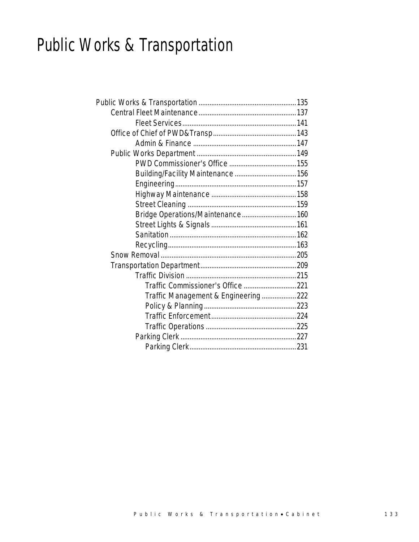## Public Works & Transportation

| Building/Facility Maintenance  156  |  |
|-------------------------------------|--|
|                                     |  |
|                                     |  |
|                                     |  |
| Bridge Operations/Maintenance 160   |  |
|                                     |  |
|                                     |  |
|                                     |  |
|                                     |  |
|                                     |  |
|                                     |  |
|                                     |  |
| Traffic Management & Engineering222 |  |
|                                     |  |
|                                     |  |
|                                     |  |
|                                     |  |
|                                     |  |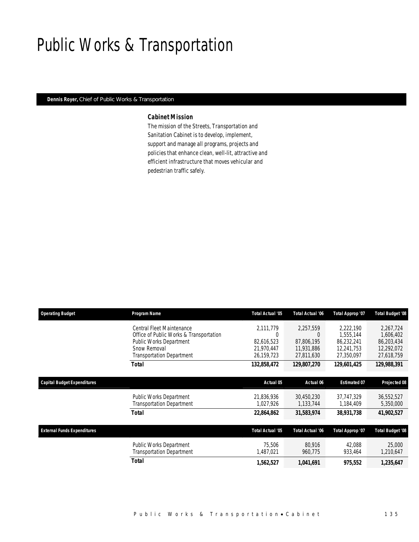## Public Works & Transportation

#### *Dennis Royer, Chief of Public Works & Transportation*

### *Cabinet Mission*

The mission of the Streets, Transportation and Sanitation Cabinet is to develop, implement, support and manage all programs, projects and policies that enhance clean, well-lit, attractive and efficient infrastructure that moves vehicular and pedestrian traffic safely.

| <b>Operating Budget</b>            | Program Name                            | <b>Total Actual '05</b> | Total Actual '06 | Total Approp '07    | Total Budget '08 |
|------------------------------------|-----------------------------------------|-------------------------|------------------|---------------------|------------------|
|                                    | Central Fleet Maintenance               | 2.111.779               | 2.257.559        | 2.222.190           | 2.267.724        |
|                                    | Office of Public Works & Transportation |                         | $\Omega$         | 1,555,144           | 1,606,402        |
|                                    | <b>Public Works Department</b>          | 82,616,523              | 87.806.195       | 86.232.241          | 86,203,434       |
|                                    | Snow Removal                            | 21,970,447              | 11,931,886       | 12,241,753          | 12,292,072       |
|                                    | <b>Transportation Department</b>        | 26,159,723              | 27,811,630       | 27,350,097          | 27,618,759       |
|                                    | Total                                   | 132,858,472             | 129,807,270      | 129,601,425         | 129,988,391      |
| <b>Capital Budget Expenditures</b> |                                         | Actual 05               | Actual 06        | <b>Estimated 07</b> | Projected 08     |
|                                    | Public Works Department                 | 21,836,936              | 30,450,230       | 37,747,329          | 36,552,527       |
|                                    | <b>Transportation Department</b>        | 1,027,926               | 1,133,744        | 1,184,409           | 5,350,000        |
|                                    | Total                                   | 22,864,862              | 31,583,974       | 38,931,738          | 41,902,527       |
| <b>External Funds Expenditures</b> |                                         | <b>Total Actual '05</b> | Total Actual '06 | Total Approp '07    | Total Budget '08 |
|                                    | Public Works Department                 | 75.506                  | 80.916           | 42,088              | 25,000           |
|                                    | <b>Transportation Department</b>        | 1,487,021               | 960,775          | 933,464             | 1,210,647        |
|                                    | Total                                   | 1,562,527               | 1,041,691        | 975,552             | 1,235,647        |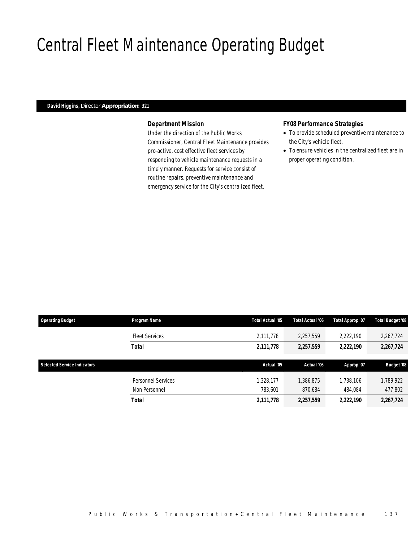## Central Fleet Maintenance Operating Budget

### *David Higgins, Director Appropriation: 321*

### *Department Mission*

Under the direction of the Public Works Commissioner, Central Fleet Maintenance provides pro-active, cost effective fleet services by responding to vehicle maintenance requests in a timely manner. Requests for service consist of routine repairs, preventive maintenance and emergency service for the City's centralized fleet.

### *FY08 Performance Strategies*

- To provide scheduled preventive maintenance to the City's vehicle fleet.
- To ensure vehicles in the centralized fleet are in proper operating condition.

| <b>Operating Budget</b>            | Program Name          | Total Actual '05 | Total Actual '06 | Total Approp '07 | Total Budget '08  |
|------------------------------------|-----------------------|------------------|------------------|------------------|-------------------|
|                                    | <b>Fleet Services</b> | 2,111,778        | 2,257,559        | 2,222,190        | 2,267,724         |
|                                    | <b>Total</b>          | 2,111,778        | 2,257,559        | 2,222,190        | 2,267,724         |
|                                    |                       |                  |                  |                  |                   |
| <b>Selected Service Indicators</b> |                       | Actual '05       | Actual '06       | Approp '07       | <b>Budget '08</b> |
|                                    |                       |                  |                  |                  |                   |
|                                    | Personnel Services    | ,328,177         | 1,386,875        | 1,738,106        | 1,789,922         |
|                                    | Non Personnel         | 783,601          | 870,684          | 484,084          | 477,802           |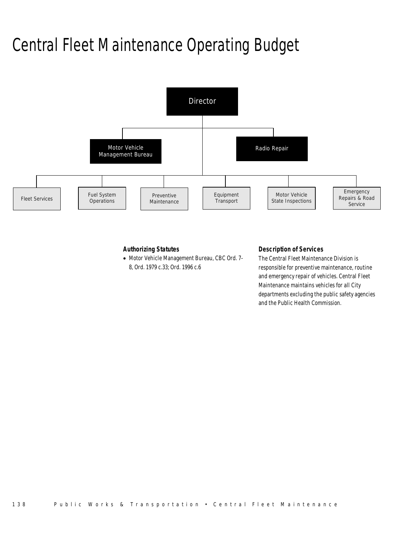## Central Fleet Maintenance Operating Budget



### *Authorizing Statutes*

• Motor Vehicle Management Bureau, CBC Ord. 7- 8, Ord. 1979 c.33; Ord. 1996 c.6

#### *Description of Services*

The Central Fleet Maintenance Division is responsible for preventive maintenance, routine and emergency repair of vehicles. Central Fleet Maintenance maintains vehicles for all City departments excluding the public safety agencies and the Public Health Commission.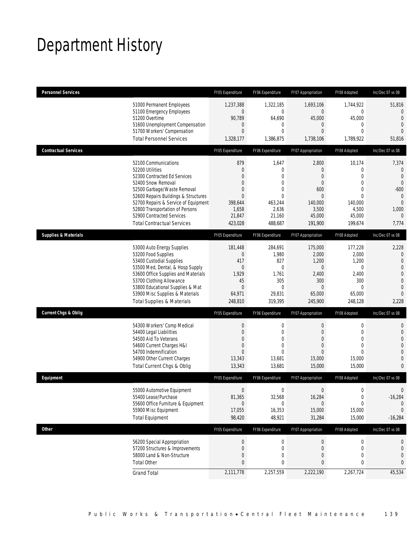## Department History

| <b>Personnel Services</b>       |                                                                                                                                                                                                                                                                                                                   | FY05 Expenditure                                                                                                   | FY06 Expenditure                                                                                                | FY07 Appropriation                                                                                                            | FY08 Adopted                                                                                                                              | Inc/Dec 07 vs 08                                                                                                               |
|---------------------------------|-------------------------------------------------------------------------------------------------------------------------------------------------------------------------------------------------------------------------------------------------------------------------------------------------------------------|--------------------------------------------------------------------------------------------------------------------|-----------------------------------------------------------------------------------------------------------------|-------------------------------------------------------------------------------------------------------------------------------|-------------------------------------------------------------------------------------------------------------------------------------------|--------------------------------------------------------------------------------------------------------------------------------|
|                                 | 51000 Permanent Employees<br>51100 Emergency Employees<br>51200 Overtime<br>51600 Unemployment Compensation<br>51700 Workers' Compensation<br><b>Total Personnel Services</b>                                                                                                                                     | 1,237,388<br>$\overline{0}$<br>90,789<br>$\theta$<br>$\mathbf{0}$<br>1,328,177                                     | 1,322,185<br>0<br>64,690<br>0<br>$\Omega$<br>1,386,875                                                          | 1,693,106<br>$\overline{0}$<br>45,000<br>0<br>$\Omega$<br>1,738,106                                                           | 1,744,922<br>$\mathbf 0$<br>45,000<br>$\mathbf 0$<br>$\Omega$<br>1,789,922                                                                | 51,816<br>$\overline{0}$<br>$\overline{0}$<br>$\overline{0}$<br>$\Omega$<br>51,816                                             |
| <b>Contractual Services</b>     |                                                                                                                                                                                                                                                                                                                   | FY05 Expenditure                                                                                                   | FY06 Expenditure                                                                                                | FY07 Appropriation                                                                                                            | FY08 Adopted                                                                                                                              | Inc/Dec 07 vs 08                                                                                                               |
|                                 | 52100 Communications<br>52200 Utilities<br>52300 Contracted Ed Services<br>52400 Snow Removal<br>52500 Garbage/Waste Removal<br>52600 Repairs Buildings & Structures<br>52700 Repairs & Service of Equipment<br>52800 Transportation of Persons<br>52900 Contracted Services<br><b>Total Contractual Services</b> | 879<br>$\theta$<br>$\Omega$<br>$\overline{0}$<br>$\mathbf{0}$<br>$\Omega$<br>398,644<br>1,658<br>21,847<br>423.028 | 1,647<br>$\overline{0}$<br>$\Omega$<br>$\overline{0}$<br>0<br>$\theta$<br>463,244<br>2,636<br>21,160<br>488,687 | 2,800<br>$\overline{0}$<br>$\overline{0}$<br>$\overline{0}$<br>600<br>$\overline{0}$<br>140,000<br>3,500<br>45,000<br>191,900 | 10,174<br>$\overline{0}$<br>$\overline{0}$<br>$\overline{0}$<br>$\overline{0}$<br>$\overline{0}$<br>140,000<br>4,500<br>45,000<br>199.674 | 7,374<br>$\mathbf 0$<br>$\mathbf{0}$<br>$\Omega$<br>$-600$<br>$\mathbf{0}$<br>$\mathbf{0}$<br>1,000<br>$\overline{0}$<br>7,774 |
| <b>Supplies &amp; Materials</b> |                                                                                                                                                                                                                                                                                                                   | FY05 Expenditure                                                                                                   | FY06 Expenditure                                                                                                | FY07 Appropriation                                                                                                            | FY08 Adopted                                                                                                                              | Inc/Dec 07 vs 08                                                                                                               |
|                                 | 53000 Auto Energy Supplies<br>53200 Food Supplies<br>53400 Custodial Supplies<br>53500 Med, Dental, & Hosp Supply<br>53600 Office Supplies and Materials<br>53700 Clothing Allowance<br>53800 Educational Supplies & Mat<br>53900 Misc Supplies & Materials<br><b>Total Supplies &amp; Materials</b>              | 181,448<br>$\theta$<br>417<br>$\theta$<br>1,929<br>45<br>$\overline{0}$<br>64,971<br>248,810                       | 284,691<br>1,980<br>827<br>$\mathbf{0}$<br>1,761<br>305<br>$\Omega$<br>29,831<br>319,395                        | 175,000<br>2,000<br>1,200<br>$\overline{0}$<br>2,400<br>300<br>$\Omega$<br>65,000<br>245,900                                  | 177,228<br>2,000<br>1,200<br>0<br>2,400<br>300<br>0<br>65,000<br>248,128                                                                  | 2,228<br>$\mathbf{0}$<br>$\mathbf{0}$<br>$\mathbf 0$<br>$\overline{0}$<br>$\mathbf{0}$<br>$\overline{0}$<br>$\Omega$<br>2,228  |
| <b>Current Chgs &amp; Oblig</b> |                                                                                                                                                                                                                                                                                                                   | FY05 Expenditure                                                                                                   | FY06 Expenditure                                                                                                | FY07 Appropriation                                                                                                            | FY08 Adopted                                                                                                                              | Inc/Dec 07 vs 08                                                                                                               |
|                                 | 54300 Workers' Comp Medical<br>54400 Legal Liabilities<br>54500 Aid To Veterans<br>54600 Current Charges H&I<br>54700 Indemnification<br>54900 Other Current Charges<br>Total Current Chgs & Oblig                                                                                                                | $\mathbf{0}$<br>$\mathbf{0}$<br>$\overline{0}$<br>$\mathbf{0}$<br>$\Omega$<br>13,343<br>13,343                     | $\mathbf 0$<br>$\overline{0}$<br>$\overline{0}$<br>$\overline{0}$<br>$\theta$<br>13,681<br>13,681               | $\mathbf 0$<br>$\overline{0}$<br>$\boldsymbol{0}$<br>$\overline{0}$<br>$\overline{0}$<br>15,000<br>15,000                     | $\mathbf 0$<br>$\overline{0}$<br>$\mathbf 0$<br>$\overline{0}$<br>$\overline{0}$<br>15,000<br>15,000                                      | $\mathbf 0$<br>$\mathbf{0}$<br>$\overline{0}$<br>$\mathbf 0$<br>$\overline{0}$<br>$\mathbf 0$<br>0                             |
| Equipment                       |                                                                                                                                                                                                                                                                                                                   | FY05 Expenditure                                                                                                   | FY06 Expenditure                                                                                                | FY07 Appropriation                                                                                                            | FY08 Adopted                                                                                                                              | Inc/Dec 07 vs 08                                                                                                               |
|                                 | 55000 Automotive Equipment<br>55400 Lease/Purchase<br>55600 Office Furniture & Equipment<br>55900 Misc Equipment<br><b>Total Equipment</b>                                                                                                                                                                        | $\mathbf{0}$<br>81,365<br>$\Omega$<br>17,055<br>98,420                                                             | $\mathbf 0$<br>32,568<br>$\Omega$<br>16,353<br>48,921                                                           | $\overline{0}$<br>16,284<br>$\Omega$<br>15,000<br>31,284                                                                      | 0<br>$\boldsymbol{0}$<br>$\Omega$<br>15,000<br>15,000                                                                                     | 0<br>$-16,284$<br>$\theta$<br>0<br>$-16,284$                                                                                   |
| Other                           |                                                                                                                                                                                                                                                                                                                   | FY05 Expenditure                                                                                                   | FY06 Expenditure                                                                                                | FY07 Appropriation                                                                                                            | FY08 Adopted                                                                                                                              | Inc/Dec 07 vs 08                                                                                                               |
|                                 | 56200 Special Appropriation<br>57200 Structures & Improvements<br>58000 Land & Non-Structure<br><b>Total Other</b>                                                                                                                                                                                                | $\boldsymbol{0}$<br>$\mathbf{0}$<br>$\mathbf{0}$<br>$\mathbf{0}$                                                   | $\boldsymbol{0}$<br>$\mathbf 0$<br>0<br>0                                                                       | 0<br>0<br>0<br>$\mathbf{0}$                                                                                                   | $\boldsymbol{0}$<br>$\mathbf 0$<br>0<br>0                                                                                                 | 0<br>$\mathbf 0$<br>0<br>0                                                                                                     |
|                                 | <b>Grand Total</b>                                                                                                                                                                                                                                                                                                | 2,111,778                                                                                                          | 2,257,559                                                                                                       | 2,222,190                                                                                                                     | 2,267,724                                                                                                                                 | 45,534                                                                                                                         |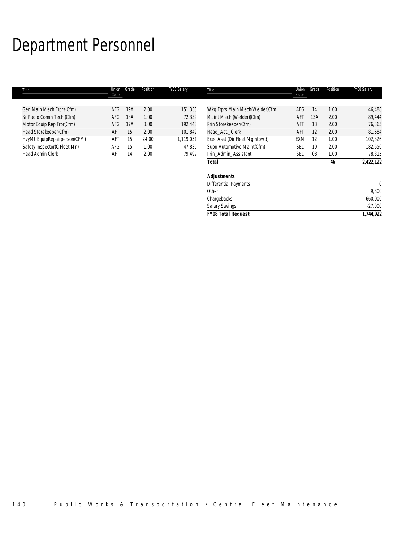## Department Personnel

| Title                        | Union<br>Code | Grade | Position | FY08 Salary | Title                          | Union<br>Code   | Grade | Position | FY08 Salary |
|------------------------------|---------------|-------|----------|-------------|--------------------------------|-----------------|-------|----------|-------------|
|                              |               |       |          |             |                                |                 |       |          |             |
| Gen Main Mech Frprs(Cfm)     | AFG           | 19A   | 2.00     | 151,333     | Wkg Frprs Main Mech(Welder)Cfm | AFG             | 14    | 1.00     | 46,488      |
| Sr Radio Comm Tech (Cfm)     | AFG           | 18A   | 1.00     | 72,339      | Maint Mech (Welder)(Cfm)       | AFT             | 13A   | 2.00     | 89,444      |
| Motor Equip Rep Frpr(Cfm)    | AFG           | 17A   | 3.00     | 192,448     | Prin Storekeeper(Cfm)          | AFT             | 13    | 2.00     | 76,365      |
| Head Storekeeper(Cfm)        | AFT           | 15    | 2.00     | 101,849     | Head Act. Clerk                | AFT             | 12    | 2.00     | 81,684      |
| HvyMtrEquipRepairperson(CFM) | AFT           | 15    | 24.00    | 1,119,051   | Exec Asst (Dir Fleet Mgmtpwd)  | EXM             | 12    | 1.00     | 102,326     |
| Safety Inspector(C Fleet Mn) | AFG           | 15    | 1.00     | 47,835      | Supn-Automotive Maint(Cfm)     | SE <sub>1</sub> | 10    | 2.00     | 182,650     |
| Head Admin Clerk             | AFT           | 14    | 2.00     | 79,497      | Prin Admin Assistant           | SE <sub>1</sub> | 08    | 1.00     | 78,815      |
|                              |               |       |          |             | Total                          |                 |       | 46       | 2,422,122   |
|                              |               |       |          |             | <b>Adjustments</b>             |                 |       |          |             |
|                              |               |       |          |             | <b>Differential Payments</b>   |                 |       |          | 0           |
|                              |               |       |          |             | Other                          |                 |       |          | 9,800       |
|                              |               |       |          |             | Chargebacks                    |                 |       |          | $-660,000$  |
|                              |               |       |          |             | <b>Salary Savings</b>          |                 |       |          | $-27,000$   |
|                              |               |       |          |             | <b>FY08 Total Request</b>      |                 |       |          | 1,744,922   |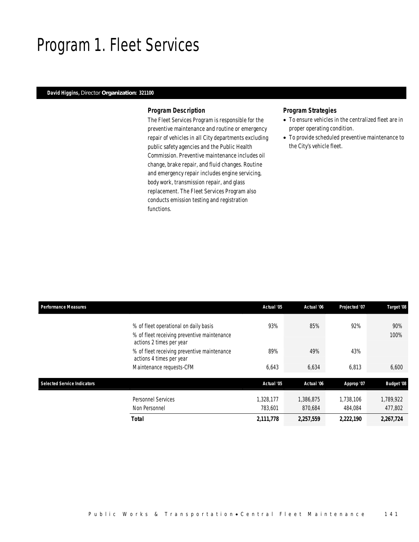## Program 1. Fleet Services

### *David Higgins, Director Organization: 321100*

#### *Program Description*

The Fleet Services Program is responsible for the preventive maintenance and routine or emergency repair of vehicles in all City departments excluding public safety agencies and the Public Health Commission. Preventive maintenance includes oil change, brake repair, and fluid changes. Routine and emergency repair includes engine servicing, body work, transmission repair, and glass replacement. The Fleet Services Program also conducts emission testing and registration functions.

### *Program Strategies*

- To ensure vehicles in the centralized fleet are in proper operating condition.
- To provide scheduled preventive maintenance to the City's vehicle fleet.

| <b>Performance Measures</b>        |                                                                                                                  | Actual '05           | Actual '06           | Projected '07        | Target '08           |
|------------------------------------|------------------------------------------------------------------------------------------------------------------|----------------------|----------------------|----------------------|----------------------|
|                                    | % of fleet operational on daily basis<br>% of fleet receiving preventive maintenance<br>actions 2 times per year | 93%                  | 85%                  | 92%                  | 90%<br>100%          |
|                                    | % of fleet receiving preventive maintenance<br>actions 4 times per year                                          | 89%                  | 49%                  | 43%                  |                      |
|                                    | Maintenance requests-CFM                                                                                         | 6,643                | 6,634                | 6,813                | 6,600                |
| <b>Selected Service Indicators</b> |                                                                                                                  | Actual '05           | Actual '06           | Approp '07           | <b>Budget '08</b>    |
|                                    | <b>Personnel Services</b><br>Non Personnel                                                                       | 1,328,177<br>783,601 | 1,386,875<br>870,684 | 1,738,106<br>484.084 | 1,789,922<br>477,802 |
|                                    | Total                                                                                                            | 2,111,778            | 2,257,559            | 2,222,190            | 2,267,724            |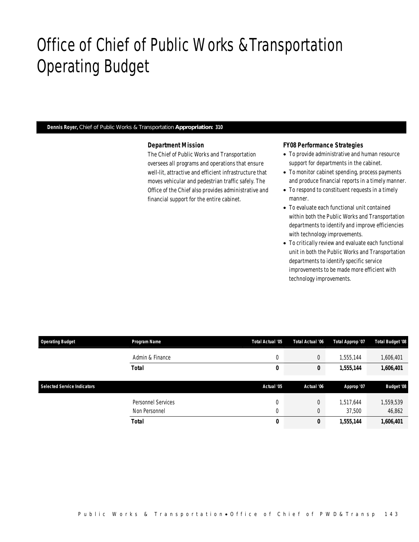## Office of Chief of Public Works &Transportation Operating Budget

*Dennis Royer, Chief of Public Works & Transportation Appropriation: 310* 

#### *Department Mission*

The Chief of Public Works and Transportation oversees all programs and operations that ensure well-lit, attractive and efficient infrastructure that moves vehicular and pedestrian traffic safely. The Office of the Chief also provides administrative and financial support for the entire cabinet.

### *FY08 Performance Strategies*

- To provide administrative and human resource support for departments in the cabinet.
- To monitor cabinet spending, process payments and produce financial reports in a timely manner.
- To respond to constituent requests in a timely manner.
- To evaluate each functional unit contained within both the Public Works and Transportation departments to identify and improve efficiencies with technology improvements.
- To critically review and evaluate each functional unit in both the Public Works and Transportation departments to identify specific service improvements to be made more efficient with technology improvements.

| <b>Operating Budget</b>            | Program Name       | <b>Total Actual '05</b> | Total Actual '06 | Total Approp '07 | <b>Total Budget '08</b> |
|------------------------------------|--------------------|-------------------------|------------------|------------------|-------------------------|
|                                    | Admin & Finance    | 0                       | $\overline{0}$   | 1,555,144        | 1,606,401               |
|                                    | Total              | 0                       | 0                | 1,555,144        | 1,606,401               |
|                                    |                    |                         |                  |                  |                         |
| <b>Selected Service Indicators</b> |                    | Actual '05              | Actual '06       |                  | <b>Budget '08</b>       |
|                                    |                    |                         |                  | Approp '07       |                         |
|                                    | Personnel Services | 0                       | $\overline{0}$   | 1,517,644        | 1,559,539               |
|                                    | Non Personnel      | 0                       | $\overline{0}$   | 37,500           | 46,862                  |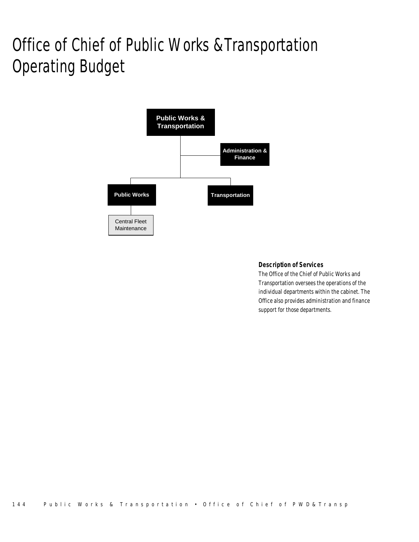# Office of Chief of Public Works &Transportation Operating Budget



### *Description of Services*

The Office of the Chief of Public Works and Transportation oversees the operations of the individual departments within the cabinet. The Office also provides administration and finance support for those departments.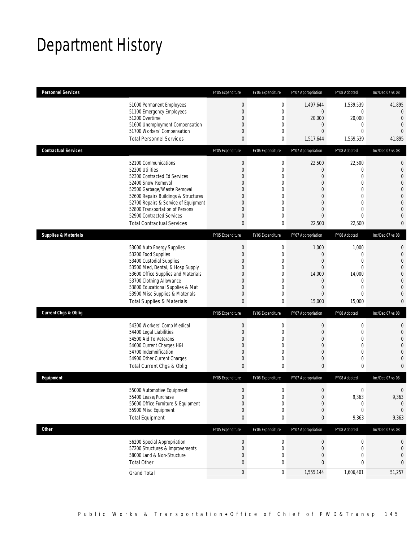## Department History

| <b>Personnel Services</b>       |                                                                                                                                                                                                                                                                                                                   | FY05 Expenditure                                                                                                   | FY06 Expenditure                                                                                           | FY07 Appropriation                                                                                                                                         | FY08 Adopted                                                                                                 | Inc/Dec 07 vs 08                                                                                                                                                |
|---------------------------------|-------------------------------------------------------------------------------------------------------------------------------------------------------------------------------------------------------------------------------------------------------------------------------------------------------------------|--------------------------------------------------------------------------------------------------------------------|------------------------------------------------------------------------------------------------------------|------------------------------------------------------------------------------------------------------------------------------------------------------------|--------------------------------------------------------------------------------------------------------------|-----------------------------------------------------------------------------------------------------------------------------------------------------------------|
|                                 | 51000 Permanent Employees<br>51100 Emergency Employees<br>51200 Overtime<br>51600 Unemployment Compensation<br>51700 Workers' Compensation<br><b>Total Personnel Services</b>                                                                                                                                     | $\mathbf{0}$<br>$\mathbf{0}$<br>$\mathbf{0}$<br>0<br>$\mathbf{0}$<br>$\mathbf{0}$                                  | $\mathbf 0$<br>$\mathbf{0}$<br>0<br>0<br>$\overline{0}$<br>0                                               | 1,497,644<br>$\mathbf 0$<br>20,000<br>$\overline{0}$<br>$\overline{0}$<br>1,517,644                                                                        | 1,539,539<br>0<br>20,000<br>0<br>$\overline{0}$<br>1,559,539                                                 | 41,895<br>$\overline{0}$<br>$\overline{0}$<br>$\overline{0}$<br>$\overline{0}$<br>41,895                                                                        |
| <b>Contractual Services</b>     |                                                                                                                                                                                                                                                                                                                   | FY05 Expenditure                                                                                                   |                                                                                                            |                                                                                                                                                            |                                                                                                              | Inc/Dec 07 vs 08                                                                                                                                                |
|                                 |                                                                                                                                                                                                                                                                                                                   |                                                                                                                    | FY06 Expenditure                                                                                           | FY07 Appropriation                                                                                                                                         | FY08 Adopted                                                                                                 |                                                                                                                                                                 |
|                                 | 52100 Communications<br>52200 Utilities<br>52300 Contracted Ed Services<br>52400 Snow Removal<br>52500 Garbage/Waste Removal<br>52600 Repairs Buildings & Structures<br>52700 Repairs & Service of Equipment<br>52800 Transportation of Persons<br>52900 Contracted Services<br><b>Total Contractual Services</b> | $\mathbf{0}$<br>$\mathbf{0}$<br>$\Omega$<br>0<br>$\theta$<br>$\theta$<br>0<br>$\theta$<br>$\theta$<br>$\mathbf{0}$ | $\mathbf 0$<br>$\mathbf{0}$<br>$\overline{0}$<br>0<br>0<br>0<br>0<br>$\overline{0}$<br>$\mathbf{0}$<br>0   | 22,500<br>$\overline{0}$<br>$\overline{0}$<br>$\overline{0}$<br>$\overline{0}$<br>$\overline{0}$<br>$\overline{0}$<br>$\overline{0}$<br>$\Omega$<br>22,500 | 22,500<br>0<br>$\overline{0}$<br>$\overline{0}$<br>0<br>$\overline{0}$<br>0<br>$\overline{0}$<br>0<br>22,500 | $\mathbf{0}$<br>$\mathbf{0}$<br>$\overline{0}$<br>$\overline{0}$<br>$\mathbf 0$<br>$\mathbf{0}$<br>$\mathbf{0}$<br>$\overline{0}$<br>$\overline{0}$<br>$\bf{0}$ |
| <b>Supplies &amp; Materials</b> |                                                                                                                                                                                                                                                                                                                   | FY05 Expenditure                                                                                                   | FY06 Expenditure                                                                                           | FY07 Appropriation                                                                                                                                         | FY08 Adopted                                                                                                 | Inc/Dec 07 vs 08                                                                                                                                                |
|                                 | 53000 Auto Energy Supplies<br>53200 Food Supplies<br>53400 Custodial Supplies<br>53500 Med, Dental, & Hosp Supply<br>53600 Office Supplies and Materials<br>53700 Clothing Allowance<br>53800 Educational Supplies & Mat<br>53900 Misc Supplies & Materials<br><b>Total Supplies &amp; Materials</b>              | $\mathbf 0$<br>$\theta$<br>0<br>0<br>$\overline{0}$<br>0<br>$\overline{0}$<br>$\mathbf 0$<br>0                     | $\mathbf 0$<br>$\mathbf{0}$<br>$\mathbf 0$<br>$\mathbf{0}$<br>$\mathbf 0$<br>0<br>$\overline{0}$<br>0<br>0 | 1,000<br>$\mathbf 0$<br>$\boldsymbol{0}$<br>$\overline{0}$<br>14,000<br>$\overline{0}$<br>$\overline{0}$<br>$\overline{0}$<br>15,000                       | 1,000<br>0<br>$\overline{0}$<br>0<br>14,000<br>$\mathbf 0$<br>$\overline{0}$<br>$\overline{0}$<br>15,000     | $\mathbf{0}$<br>$\mathbf{0}$<br>$\mathbf{0}$<br>$\mathbf 0$<br>$\mathbf{0}$<br>$\overline{0}$<br>$\overline{0}$<br>$\mathbf{0}$<br>$\mathbf{0}$                 |
| <b>Current Chgs &amp; Oblig</b> |                                                                                                                                                                                                                                                                                                                   | FY05 Expenditure                                                                                                   | FY06 Expenditure                                                                                           | FY07 Appropriation                                                                                                                                         | FY08 Adopted                                                                                                 | Inc/Dec 07 vs 08                                                                                                                                                |
|                                 | 54300 Workers' Comp Medical<br>54400 Legal Liabilities<br>54500 Aid To Veterans<br>54600 Current Charges H&I<br>54700 Indemnification<br>54900 Other Current Charges<br>Total Current Chgs & Oblig                                                                                                                | $\mathbf{0}$<br>$\theta$<br>0<br>0<br>$\mathbf{0}$<br>0<br>$\mathbf{0}$                                            | $\mathbf 0$<br>$\mathbf{0}$<br>0<br>$\mathbf{0}$<br>$\mathbf 0$<br>$\mathbf{0}$<br>0                       | $\boldsymbol{0}$<br>$\mathbf{0}$<br>$\overline{0}$<br>$\overline{0}$<br>$\boldsymbol{0}$<br>$\overline{0}$<br>$\mathbf{0}$                                 | $\mathbf 0$<br>0<br>$\mathbf 0$<br>0<br>$\mathbf 0$<br>0<br>0                                                | $\mathbf 0$<br>$\overline{0}$<br>$\overline{0}$<br>$\overline{0}$<br>$\overline{0}$<br>$\mathbf{0}$<br>$\mathbf{0}$                                             |
| Equipment                       |                                                                                                                                                                                                                                                                                                                   | FY05 Expenditure                                                                                                   | FY06 Expenditure                                                                                           | FY07 Appropriation                                                                                                                                         | FY08 Adopted                                                                                                 | Inc/Dec 07 vs 08                                                                                                                                                |
|                                 | 55000 Automotive Equipment<br>55400 Lease/Purchase<br>55600 Office Furniture & Equipment<br>55900 Misc Equipment<br><b>Total Equipment</b>                                                                                                                                                                        | $\Omega$<br>$\mathbf{0}$<br>$\Omega$<br>$\theta$<br>$\bf{0}$                                                       | $\Omega$<br>$\mathbf 0$<br>0<br>0<br>0                                                                     | $\Omega$<br>$\boldsymbol{0}$<br>$\overline{0}$<br>$\mathbf 0$<br>0                                                                                         | $\Omega$<br>9,363<br>0<br>0<br>9,363                                                                         | 0<br>9,363<br>$\theta$<br>$\Omega$<br>9,363                                                                                                                     |
| <b>Other</b>                    |                                                                                                                                                                                                                                                                                                                   | FY05 Expenditure                                                                                                   | FY06 Expenditure                                                                                           | FY07 Appropriation                                                                                                                                         | FY08 Adopted                                                                                                 | Inc/Dec 07 vs 08                                                                                                                                                |
|                                 | 56200 Special Appropriation<br>57200 Structures & Improvements<br>58000 Land & Non-Structure<br><b>Total Other</b>                                                                                                                                                                                                | $\theta$<br>$\mathbf{0}$<br>$\theta$<br>$\bf{0}$                                                                   | $\boldsymbol{0}$<br>$\mathbf 0$<br>0<br>0                                                                  | $\boldsymbol{0}$<br>$\boldsymbol{0}$<br>0<br>0                                                                                                             | $\boldsymbol{0}$<br>0<br>0<br>0                                                                              | 0<br>0<br>0<br>0                                                                                                                                                |
|                                 | <b>Grand Total</b>                                                                                                                                                                                                                                                                                                | $\mathbf{0}$                                                                                                       | 0                                                                                                          | 1,555,144                                                                                                                                                  | 1,606,401                                                                                                    | 51,257                                                                                                                                                          |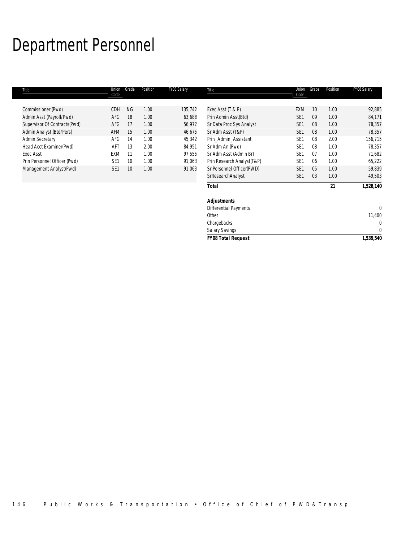## Department Personnel

| Title                        | Union           | Grade     | Position | FY08 Salary | Title                        | Union           | Grade | Position | FY08 Salary |
|------------------------------|-----------------|-----------|----------|-------------|------------------------------|-----------------|-------|----------|-------------|
|                              | Code            |           |          |             |                              | Code            |       |          |             |
|                              |                 |           |          |             |                              |                 |       |          |             |
| Commissioner (Pwd)           | CDH             | <b>NG</b> | 1.00     | 135,742     | Exec Asst (T & P)            | <b>EXM</b>      | 10    | 1.00     | 92,885      |
| Admin Asst (Payroll/Pwd)     | AFG             | 18        | 1.00     | 63,688      | Prin Admin Asst(Btd)         | SE <sub>1</sub> | 09    | 1.00     | 84,171      |
| Supervisor Of Contracts(Pwd) | AFG             | 17        | 1.00     | 56,972      | Sr Data Proc Sys Analyst     | SE <sub>1</sub> | 08    | 1.00     | 78,357      |
| Admin Analyst (Btd/Pers)     | AFM             | 15        | 1.00     | 46,675      | Sr Adm Asst (T&P)            | SE <sub>1</sub> | 08    | 1.00     | 78,357      |
| <b>Admin Secretary</b>       | AFG             | 14        | 1.00     | 45,342      | Prin_Admin_Assistant         | SE <sub>1</sub> | 08    | 2.00     | 156,715     |
| Head Acct Examiner(Pwd)      | AFT             | 13        | 2.00     | 84,951      | Sr Adm An (Pwd)              | SE <sub>1</sub> | 08    | 1.00     | 78,357      |
| <b>Exec Asst</b>             | <b>EXM</b>      | 11        | 1.00     | 97,555      | Sr Adm Asst (Admin Br)       | SE <sub>1</sub> | 07    | 1.00     | 71,682      |
| Prin Personnel Officer (Pwd) | SE <sub>1</sub> | 10        | 1.00     | 91,063      | Prin Research Analyst(T&P)   | SE <sub>1</sub> | 06    | 1.00     | 65,222      |
| Management Analyst(Pwd)      | SE <sub>1</sub> | 10        | 1.00     | 91,063      | Sr Personnel Officer(PWD)    | SE <sub>1</sub> | 05    | 1.00     | 59,839      |
|                              |                 |           |          |             | SrResearchAnalyst            | SE <sub>1</sub> | 03    | 1.00     | 49,503      |
|                              |                 |           |          |             | <b>Total</b>                 |                 |       | 21       | 1,528,140   |
|                              |                 |           |          |             | <b>Adjustments</b>           |                 |       |          |             |
|                              |                 |           |          |             | <b>Differential Payments</b> |                 |       |          | 0           |
|                              |                 |           |          |             | Other                        |                 |       |          | 11,400      |
|                              |                 |           |          |             | Chargebacks                  |                 |       |          | 0           |
|                              |                 |           |          |             | <b>Salary Savings</b>        |                 |       |          | 0           |
|                              |                 |           |          |             | <b>FY08 Total Request</b>    |                 |       |          | 1,539,540   |
|                              |                 |           |          |             |                              |                 |       |          |             |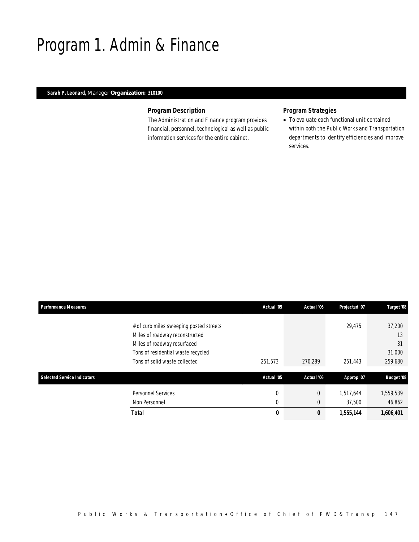## Program 1. Admin & Finance

### *Sarah P. Leonard, Manager Organization: 310100*

### *Program Description*

The Administration and Finance program provides financial, personnel, technological as well as public information services for the entire cabinet.

## *Program Strategies*

• To evaluate each functional unit contained within both the Public Works and Transportation departments to identify efficiencies and improve services.

| <b>Performance Measures</b> |                                                                                                                                                                                 | Actual '05                 | Actual '06                 | Projected '07       | Target '08                              |
|-----------------------------|---------------------------------------------------------------------------------------------------------------------------------------------------------------------------------|----------------------------|----------------------------|---------------------|-----------------------------------------|
|                             | # of curb miles sweeping posted streets<br>Miles of roadway reconstructed<br>Miles of roadway resurfaced<br>Tons of residential waste recycled<br>Tons of solid waste collected | 251,573                    | 270,289                    | 29,475<br>251,443   | 37,200<br>13<br>31<br>31,000<br>259,680 |
| Selected Service Indicators |                                                                                                                                                                                 | Actual '05                 | Actual '06                 | Approp '07          | <b>Budget '08</b>                       |
|                             | <b>Personnel Services</b><br>Non Personnel                                                                                                                                      | $\mathbf 0$<br>$\mathbf 0$ | $\overline{0}$<br>$\theta$ | 1,517,644<br>37,500 | 1,559,539<br>46,862                     |
|                             | <b>Total</b>                                                                                                                                                                    | 0                          | 0                          | 1,555,144           | 1,606,401                               |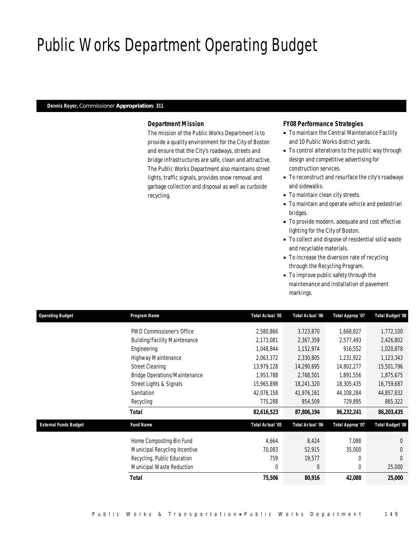## Public Works Department Operating Budget

### *Dennis Royer, Commissioner Appropriation: 311*

### *Department Mission*

The mission of the Public Works Department is to provide a quality environment for the City of Boston and ensure that the City's roadways, streets and bridge infrastructures are safe, clean and attractive. The Public Works Department also maintains street lights, traffic signals, provides snow removal and garbage collection and disposal as well as curbside recycling.

#### *FY08 Performance Strategies*

- To maintain the Central Maintenance Facility and 10 Public Works district yards.
- To control alterations to the public way through design and competitive advertising for construction services.
- To reconstruct and resurface the city's roadways and sidewalks.
- To maintain clean city streets.
- To maintain and operate vehicle and pedestrian bridges.
- To provide modern, adequate and cost effective lighting for the City of Boston.
- To collect and dispose of residential solid waste and recyclable materials.
- To increase the diversion rate of recycling through the Recycling Program.
- To improve public safety through the maintenance and installation of pavement markings.

| <b>Operating Budget</b>      | Program Name                         | Total Actual '05 | Total Actual '06 | <b>Total Approp '07</b> | Total Budget '08        |
|------------------------------|--------------------------------------|------------------|------------------|-------------------------|-------------------------|
|                              | <b>PWD Commissioner's Office</b>     | 2,580,866        | 3,723,870        | 1,668,827               | 1,772,100               |
|                              | <b>Building/Facility Maintenance</b> | 2,173,081        | 2,367,359        | 2,577,493               | 2,426,802               |
|                              | Engineering                          | 1,048,944        | 1,152,974        | 916,552                 | 1,020,878               |
|                              | Highway Maintenance                  | 2,063,372        | 2,330,805        | 1,231,922               | 1,123,343               |
|                              | <b>Street Cleaning</b>               | 13.979.128       | 14,290,695       | 14,802,277              | 15,501,796              |
|                              | <b>Bridge Operations/Maintenance</b> | 1,953,788        | 2,768,501        | 1,891,556               | 1,875,675               |
|                              | Street Lights & Signals              | 15,965,898       | 18,241,320       | 18,305,435              | 16,759,687              |
|                              | Sanitation                           | 42,076,158       | 41,976,161       | 44,108,284              | 44,857,832              |
|                              | Recycling                            | 775,288          | 954,509          | 729,895                 | 865,322                 |
|                              | Total                                | 82,616,523       | 87,806,194       | 86,232,241              | 86,203,435              |
| <b>External Funds Budget</b> | <b>Fund Name</b>                     | Total Actual '05 | Total Actual '06 | Total Approp '07        | <b>Total Budget '08</b> |
|                              | Home Composting Bin Fund             | 4,664            | 8,424            | 7,088                   | $\Omega$                |
|                              | Municipal Recycling Incentive        | 70,083           | 52,915           | 35,000                  | $\Omega$                |
|                              | Recycling, Public Education          | 759              | 19,577           | 0                       | $\Omega$                |
|                              | Municipal Waste Reduction            | $\Omega$         | $\Omega$         | $\theta$                | 25,000                  |
|                              | <b>Total</b>                         | 75,506           | 80,916           | 42,088                  | 25,000                  |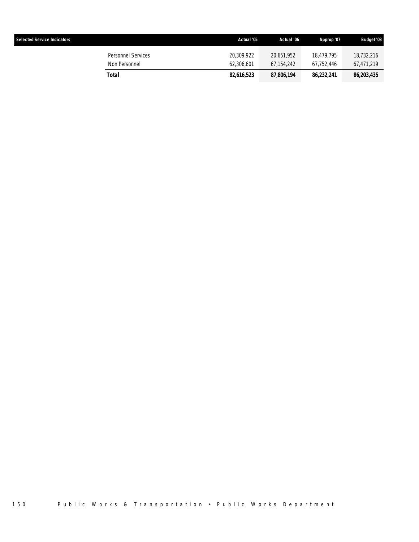| <b>Selected Service Indicators</b> |                                     | Actual '05               | Actual '06               | Approp '07               | <b>Budget '08</b>        |
|------------------------------------|-------------------------------------|--------------------------|--------------------------|--------------------------|--------------------------|
|                                    | Personnel Services<br>Non Personnel | 20.309.922<br>62,306,601 | 20.651.952<br>67.154.242 | 18.479.795<br>67.752.446 | 18,732,216<br>67,471,219 |
|                                    | Total                               | 82,616,523               | 87,806,194               | 86,232,241               | 86,203,435               |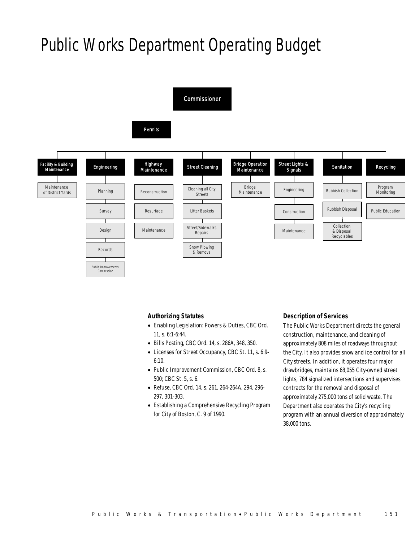## Public Works Department Operating Budget



### *Authorizing Statutes*

- Enabling Legislation: Powers & Duties, CBC Ord. 11, s. 6:1-6:44.
- Bills Posting, CBC Ord. 14, s. 286A, 348, 350.
- Licenses for Street Occupancy, CBC St. 11, s. 6:9-  $6:10.$
- Public Improvement Commission, CBC Ord. 8, s. 500; CBC St. 5, s. 6.
- Refuse, CBC Ord. 14, s. 261, 264-264A, 294, 296- 297, 301-303.
- Establishing a Comprehensive Recycling Program for City of Boston, C. 9 of 1990.

#### *Description of Services*

The Public Works Department directs the general construction, maintenance, and cleaning of approximately 808 miles of roadways throughout the City. It also provides snow and ice control for all City streets. In addition, it operates four major drawbridges, maintains 68,055 City-owned street lights, 784 signalized intersections and supervises contracts for the removal and disposal of approximately 275,000 tons of solid waste. The Department also operates the City's recycling program with an annual diversion of approximately 38,000 tons.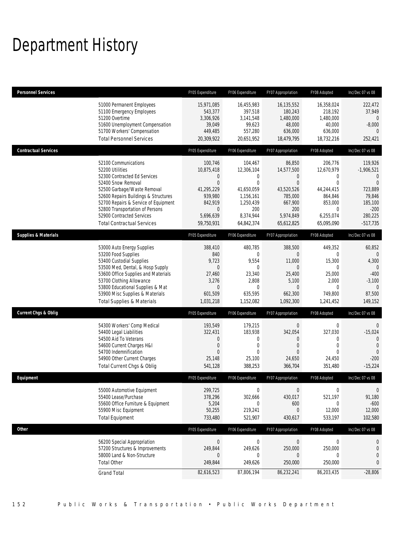## Department History

| <b>Personnel Services</b>       |                                                                                                                                                                                                                                                                                                                   | FY05 Expenditure                                                                                                                  | FY06 Expenditure                                                                                                 | FY07 Appropriation                                                                                                | FY08 Adopted                                                                                                          | Inc/Dec 07 vs 08                                                                                                   |
|---------------------------------|-------------------------------------------------------------------------------------------------------------------------------------------------------------------------------------------------------------------------------------------------------------------------------------------------------------------|-----------------------------------------------------------------------------------------------------------------------------------|------------------------------------------------------------------------------------------------------------------|-------------------------------------------------------------------------------------------------------------------|-----------------------------------------------------------------------------------------------------------------------|--------------------------------------------------------------------------------------------------------------------|
|                                 | 51000 Permanent Employees<br>51100 Emergency Employees<br>51200 Overtime<br>51600 Unemployment Compensation<br>51700 Workers' Compensation<br><b>Total Personnel Services</b>                                                                                                                                     | 15,971,085<br>543,377<br>3,306,926<br>39,049<br>449,485<br>20,309,922                                                             | 16,455,983<br>397,518<br>3,141,548<br>99,623<br>557,280<br>20,651,952                                            | 16,135,552<br>180,243<br>1,480,000<br>48,000<br>636,000<br>18,479,795                                             | 16,358,024<br>218,192<br>1,480,000<br>40,000<br>636,000<br>18,732,216                                                 | 222,472<br>37,949<br>$\overline{0}$<br>$-8,000$<br>252,421                                                         |
| <b>Contractual Services</b>     |                                                                                                                                                                                                                                                                                                                   | FY05 Expenditure                                                                                                                  | FY06 Expenditure                                                                                                 | FY07 Appropriation                                                                                                | FY08 Adopted                                                                                                          | Inc/Dec 07 vs 08                                                                                                   |
|                                 | 52100 Communications<br>52200 Utilities<br>52300 Contracted Ed Services<br>52400 Snow Removal<br>52500 Garbage/Waste Removal<br>52600 Repairs Buildings & Structures<br>52700 Repairs & Service of Equipment<br>52800 Transportation of Persons<br>52900 Contracted Services<br><b>Total Contractual Services</b> | 100,746<br>10,875,418<br>$\overline{0}$<br>$\Omega$<br>41,295,229<br>939,980<br>842,919<br>$\mathbf 0$<br>5,696,639<br>59,750,931 | 104,467<br>12,306,104<br>0<br>$\theta$<br>41,650,059<br>1,156,161<br>1,250,439<br>200<br>8,374,944<br>64,842,374 | 86,850<br>14,577,500<br>0<br>$\overline{0}$<br>43,520,526<br>785,000<br>667,900<br>200<br>5,974,849<br>65,612,825 | 206,776<br>12,670,979<br>0<br>$\theta$<br>44,244,415<br>864,846<br>853,000<br>$\mathbf{0}$<br>6,255,074<br>65,095,090 | 119,926<br>$-1,906,521$<br>$\Omega$<br>$\Omega$<br>723,889<br>79,846<br>185,100<br>$-200$<br>280,225<br>$-517,735$ |
| <b>Supplies &amp; Materials</b> |                                                                                                                                                                                                                                                                                                                   | FY05 Expenditure                                                                                                                  | FY06 Expenditure                                                                                                 | FY07 Appropriation                                                                                                | FY08 Adopted                                                                                                          | Inc/Dec 07 vs 08                                                                                                   |
|                                 | 53000 Auto Energy Supplies<br>53200 Food Supplies<br>53400 Custodial Supplies<br>53500 Med, Dental, & Hosp Supply<br>53600 Office Supplies and Materials<br>53700 Clothing Allowance<br>53800 Educational Supplies & Mat<br>53900 Misc Supplies & Materials<br><b>Total Supplies &amp; Materials</b>              | 388,410<br>840<br>9,723<br>$\overline{0}$<br>27,460<br>3,276<br>$\Omega$<br>601,509<br>1,031,218                                  | 480,785<br>$\Omega$<br>9,554<br>$\Omega$<br>23,340<br>2,808<br>$\Omega$<br>635,595<br>1,152,082                  | 388,500<br>0<br>11,000<br>0<br>25,400<br>5,100<br>$\Omega$<br>662,300<br>1,092,300                                | 449,352<br>$\Omega$<br>15,300<br>$\Omega$<br>25,000<br>2,000<br>$\Omega$<br>749,800<br>1,241,452                      | 60,852<br>$\Omega$<br>4,300<br>$\mathbf{0}$<br>$-400$<br>$-3,100$<br>$\Omega$<br>87,500<br>149,152                 |
| <b>Current Chgs &amp; Oblig</b> |                                                                                                                                                                                                                                                                                                                   | FY05 Expenditure                                                                                                                  | FY06 Expenditure                                                                                                 | FY07 Appropriation                                                                                                | FY08 Adopted                                                                                                          | Inc/Dec 07 vs 08                                                                                                   |
|                                 | 54300 Workers' Comp Medical<br>54400 Legal Liabilities<br>54500 Aid To Veterans<br>54600 Current Charges H&I<br>54700 Indemnification<br>54900 Other Current Charges<br>Total Current Chgs & Oblig                                                                                                                | 193,549<br>322,431<br>$\overline{0}$<br>$\overline{0}$<br>$\Omega$<br>25,148<br>541,128                                           | 179,215<br>183,938<br>0<br>$\mathbf 0$<br>$\Omega$<br>25,100<br>388,253                                          | $\boldsymbol{0}$<br>342,054<br>0<br>$\overline{0}$<br>0<br>24,650<br>366,704                                      | 0<br>327,030<br>0<br>$\mathbf 0$<br>$\Omega$<br>24,450<br>351,480                                                     | $\mathbf 0$<br>$-15,024$<br>$\overline{0}$<br>$\overline{0}$<br>$\Omega$<br>$-200$<br>$-15,224$                    |
| Equipment                       |                                                                                                                                                                                                                                                                                                                   | FY05 Expenditure                                                                                                                  | FY06 Expenditure                                                                                                 | FY07 Appropriation                                                                                                | FY08 Adopted                                                                                                          | Inc/Dec 07 vs 08                                                                                                   |
|                                 | 55000 Automotive Equipment<br>55400 Lease/Purchase<br>55600 Office Furniture & Equipment<br>55900 Misc Equipment<br><b>Total Equipment</b>                                                                                                                                                                        | 299,725<br>378,296<br>5,204<br>50,255<br>733,480                                                                                  | $\mathbf 0$<br>302,666<br>$\Omega$<br>219,241<br>521,907                                                         | $\overline{0}$<br>430,017<br>600<br>0<br>430,617                                                                  | $\mathbf{0}$<br>521,197<br>$\Omega$<br>12,000<br>533,197                                                              | $\mathbf{0}$<br>91,180<br>$-600$<br>12,000<br>102,580                                                              |
| Other                           |                                                                                                                                                                                                                                                                                                                   | FY05 Expenditure                                                                                                                  | FY06 Expenditure                                                                                                 | FY07 Appropriation                                                                                                | FY08 Adopted                                                                                                          | Inc/Dec 07 vs 08                                                                                                   |
|                                 | 56200 Special Appropriation<br>57200 Structures & Improvements<br>58000 Land & Non-Structure<br><b>Total Other</b>                                                                                                                                                                                                | $\overline{0}$<br>249,844<br>249,844                                                                                              | $\boldsymbol{0}$<br>249,626<br>0<br>249,626                                                                      | $\overline{0}$<br>250,000<br>0<br>250,000                                                                         | 0<br>250,000<br>0<br>250,000                                                                                          | 0<br>$\boldsymbol{0}$<br>0<br>0                                                                                    |
|                                 | <b>Grand Total</b>                                                                                                                                                                                                                                                                                                | 82,616,523                                                                                                                        | 87,806,194                                                                                                       | 86,232,241                                                                                                        | 86,203,435                                                                                                            | $-28,806$                                                                                                          |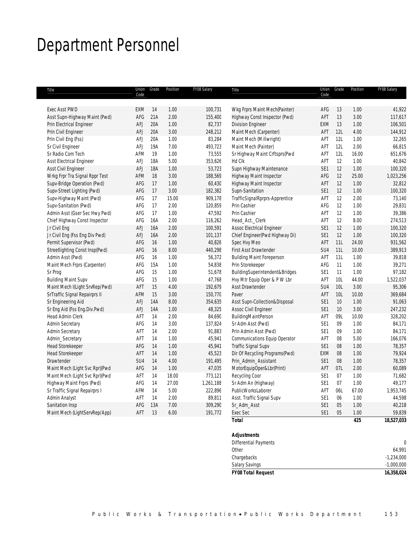## Department Personnel

| Title                          | Union<br>Code | Grade      | Position | FY08 Salary | Title                                              | Union<br>Code   | Grade | Position | FY08 Salary |
|--------------------------------|---------------|------------|----------|-------------|----------------------------------------------------|-----------------|-------|----------|-------------|
| Exec Asst PWD                  | EXM           | 14         | 1.00     | 100,731     | Wkg Frprs Maint Mech(Painter)                      | AFG             | 13    | 1.00     | 41,922      |
| Asst Supn-Highway Maint (Pwd)  | AFG           | 21A        | 2.00     | 155,400     | Highway Const Inspector (Pwd)                      | AFT             | 13    | 3.00     | 117,617     |
| Prin Electrical Engineer       | AFJ           | 20A        | 1.00     | 82,737      | <b>Division Engineer</b>                           | EXM             | 13    | 1.00     | 106,501     |
| Prin Civil Engineer            | AFJ           | 20A        | 3.00     | 248,212     | Maint Mech (Carpenter)                             | AFT             | 12L   | 4.00     | 144,912     |
| Prin Civil Eng (Fss)           | AFJ           | 20A        | 1.00     | 83,284      | Maint Mech (Millwright)                            | AFT             | 12L   | 1.00     | 32,265      |
| Sr Civil Engineer              | <b>AFJ</b>    | 19A        | 7.00     | 493,723     | Maint Mech (Painter)                               | AFT             | 12L   | 2.00     | 66,815      |
| Sr Radio Com Tech              | AFM           | 19         | 1.00     | 73,555      | Sr Highway Maint Crftsprs(Pwd                      | AFT             | 12L   | 16.00    | 651,676     |
| Asst Electrical Engineer       | AFJ           | 18A        | 5.00     | 353,626     | Hd Clk                                             | AFT             | 12    | 1.00     | 40,842      |
| Asst Civil Engineer            | AFJ           | 18A        | 1.00     | 53,723      | Supn Highway Maintenance                           | SE1             | 12    | 1.00     | 100,320     |
| Wrkg Frpr Tra Signal Rppr Test | AFM           | 18         | 3.00     | 188,569     | Highway Maint Inspector                            | AFG             | 12    | 25.00    | 1,023,256   |
| Supv-Bridge Operation (Pwd)    | AFG           | 17         | 1.00     | 60,430      | Highway Maint Inspector                            | AFT             | 12    | 1.00     | 32,812      |
| Supv-Street Lighting (Pwd)     | AFG           | 17         | 3.00     | 182,382     | Supn-Sanitation                                    | SE1             | 12    | 1.00     | 100,320     |
| Supv-Highway Maint (Pwd)       | AFG           | 17         | 15.00    | 909,178     | TrafficSignalRprprs-Apprentice                     | AFT             | 12    | 2.00     | 73,140      |
| Supv-Sanitation (Pwd)          | AFG           | 17         | 2.00     | 120,859     | Prin Cashier                                       | AFG             | 12    | 1.00     | 29,831      |
| Admin Asst (Gser Sec Hwy Pwd)  | AFG           | 17         | 1.00     | 47,592      | Prin Cashier                                       | AFT             | 12    | 1.00     | 39,386      |
| Chief Highway Const Inspector  | AFG           | 16A        | 2.00     | 116,262     | Head_Act._Clerk                                    | AFT             | 12    | 8.00     | 274,513     |
| Jr Civil Eng                   | AFJ           | 16A        | 2.00     | 100,591     | <b>Assoc Electrical Engineer</b>                   | SE1             | 12    | 1.00     | 100,320     |
| Jr Civil Eng (Fss Eng Div Pwd) | <b>AFJ</b>    | 16A        | 2.00     | 101,137     | Chief Engineer(Pwd Highway Di)                     | SE1             | 12    | 1.00     | 100,320     |
| Permit Supervisor (Pwd)        | AFG           | 16         | 1.00     | 40,826      | Spec Hvy Meo                                       | AFT             | 11L   | 24.00    | 931,562     |
| Streetlighting Const Insp(Pwd) | AFG           | 16         | 8.00     | 440,298     | First Asst Drawtender                              | SU4             | 11L   | 10.00    | 389,913     |
| Admin Asst (Pwd)               | AFG           | 16         | 1.00     | 56,372      | <b>Building Maint Foreperson</b>                   | AFT             | 11L   | 1.00     | 39,818      |
| Maint Mech Frprs (Carpenter)   | AFG           | 15A        | 1.00     | 54,838      | Prin Storekeeper                                   | AFG             | 11    | 1.00     | 39,271      |
| Sr Prog                        | AFG           | 15         | 1.00     | 51,678      | BuildingSuperintendent&Bridges                     | SE <sub>1</sub> | 11    | 1.00     | 97,182      |
| <b>Building Maint Supv</b>     | AFG           | 15         | 1.00     | 47,768      | Hvy Mtr Equip Oper & P W Lbr                       | AFT             | 10L   | 44.00    | 1,522,037   |
| Maint Mech I(Light SrvRep/Pwd) | AFT           | 15         | 4.00     | 192,679     | Asst Drawtender                                    | SU4             | 10L   | 3.00     | 95,306      |
| SrTraffic Signal Repairprs II  | AFM           | 15         | 3.00     | 150,770     | Paver                                              | AFT             | 10L   | 10.00    | 369,684     |
| Sr Engineering Aid             | AFJ           | <b>14A</b> | 8.00     | 354,635     | Asst Supn-Collection&Disposal                      | SE1             | 10    | 1.00     | 91,063      |
| Sr Eng Aid (Fss Eng.Div.Pwd)   | <b>AFJ</b>    | 14A        | 1.00     | 48,325      | Assoc Civil Engineer                               | SE1             | 10    | 3.00     | 247,232     |
| Head Admin Clerk               | AFT           | 14         | 2.00     | 84,690      | BuildingMaintPerson                                | AFT             | 09L   | 10.00    | 328,202     |
| Admin Secretary                | AFG           | 14         | 3.00     | 137,824     | Sr Adm Asst (Pwd)                                  | SE <sub>1</sub> | 09    | 1.00     | 84,171      |
| Admin Secretary                | AFT           | 14         | 2.00     | 91,883      | Prin Admin Asst (Pwd)                              | SE <sub>1</sub> | 09    | 1.00     | 84,171      |
| Admin_Secretary                | AFT           | 14         | 1.00     | 45,941      | Communications Equip Operator                      | AFT             | 08    | 5.00     | 166,076     |
| Head Storekeeper               | AFG           | 14         | 1.00     | 45,941      | Traffic Signal Supv                                | SE1             | 08    | 1.00     | 78,357      |
| <b>Head Storekeeper</b>        | AFT           | 14         | 1.00     | 45,523      | Dir Of Recycling Programs(Pwd)                     | EXM             | 08    | 1.00     | 79,924      |
| Drawtender                     | SU4           | 14         | 4.00     | 191,495     | Prin_Admin_Assistant                               | SE <sub>1</sub> | 08    | 1.00     | 78,357      |
| Maint Mech (Light Svc Rpr)(Pwd | AFG           | 14         | 1.00     | 47,035      | MotorEquipOper&Lbr(Print)                          | AFT             | 07L   | 2.00     | 60,089      |
| Maint Mech (Light Svc Rpr)(Pwd | AFT           | 14         | 18.00    | 773,121     | Recycling Coor                                     | SE <sub>1</sub> | 07    | 1.00     | 71,682      |
| Highway Maint Frprs (Pwd)      | AFG           | 14         | 27.00    | 1,261,188   | Sr Adm An (Highway)                                | SE <sub>1</sub> | 07    | 1.00     | 49,177      |
| Sr Traffic Signal Repairprs I  | AFM           | 14         | $5.00\,$ | 222,896     | PublicWorksLaborer                                 | AFT             | 06L   | 67.00    | 1,953,745   |
| Admin Analyst                  | AFT           | 14         | 2.00     | 89,811      | Asst. Traffic Signal Supv                          | SE <sub>1</sub> | 06    | 1.00     | 44,598      |
| Sanitation Insp                | AFG           | 13A        | 7.00     | 309,290     | Sr_Adm_Asst                                        | SE1             | 05    | 1.00     | 40,218      |
| Maint Mech (LightServRep/App)  | AFT           | 13         | 6.00     | 191,772     | Exec Sec                                           | SE1             | 05    | 1.00     | 59,839      |
|                                |               |            |          |             | <b>Total</b>                                       |                 |       | 425      | 18,527,033  |
|                                |               |            |          |             | <b>Adjustments</b><br><b>Differential Payments</b> |                 |       |          | $\mathbf 0$ |

| <b>FY08 Total Request</b>        | 16,358,024   |
|----------------------------------|--------------|
| <b>Salary Savings</b>            | $-1,000,000$ |
| Chargebacks                      | $-1,234,000$ |
| Other                            | 64.991       |
| <b>DITICICITUAL LA VITICITIO</b> | $\mathbf{u}$ |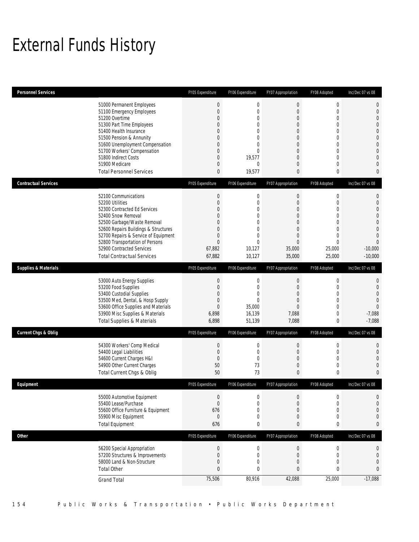## External Funds History

| <b>Personnel Services</b>       |                                                                                                                                                                                                                                                                                                                   | FY05 Expenditure                                                                                                                                                         | FY06 Expenditure                                                                                                                     | FY07 Appropriation                                                                                                                                                           | FY08 Adopted                                                                                                                                          | Inc/Dec 07 vs 08                                                                                                                                                     |
|---------------------------------|-------------------------------------------------------------------------------------------------------------------------------------------------------------------------------------------------------------------------------------------------------------------------------------------------------------------|--------------------------------------------------------------------------------------------------------------------------------------------------------------------------|--------------------------------------------------------------------------------------------------------------------------------------|------------------------------------------------------------------------------------------------------------------------------------------------------------------------------|-------------------------------------------------------------------------------------------------------------------------------------------------------|----------------------------------------------------------------------------------------------------------------------------------------------------------------------|
|                                 | 51000 Permanent Employees<br>51100 Emergency Employees<br>51200 Overtime<br>51300 Part Time Employees<br>51400 Health Insurance<br>51500 Pension & Annunity<br>51600 Unemployment Compensation<br>51700 Workers' Compensation<br>51800 Indirect Costs<br>51900 Medicare<br><b>Total Personnel Services</b>        | $\boldsymbol{0}$<br>$\mathbf 0$<br>$\overline{0}$<br>0<br>$\mathbf{0}$<br>$\overline{0}$<br>$\mathbf{0}$<br>$\overline{0}$<br>$\mathbf{0}$<br>$\mathbf 0$<br>$\mathbf 0$ | $\mathbf 0$<br>$\mathbf{0}$<br>$\theta$<br>0<br>$\Omega$<br>$\mathbf{0}$<br>$\Omega$<br>$\Omega$<br>19,577<br>$\mathbf{0}$<br>19,577 | $\boldsymbol{0}$<br>$\mathbf{0}$<br>$\mathbf{0}$<br>$\mathbf{0}$<br>$\mathbf{0}$<br>$\mathbf{0}$<br>$\mathbf{0}$<br>$\Omega$<br>$\mathbf{0}$<br>$\mathbf{0}$<br>$\mathbf{0}$ | $\boldsymbol{0}$<br>$\mathbf{0}$<br>$\mathbf 0$<br>$\mathbf{0}$<br>$\mathbf 0$<br>$\mathbf 0$<br>$\mathbf 0$<br>$\mathbf 0$<br>$\mathbf{0}$<br>0<br>0 | $\mathbf 0$<br>$\mathbf 0$<br>$\mathbf{0}$<br>$\boldsymbol{0}$<br>$\mathbf 0$<br>$\mathbf{0}$<br>$\theta$<br>$\Omega$<br>$\mathbf{0}$<br>$\mathbf 0$<br>$\mathbf{0}$ |
| <b>Contractual Services</b>     |                                                                                                                                                                                                                                                                                                                   | FY05 Expenditure                                                                                                                                                         | FY06 Expenditure                                                                                                                     | FY07 Appropriation                                                                                                                                                           | FY08 Adopted                                                                                                                                          | Inc/Dec 07 vs 08                                                                                                                                                     |
|                                 | 52100 Communications<br>52200 Utilities<br>52300 Contracted Ed Services<br>52400 Snow Removal<br>52500 Garbage/Waste Removal<br>52600 Repairs Buildings & Structures<br>52700 Repairs & Service of Equipment<br>52800 Transportation of Persons<br>52900 Contracted Services<br><b>Total Contractual Services</b> | $\theta$<br>$\mathbf{0}$<br>$\mathbf{0}$<br>$\overline{0}$<br>$\overline{0}$<br>$\Omega$<br>$\mathbf 0$<br>$\mathbf{0}$<br>67,882<br>67,882                              | $\mathbf 0$<br>$\mathbf 0$<br>0<br>$\mathbf{0}$<br>$\overline{0}$<br>$\theta$<br>0<br>$\mathbf{0}$<br>10,127<br>10,127               | $\mathbf 0$<br>$\mathbf{0}$<br>$\mathbf{0}$<br>$\mathbf{0}$<br>$\mathbf{0}$<br>$\mathbf{0}$<br>$\mathbf{0}$<br>$\mathbf{0}$<br>35,000<br>35,000                              | 0<br>$\mathbf 0$<br>$\mathbf 0$<br>$\mathbf 0$<br>$\mathbf{0}$<br>$\Omega$<br>$\mathbf{0}$<br>$\theta$<br>25,000<br>25,000                            | 0<br>$\boldsymbol{0}$<br>$\mathbf 0$<br>$\mathbf{0}$<br>$\mathbf{0}$<br>$\Omega$<br>$\mathbf{0}$<br>$\theta$<br>$-10,000$<br>$-10.000$                               |
| <b>Supplies &amp; Materials</b> |                                                                                                                                                                                                                                                                                                                   | FY05 Expenditure                                                                                                                                                         | FY06 Expenditure                                                                                                                     | FY07 Appropriation                                                                                                                                                           | FY08 Adopted                                                                                                                                          | Inc/Dec 07 vs 08                                                                                                                                                     |
|                                 | 53000 Auto Energy Supplies<br>53200 Food Supplies<br>53400 Custodial Supplies<br>53500 Med, Dental, & Hosp Supply<br>53600 Office Supplies and Materials<br>53900 Misc Supplies & Materials<br><b>Total Supplies &amp; Materials</b>                                                                              | $\boldsymbol{0}$<br>$\mathbf{0}$<br>$\mathbf{0}$<br>$\overline{0}$<br>$\mathbf{0}$<br>6,898<br>6,898                                                                     | $\mathbf 0$<br>$\mathbf{0}$<br>$\mathbf{0}$<br>$\mathbf{0}$<br>35,000<br>16,139<br>51,139                                            | $\mathbf{0}$<br>$\mathbf{0}$<br>$\mathbf{0}$<br>$\mathbf{0}$<br>$\Omega$<br>7,088<br>7,088                                                                                   | $\mathbf 0$<br>$\mathbf 0$<br>0<br>$\mathbf{0}$<br>$\mathbf 0$<br>$\mathbf{0}$<br>0                                                                   | 0<br>$\theta$<br>$\overline{0}$<br>$\mathbf{0}$<br>$\Omega$<br>$-7,088$<br>$-7,088$                                                                                  |
| <b>Current Chgs &amp; Oblig</b> |                                                                                                                                                                                                                                                                                                                   | FY05 Expenditure                                                                                                                                                         | FY06 Expenditure                                                                                                                     | FY07 Appropriation                                                                                                                                                           | FY08 Adopted                                                                                                                                          | Inc/Dec 07 vs 08                                                                                                                                                     |
|                                 | 54300 Workers' Comp Medical<br>54400 Legal Liabilities<br>54600 Current Charges H&I<br>54900 Other Current Charges<br>Total Current Chgs & Oblig                                                                                                                                                                  | $\mathbf{0}$<br>$\mathbf{0}$<br>$\mathbf{0}$<br>50<br>50                                                                                                                 | $\mathbf 0$<br>$\mathbf{0}$<br>$\mathbf{0}$<br>73<br>73                                                                              | $\boldsymbol{0}$<br>$\mathbf{0}$<br>$\mathbf{0}$<br>$\mathbf{0}$<br>$\mathbf{0}$                                                                                             | $\mathbf 0$<br>$\mathbf 0$<br>$\mathbf 0$<br>$\mathbf 0$<br>0                                                                                         | $\mathbf 0$<br>$\theta$<br>$\overline{0}$<br>$\mathbf 0$<br>$\overline{0}$                                                                                           |
| Equipment                       |                                                                                                                                                                                                                                                                                                                   | FY05 Expenditure                                                                                                                                                         | FY06 Expenditure                                                                                                                     | FY07 Appropriation                                                                                                                                                           | FY08 Adopted                                                                                                                                          | Inc/Dec 07 vs 08                                                                                                                                                     |
|                                 | 55000 Automotive Equipment<br>55400 Lease/Purchase<br>55600 Office Furniture & Equipment<br>55900 Misc Equipment<br><b>Total Equipment</b>                                                                                                                                                                        | $\mathbf 0$<br>$\mathbf{0}$<br>676<br>$\boldsymbol{0}$<br>676                                                                                                            | $\mathbf 0$<br>$\mathbf{0}$<br>$\mathbf{0}$<br>$\mathbf 0$<br>$\bf{0}$                                                               | $\mathbf{0}$<br>$\mathbf{0}$<br>$\mathbf{0}$<br>0<br>$\bf{0}$                                                                                                                | 0<br>$\mathbf 0$<br>$\boldsymbol{0}$<br>$\boldsymbol{0}$<br>$\bf{0}$                                                                                  | $\mathbf 0$<br>$\mathbf 0$<br>$\mathbf 0$<br>$\mathbf 0$<br>$\pmb{0}$                                                                                                |
| <b>Other</b>                    |                                                                                                                                                                                                                                                                                                                   | FY05 Expenditure                                                                                                                                                         | FY06 Expenditure                                                                                                                     | FY07 Appropriation                                                                                                                                                           | FY08 Adopted                                                                                                                                          | Inc/Dec 07 vs 08                                                                                                                                                     |
|                                 | 56200 Special Appropriation<br>57200 Structures & Improvements<br>58000 Land & Non-Structure<br><b>Total Other</b><br><b>Grand Total</b>                                                                                                                                                                          | $\boldsymbol{0}$<br>$\boldsymbol{0}$<br>$\mathbf 0$<br>$\mathbf{0}$<br>75,506                                                                                            | $\mathbf 0$<br>$\mathbf 0$<br>$\mathbf{0}$<br>0<br>80,916                                                                            | $\boldsymbol{0}$<br>$\boldsymbol{0}$<br>$\mathbf{0}$<br>0<br>42,088                                                                                                          | $\boldsymbol{0}$<br>$\boldsymbol{0}$<br>$\boldsymbol{0}$<br>0<br>25,000                                                                               | 0<br>$\mathbf 0$<br>$\mathbf 0$<br>$\mathbf{0}$<br>$-17,088$                                                                                                         |
|                                 |                                                                                                                                                                                                                                                                                                                   |                                                                                                                                                                          |                                                                                                                                      |                                                                                                                                                                              |                                                                                                                                                       |                                                                                                                                                                      |

154 Public Works & Transportation • Public Works Department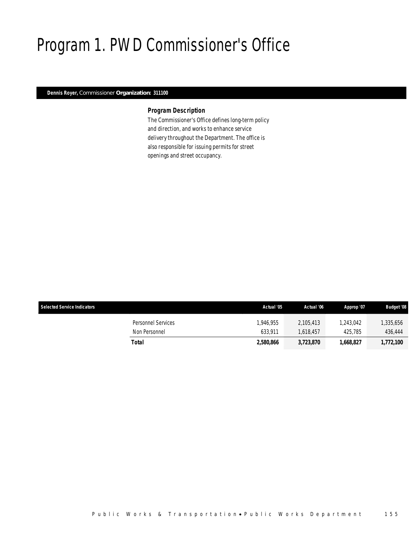## Program 1. PWD Commissioner's Office

### *Dennis Royer, Commissioner Organization: 311100*

### *Program Description*

The Commissioner's Office defines long-term policy and direction, and works to enhance service delivery throughout the Department. The office is also responsible for issuing permits for street openings and street occupancy.

| <b>Selected Service Indicators</b>  | Actual '05           | Actual '06           | Approp '07           | <b>Budget '08</b>    |
|-------------------------------------|----------------------|----------------------|----------------------|----------------------|
| Personnel Services<br>Non Personnel | 1.946.955<br>633.911 | 2.105.413<br>618.457 | 1.243.042<br>425,785 | 1,335,656<br>436.444 |
| Total                               | 2.580.866            | 3,723,870            | 1.668.827            | 1,772,100            |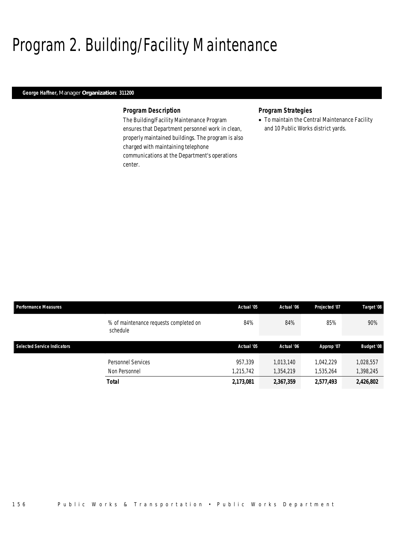## Program 2. Building/Facility Maintenance

### *George Haffner, Manager Organization: 311200*

### *Program Description*

The Building/Facility Maintenance Program ensures that Department personnel work in clean, properly maintained buildings. The program is also charged with maintaining telephone communications at the Department's operations center.

### *Program Strategies*

• To maintain the Central Maintenance Facility and 10 Public Works district yards.

| <b>Performance Measures</b>        |                                                    | Actual '05 | Actual '06 | Projected '07 | Target '08        |
|------------------------------------|----------------------------------------------------|------------|------------|---------------|-------------------|
|                                    | % of maintenance requests completed on<br>schedule | 84%        | 84%        | 85%           | 90%               |
| <b>Selected Service Indicators</b> |                                                    | Actual '05 | Actual '06 | Approp '07    | <b>Budget '08</b> |
|                                    | Personnel Services                                 | 957.339    | 1.013.140  | 1,042,229     | 1,028,557         |
|                                    | Non Personnel                                      | 1,215,742  | 1,354,219  | 1,535,264     | 1,398,245         |
|                                    | <b>Total</b>                                       | 2,173,081  | 2,367,359  | 2,577,493     | 2,426,802         |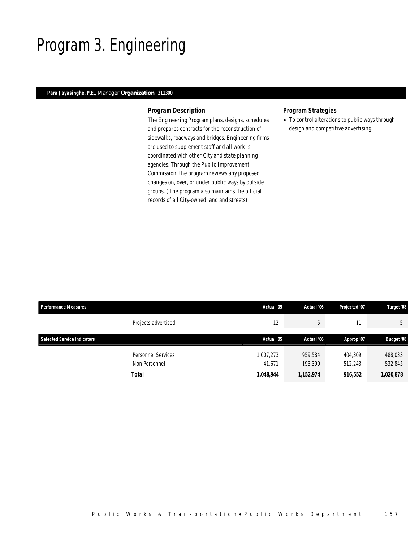## Program 3. Engineering

### *Para Jayasinghe, P.E., Manager Organization: 311300*

#### *Program Description*

The Engineering Program plans, designs, schedules and prepares contracts for the reconstruction of sidewalks, roadways and bridges. Engineering firms are used to supplement staff and all work is coordinated with other City and state planning agencies. Through the Public Improvement Commission, the program reviews any proposed changes on, over, or under public ways by outside groups. (The program also maintains the official records of all City-owned land and streets).

### *Program Strategies*

• To control alterations to public ways through design and competitive advertising.

| <b>Performance Measures</b>        |                           | Actual '05 | Actual '06 | Projected '07 | Target '08        |
|------------------------------------|---------------------------|------------|------------|---------------|-------------------|
|                                    | Projects advertised       | 12         | 5          |               | 5                 |
| <b>Selected Service Indicators</b> |                           | Actual '05 | Actual '06 | Approp '07    | <b>Budget '08</b> |
|                                    | <b>Personnel Services</b> | 1,007,273  | 959,584    | 404.309       | 488,033           |
|                                    | Non Personnel             | 41.671     | 193,390    | 512,243       | 532,845           |
|                                    | Total                     | 1,048,944  | 1,152,974  | 916,552       | 1,020,878         |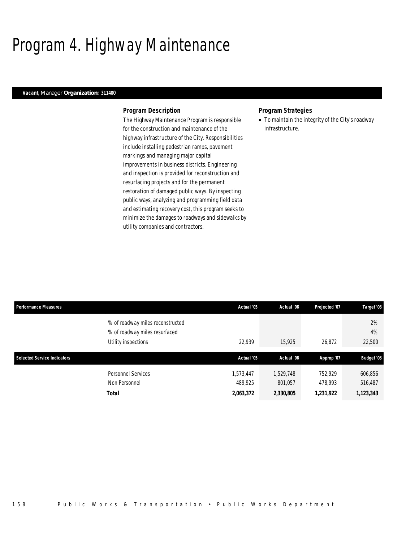## Program 4. Highway Maintenance

### *Vacant, Manager Organization: 311400*

#### *Program Description*

The Highway Maintenance Program is responsible for the construction and maintenance of the highway infrastructure of the City. Responsibilities include installing pedestrian ramps, pavement markings and managing major capital improvements in business districts. Engineering and inspection is provided for reconstruction and resurfacing projects and for the permanent restoration of damaged public ways. By inspecting public ways, analyzing and programming field data and estimating recovery cost, this program seeks to minimize the damages to roadways and sidewalks by utility companies and contractors.

#### *Program Strategies*

• To maintain the integrity of the City's roadway infrastructure.

| <b>Performance Measures</b>        |                                                                                          | Actual '05           | Actual '06           | Projected '07      | Target '08         |
|------------------------------------|------------------------------------------------------------------------------------------|----------------------|----------------------|--------------------|--------------------|
|                                    | % of roadway miles reconstructed<br>% of roadway miles resurfaced<br>Utility inspections | 22.939               | 15,925               | 26,872             | 2%<br>4%<br>22,500 |
| <b>Selected Service Indicators</b> |                                                                                          | Actual '05           | Actual '06           | Approp '07         | <b>Budget '08</b>  |
|                                    | Personnel Services<br>Non Personnel                                                      | 1,573,447<br>489.925 | 1,529,748<br>801,057 | 752,929<br>478,993 | 606,856<br>516,487 |
|                                    | <b>Total</b>                                                                             | 2,063,372            | 2,330,805            | 1,231,922          | 1,123,343          |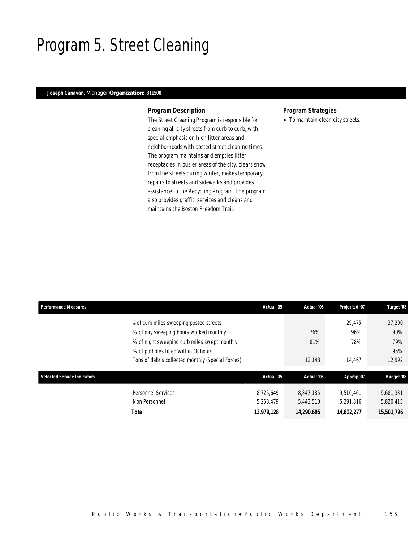## Program 5. Street Cleaning

### *Joseph Canavan, Manager Organization: 311500*

#### *Program Description*

The Street Cleaning Program is responsible for cleaning all city streets from curb to curb, with special emphasis on high litter areas and neighborhoods with posted street cleaning times. The program maintains and empties litter receptacles in busier areas of the city, clears snow from the streets during winter, makes temporary repairs to streets and sidewalks and provides assistance to the Recycling Program. The program also provides graffiti services and cleans and maintains the Boston Freedom Trail.

### *Program Strategies*

• To maintain clean city streets.

| <b>Performance Measures</b>        |                                                   | Actual '05             | Actual '06             | Projected '07          | Target '08             |
|------------------------------------|---------------------------------------------------|------------------------|------------------------|------------------------|------------------------|
|                                    | # of curb miles sweeping posted streets           |                        |                        | 29.475                 | 37,200                 |
|                                    | % of day sweeping hours worked monthly            |                        | 76%                    | 96%                    | 90%                    |
|                                    | % of night sweeping curb miles swept monthly      |                        | 81%                    | 78%                    | 79%                    |
|                                    | % of potholes filled within 48 hours              |                        |                        |                        | 95%                    |
|                                    | Tons of debris collected monthly (Special Forces) |                        | 12,148                 | 14,467                 | 12,992                 |
|                                    |                                                   |                        |                        |                        |                        |
| <b>Selected Service Indicators</b> |                                                   | Actual '05             | Actual '06             | Approp '07             | <b>Budget '08</b>      |
|                                    | <b>Personnel Services</b><br>Non Personnel        | 8.725.649<br>5,253,479 | 8.847.185<br>5,443,510 | 9.510.461<br>5,291,816 | 9.681.381<br>5,820,415 |
|                                    | Total                                             | 13,979,128             | 14.290.695             | 14.802.277             | 15.501.796             |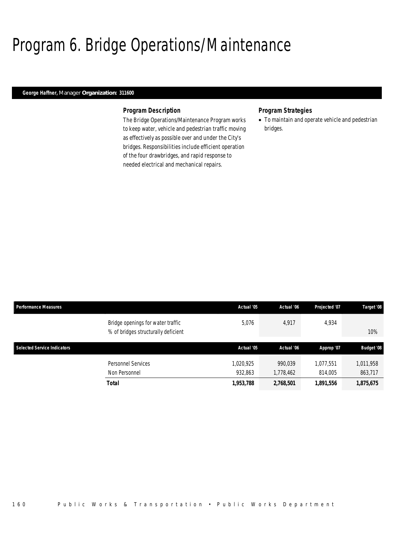## Program 6. Bridge Operations/Maintenance

### *George Haffner, Manager Organization: 311600*

#### *Program Description*

The Bridge Operations/Maintenance Program works to keep water, vehicle and pedestrian traffic moving as effectively as possible over and under the City's bridges. Responsibilities include efficient operation of the four drawbridges, and rapid response to needed electrical and mechanical repairs.

### *Program Strategies*

• To maintain and operate vehicle and pedestrian bridges.

| <b>Performance Measures</b>        |                                                                          | Actual '05 | Actual '06 | Projected '07 | Target '08        |
|------------------------------------|--------------------------------------------------------------------------|------------|------------|---------------|-------------------|
|                                    | Bridge openings for water traffic<br>% of bridges structurally deficient | 5.076      | 4.917      | 4,934         | 10%               |
| <b>Selected Service Indicators</b> |                                                                          | Actual '05 | Actual '06 | Approp '07    | <b>Budget '08</b> |
|                                    | Personnel Services                                                       | 1,020,925  | 990.039    | 1,077,551     | 1,011,958         |
|                                    | Non Personnel                                                            | 932.863    | 1,778,462  | 814,005       | 863,717           |
|                                    | <b>Total</b>                                                             | 1,953,788  | 2,768,501  | 1,891,556     | 1,875,675         |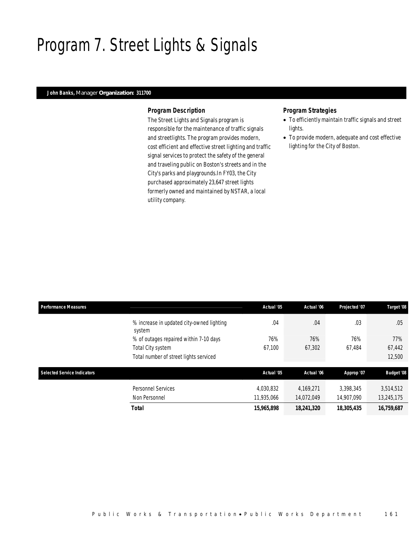## Program 7. Street Lights & Signals

### *John Banks, Manager Organization: 311700*

#### *Program Description*

The Street Lights and Signals program is responsible for the maintenance of traffic signals and streetlights. The program provides modern, cost efficient and effective street lighting and traffic signal services to protect the safety of the general and traveling public on Boston's streets and in the City's parks and playgrounds.In FY03, the City purchased approximately 23,647 street lights formerly owned and maintained by NSTAR, a local utility company.

### *Program Strategies*

- To efficiently maintain traffic signals and street lights.
- To provide modern, adequate and cost effective lighting for the City of Boston.

| <b>Performance Measures</b> |                                                     | Actual '05 | Actual '06 | Projected '07 | Target '08        |
|-----------------------------|-----------------------------------------------------|------------|------------|---------------|-------------------|
|                             | % increase in updated city-owned lighting<br>system | .04        | .04        | .03           | .05               |
|                             | % of outages repaired within 7-10 days              | 76%        | 76%        | 76%           | 77%               |
|                             | Total City system                                   | 67,100     | 67.302     | 67.484        | 67,442            |
|                             | Total number of street lights serviced              |            |            |               | 12,500            |
| Selected Service Indicators |                                                     | Actual '05 | Actual '06 | Approp '07    | <b>Budget '08</b> |
|                             | <b>Personnel Services</b>                           | 4,030,832  | 4.169.271  | 3.398.345     | 3,514,512         |
|                             | Non Personnel                                       | 11,935,066 | 14,072,049 | 14,907,090    | 13,245,175        |
|                             | Total                                               | 15,965,898 | 18,241,320 | 18,305,435    | 16,759,687        |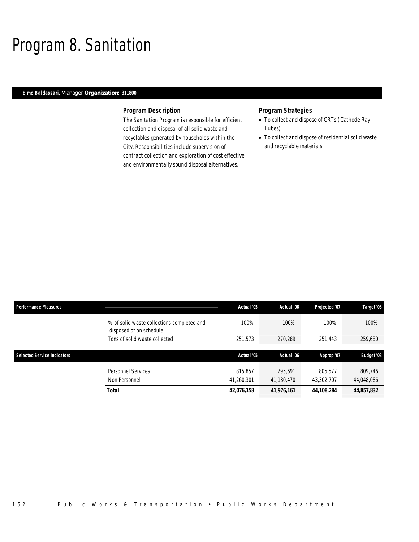## Program 8. Sanitation

### *Elmo Baldassari, Manager Organization: 311800*

#### *Program Description*

The Sanitation Program is responsible for efficient collection and disposal of all solid waste and recyclables generated by households within the City. Responsibilities include supervision of contract collection and exploration of cost effective and environmentally sound disposal alternatives.

### *Program Strategies*

- To collect and dispose of CRTs (Cathode Ray Tubes).
- To collect and dispose of residential solid waste and recyclable materials.

| <b>Performance Measures</b> |                                                                       | Actual '05 | Actual '06 | Projected '07 | Target '08        |
|-----------------------------|-----------------------------------------------------------------------|------------|------------|---------------|-------------------|
|                             | % of solid waste collections completed and<br>disposed of on schedule | 100%       | 100%       | 100%          | 100%              |
|                             | Tons of solid waste collected                                         | 251,573    | 270,289    | 251,443       | 259,680           |
|                             |                                                                       |            |            |               |                   |
|                             |                                                                       |            |            |               |                   |
| Selected Service Indicators |                                                                       | Actual '05 | Actual '06 | Approp '07    | <b>Budget '08</b> |
|                             | <b>Personnel Services</b>                                             | 815.857    | 795.691    | 805,577       | 809.746           |
|                             | Non Personnel                                                         | 41,260,301 | 41,180,470 | 43,302,707    | 44,048,086        |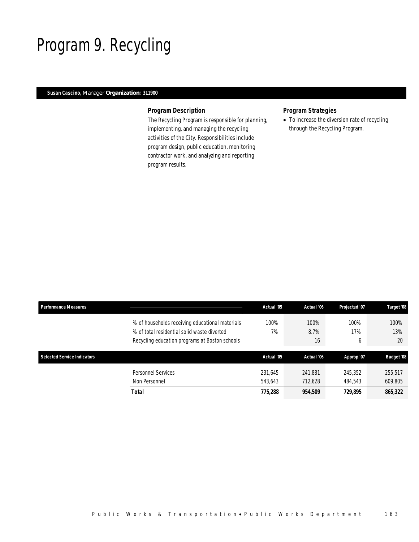## Program 9. Recycling

### *Susan Cascino, Manager Organization: 311900*

#### *Program Description*

The Recycling Program is responsible for planning, implementing, and managing the recycling activities of the City. Responsibilities include program design, public education, monitoring contractor work, and analyzing and reporting program results.

### *Program Strategies*

• To increase the diversion rate of recycling through the Recycling Program.

| Performance Measures               |                                                                                                                                                  | Actual '05         | Actual '06         | Projected '07      | Target '08         |
|------------------------------------|--------------------------------------------------------------------------------------------------------------------------------------------------|--------------------|--------------------|--------------------|--------------------|
|                                    | % of households receiving educational materials<br>% of total residential solid waste diverted<br>Recycling education programs at Boston schools | 100%<br>7%         | 100%<br>8.7%<br>16 | 100%<br>17%<br>b   | 100%<br>13%<br>20  |
| <b>Selected Service Indicators</b> |                                                                                                                                                  | Actual '05         | Actual '06         | Approp '07         | <b>Budget '08</b>  |
|                                    | Personnel Services<br>Non Personnel                                                                                                              | 231.645<br>543.643 | 241.881<br>712,628 | 245.352<br>484,543 | 255,517<br>609,805 |
|                                    | <b>Total</b>                                                                                                                                     | 775,288            | 954,509            | 729,895            | 865,322            |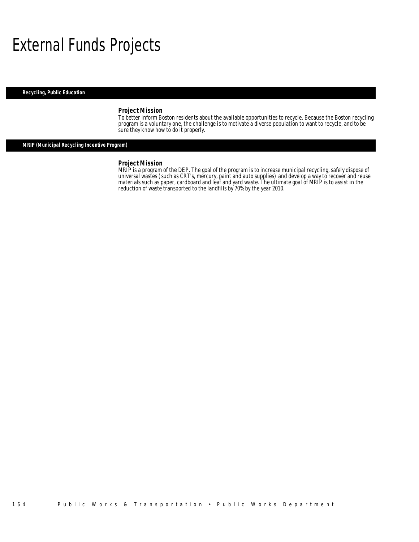## External Funds Projects

*Recycling, Public Education* 

#### *Project Mission*

To better inform Boston residents about the available opportunities to recycle. Because the Boston recycling program is a voluntary one, the challenge is to motivate a diverse population to want to recycle, and to be sure they know how to do it properly.

### *MRIP (Municipal Recycling Incentive Program)*

#### *Project Mission*

MRIP is a program of the DEP. The goal of the program is to increase municipal recycling, safely dispose of universal wastes (such as CRT's, mercury, paint and auto supplies) and develop a way to recover and reuse materials such as paper, cardboard and leaf and yard waste. The ultimate goal of MRIP is to assist in the reduction of waste transported to the landfills by 70% by the year 2010.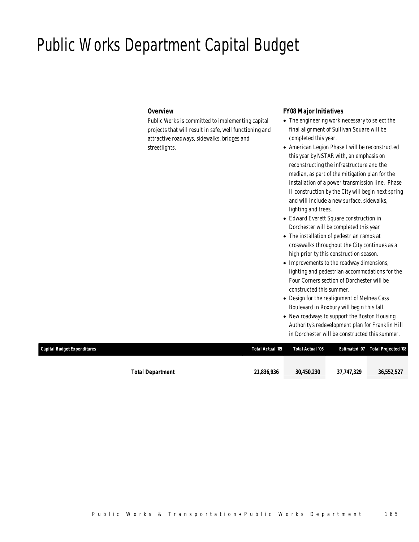## Public Works Department Capital Budget

#### *Overview*

Public Works is committed to implementing capital projects that will result in safe, well functioning and attractive roadways, sidewalks, bridges and streetlights.

#### *FY08 Major Initiatives*

- The engineering work necessary to select the final alignment of Sullivan Square will be completed this year.
- American Legion Phase I will be reconstructed this year by NSTAR with, an emphasis on reconstructing the infrastructure and the median, as part of the mitigation plan for the installation of a power transmission line. Phase II construction by the City will begin next spring and will include a new surface, sidewalks, lighting and trees.
- Edward Everett Square construction in Dorchester will be completed this year
- The installation of pedestrian ramps at crosswalks throughout the City continues as a high priority this construction season.
- Improvements to the roadway dimensions, lighting and pedestrian accommodations for the Four Corners section of Dorchester will be constructed this summer.
- Design for the realignment of Melnea Cass Boulevard in Roxbury will begin this fall.
- New roadways to support the Boston Housing Authority's redevelopment plan for Franklin Hill in Dorchester will be constructed this summer.

| Capital Budget Expenditures |                         | Total Actual '05 | Total Actual '06 |            | Estimated '07 Total Projected '08 |
|-----------------------------|-------------------------|------------------|------------------|------------|-----------------------------------|
|                             |                         |                  |                  |            |                                   |
|                             | <b>Total Department</b> | 21,836,936       | 30,450,230       | 37,747,329 | 36,552,527                        |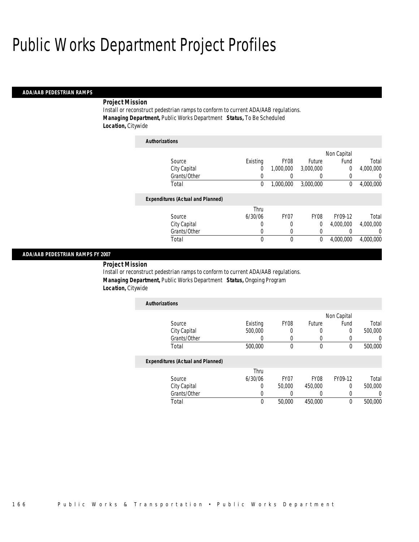## Public Works Department Project Profiles

*Authorizations*

#### *ADA/AAB PEDESTRIAN RAMPS*

#### *Project Mission*

Install or reconstruct pedestrian ramps to conform to current ADA/AAB regulations. *Managing Department,* Public Works Department *Status,* To Be Scheduled *Location,* Citywide

| Authorizations                           |          |                  |             |                |           |
|------------------------------------------|----------|------------------|-------------|----------------|-----------|
|                                          |          |                  |             | Non Capital    |           |
| Source                                   | Existing | FY08             | Future      | Fund           | Total     |
| City Capital                             | 0        | 1,000,000        | 3,000,000   | $\overline{0}$ | 4,000,000 |
| Grants/Other                             | 0        |                  | 0           | 0              | 0         |
| Total                                    | 0        | 1,000,000        | 3,000,000   | 0              | 4,000,000 |
| <b>Expenditures (Actual and Planned)</b> |          |                  |             |                |           |
|                                          | Thru     |                  |             |                |           |
| Source                                   | 6/30/06  | FY <sub>07</sub> | <b>FY08</b> | FY09-12        | Total     |
| City Capital                             | 0        | 0                | 0           | 4.000.000      | 4.000.000 |
| Grants/Other                             | 0        | 0                | 0           |                | $\Omega$  |
| Total                                    | 0        | 0                | 0           | 4.000.000      | 4,000,000 |
|                                          |          |                  |             |                |           |

#### *ADA/AAB PEDESTRIAN RAMPS FY 2007*

*Project Mission* 

Install or reconstruct pedestrian ramps to conform to current ADA/AAB regulations. *Managing Department,* Public Works Department *Status,* Ongoing Program *Location,* Citywide

| <b>Authorizations</b> |          |                  |        |             |         |
|-----------------------|----------|------------------|--------|-------------|---------|
|                       |          |                  |        | Non Capital |         |
| Source                | Existing | FY <sub>08</sub> | Future | Fund        | Total   |
| City Capital          | 500,000  |                  |        |             | 500,000 |
| Grants/Other          |          |                  |        |             |         |
| Total                 | 500,000  |                  |        |             | 500,000 |

#### *Expenditures (Actual and Planned)*

|              | Thru    |        |                  |         |         |
|--------------|---------|--------|------------------|---------|---------|
| Source       | 6/30/06 | FY07   | FY <sub>08</sub> | FY09-12 | Total   |
| City Capital |         | 50,000 | 450,000          |         | 500,000 |
| Grants/Other |         |        |                  |         |         |
| Total        | 0       | 50,000 | 450,000          |         | 500,000 |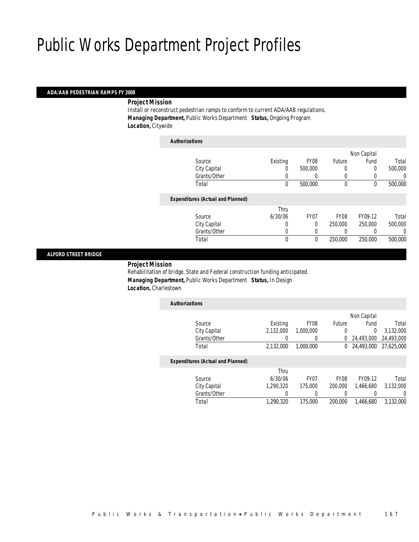## Public Works Department Project Profiles

#### *ADA/AAB PEDESTRIAN RAMPS FY 2008*

*Project Mission* 

Install or reconstruct pedestrian ramps to conform to current ADA/AAB regulations. *Managing Department,* Public Works Department *Status,* Ongoing Program *Location,* Citywide

| <b>Authorizations</b> |                                          |              |             |             |             |         |
|-----------------------|------------------------------------------|--------------|-------------|-------------|-------------|---------|
|                       |                                          |              |             |             | Non Capital |         |
|                       | Source                                   | Existing     | <b>FY08</b> | Future      | Fund        | Total   |
|                       | City Capital                             | 0            | 500,000     | $\left($    | 0           | 500,000 |
|                       | Grants/Other                             | 0            |             | $\left($    |             | 0       |
|                       | Total                                    | $\mathbf 0$  | 500,000     | $\mathbf 0$ | $\mathbf 0$ | 500,000 |
|                       | <b>Expenditures (Actual and Planned)</b> |              |             |             |             |         |
|                       |                                          | Thru         |             |             |             |         |
|                       | Source                                   | 6/30/06      | FY07        | FY08        | FY09-12     | Total   |
|                       | City Capital                             | 0            | $\Omega$    | 250,000     | 250,000     | 500,000 |
|                       | Grants/Other                             | 0            | $\left($    |             |             | 0       |
|                       | Total                                    | $\mathbf{0}$ | $\mathbf 0$ | 250,000     | 250,000     | 500,000 |

#### *ALFORD STREET BRIDGE*

*Project Mission* 

Rehabilitation of bridge. State and Federal construction funding anticipated. *Managing Department,* Public Works Department *Status,* In Design *Location,* Charlestown

| <b>Authorizations</b>                    |           |                  |                  |             |            |
|------------------------------------------|-----------|------------------|------------------|-------------|------------|
|                                          |           |                  |                  | Non Capital |            |
| Source                                   | Existing  | FY <sub>08</sub> | Future           | Fund        | Total      |
| City Capital                             | 2,132,000 | 1,000,000        | 0                | 0           | 3.132.000  |
| Grants/Other                             |           |                  | $\Omega$         | 24,493,000  | 24,493,000 |
| Total                                    | 2,132,000 | 1,000,000        | 0                | 24,493,000  | 27.625.000 |
| <b>Expenditures (Actual and Planned)</b> |           |                  |                  |             |            |
|                                          | Thru      |                  |                  |             |            |
| Source                                   | 6/30/06   | FY07             | FY <sub>08</sub> | FY09-12     | Total      |
| City Canital                             | 1 290 320 | 175 000          | 200,000          | 1 466 680   | 3 132 000  |

| Grants/Other                                          |           |
|-------------------------------------------------------|-----------|
| 175,000<br>1.290.320<br>1.466.680<br>Total<br>200,000 | 3,132,000 |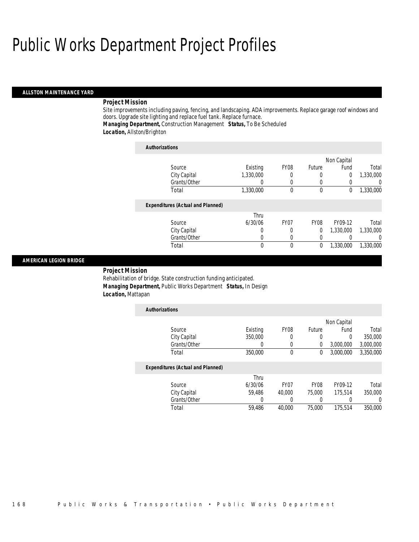## Public Works Department Project Profiles

#### *ALLSTON MAINTENANCE YARD*

#### *Project Mission*

Site improvements including paving, fencing, and landscaping. ADA improvements. Replace garage roof windows and doors. Upgrade site lighting and replace fuel tank. Replace furnace.

## *Managing Department,* Construction Management *Status,* To Be Scheduled

### *Location,* Allston/Brighton

| <b>Authorizations</b>                    |           |                  |             |             |           |
|------------------------------------------|-----------|------------------|-------------|-------------|-----------|
|                                          |           |                  |             | Non Capital |           |
| Source                                   | Existing  | FY08             | Future      | Fund        | Total     |
| City Capital                             | 1,330,000 | 0                | $\theta$    | 0           | 1,330,000 |
| Grants/Other                             |           | 0                | 0           | 0           |           |
| Total                                    | 1,330,000 | $\Omega$         | $\theta$    | 0           | 1,330,000 |
| <b>Expenditures (Actual and Planned)</b> |           |                  |             |             |           |
|                                          | Thru      |                  |             |             |           |
| Source                                   | 6/30/06   | FY <sub>07</sub> | <b>FY08</b> | FY09-12     | Total     |
| City Capital                             |           | 0                | $\Omega$    | 1,330,000   | 1,330,000 |
| Grants/Other                             |           | 0                | 0           |             |           |
| Total                                    | 0         | 0                | 0           | 1,330,000   | 1,330,000 |

#### *AMERICAN LEGION BRIDGE*

*Project Mission* 

Rehabilitation of bridge. State construction funding anticipated. *Managing Department,* Public Works Department *Status,* In Design *Location,* Mattapan

| <b>Authorizations</b>                    |          |                  |             |             |           |
|------------------------------------------|----------|------------------|-------------|-------------|-----------|
|                                          |          |                  |             | Non Capital |           |
| Source                                   | Existing | <b>FY08</b>      | Future      | Fund        | Total     |
| City Capital                             | 350,000  | 0                | 0           | $\Omega$    | 350,000   |
| Grants/Other                             | 0        | 0                | 0           | 3,000,000   | 3,000,000 |
| Total                                    | 350,000  | $\theta$         | 0           | 3,000,000   | 3,350,000 |
| <b>Expenditures (Actual and Planned)</b> |          |                  |             |             |           |
|                                          | Thru     |                  |             |             |           |
| Source                                   | 6/30/06  | FY <sub>07</sub> | <b>FY08</b> | FY09-12     | Total     |
| City Capital                             | 59.486   | 40,000           | 75,000      | 175.514     | 350,000   |
| Grants/Other                             | 0        | 0                |             |             | 0         |
| Total                                    | 59.486   | 40,000           | 75,000      | 175,514     | 350,000   |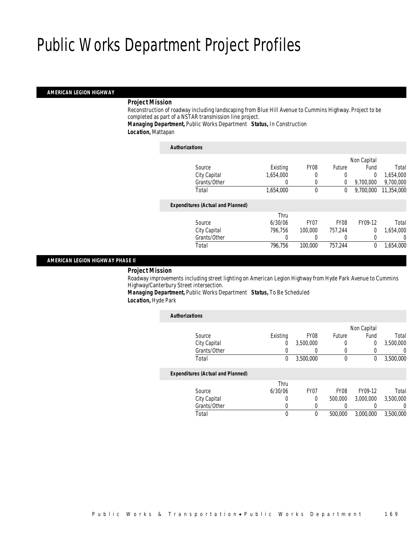### *AMERICAN LEGION HIGHWAY*

#### *Project Mission*

Reconstruction of roadway including landscaping from Blue Hill Avenue to Cummins Highway. Project to be completed as part of a NSTAR transmission line project.

*Managing Department,* Public Works Department *Status,* In Construction *Location,* Mattapan

| <b>Authorizations</b>                    |           |                  |                  |             |            |
|------------------------------------------|-----------|------------------|------------------|-------------|------------|
|                                          |           |                  |                  | Non Capital |            |
| Source                                   | Existing  | <b>FY08</b>      | Future           | Fund        | Total      |
| City Capital                             | 1.654.000 | 0                | 0                | 0           | 1,654,000  |
| Grants/Other                             | 0         | 0                | 0                | 9.700.000   | 9,700,000  |
| Total                                    | 1.654.000 | 0                | 0                | 9.700.000   | 11,354,000 |
| <b>Expenditures (Actual and Planned)</b> |           |                  |                  |             |            |
|                                          | Thru      |                  |                  |             |            |
| Source                                   | 6/30/06   | FY <sub>07</sub> | FY <sub>08</sub> | FY09-12     | Total      |
| City Capital                             | 796,756   | 100,000          | 757,244          | 0           | 1.654.000  |
| Grants/Other                             | 0         | 0                | 0                | 0           | 0          |
| Total                                    | 796.756   | 100,000          | 757.244          | 0           | 1.654.000  |

#### *AMERICAN LEGION HIGHWAY PHASE II*

## *Project Mission*

Roadway improvements including street lighting on American Legion Highway from Hyde Park Avenue to Cummins Highway/Canterbury Street intersection.

*Managing Department,* Public Works Department *Status,* To Be Scheduled *Location,* Hyde Park

| <b>Authorizations</b>                    |                  |                  |                  |                |                  |
|------------------------------------------|------------------|------------------|------------------|----------------|------------------|
|                                          |                  |                  |                  | Non Capital    |                  |
| Source                                   | Existing         | FY <sub>08</sub> | <b>Future</b>    | Fund           | Total            |
| City Capital                             | 0                | 3.500.000        | 0                | $\overline{0}$ | 3,500,000        |
| Grants/Other                             | 0                | $\left( \right)$ | 0                |                | $\left( \right)$ |
| Total                                    | 0                | 3,500,000        | $\mathbf 0$      | 0              | 3,500,000        |
| <b>Expenditures (Actual and Planned)</b> |                  |                  |                  |                |                  |
|                                          | Thru             |                  |                  |                |                  |
| Source                                   | 6/30/06          | FY <sub>07</sub> | FY <sub>08</sub> | FY09-12        | Total            |
| City Capital                             | 0                | 0                | 500,000          | 3,000,000      | 3,500,000        |
| Grants/Other                             | $\left( \right)$ | 0                |                  |                | 0                |
| Total                                    | 0                | 0                | 500,000          | 3.000.000      | 3.500.000        |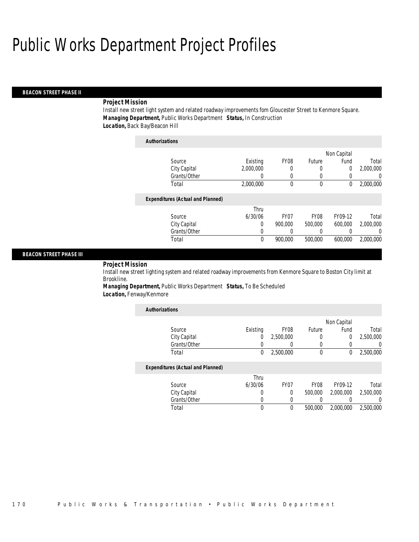## *BEACON STREET PHASE II*

#### *Project Mission*

Install new street light system and related roadway improvements fom Gloucester Street to Kenmore Square. *Managing Department,* Public Works Department *Status,* In Construction *Location,* Back Bay/Beacon Hill

| <b>Authorizations</b>                    |           |                  |             |             |           |
|------------------------------------------|-----------|------------------|-------------|-------------|-----------|
|                                          |           |                  |             | Non Capital |           |
| Source                                   | Existing  | <b>FY08</b>      | Future      | Fund        | Total     |
| City Capital                             | 2.000.000 | 0                | 0           | 0           | 2,000,000 |
| Grants/Other                             | 0         | 0                | 0           |             | 0         |
| Total                                    | 2,000,000 | 0                | 0           | 0           | 2,000,000 |
| <b>Expenditures (Actual and Planned)</b> |           |                  |             |             |           |
|                                          | Thru      |                  |             |             |           |
| Source                                   | 6/30/06   | FY <sub>07</sub> | <b>FY08</b> | FY09-12     | Total     |
| City Capital                             | 0         | 900,000          | 500,000     | 600,000     | 2,000,000 |
| Grants/Other                             | 0         | 0                | 0           |             | 0         |
| Total                                    | 0         | 900.000          | 500,000     | 600,000     | 2.000.000 |

### *BEACON STREET PHASE III*

*Project Mission* 

Install new street lighting system and related roadway improvements from Kenmore Square to Boston City limit at Brookline.

*Managing Department,* Public Works Department *Status,* To Be Scheduled *Location,* Fenway/Kenmore

| <b>Authorizations</b>                    |          |                  |             |             |           |
|------------------------------------------|----------|------------------|-------------|-------------|-----------|
|                                          |          |                  |             | Non Capital |           |
| Source                                   | Existing | FY <sub>08</sub> | Future      | Fund        | Total     |
| City Capital                             | 0        | 2,500,000        |             | 0           | 2,500,000 |
| Grants/Other                             |          |                  |             | 0           | 0         |
| Total                                    | 0        | 2,500,000        | 0           | 0           | 2,500,000 |
| <b>Expenditures (Actual and Planned)</b> |          |                  |             |             |           |
|                                          | Thru     |                  |             |             |           |
| Source                                   | 6/30/06  | FY <sub>07</sub> | <b>FY08</b> | FY09-12     | Total     |
| City Capital                             | 0        | 0                | 500,000     | 2.000.000   | 2.500.000 |
| Grants/Other                             | 0        | 0                |             |             | 0         |
| Total                                    | 0        | 0                | 500,000     | 2.000.000   | 2.500.000 |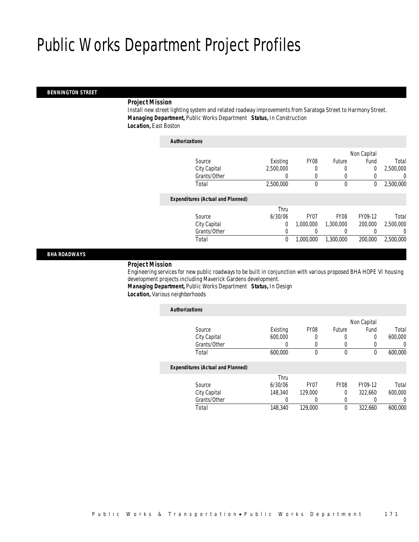#### *BENNINGTON STREET*

#### *Project Mission*

Install new street lighting system and related roadway improvements from Saratoga Street to Harmony Street. *Managing Department,* Public Works Department *Status,* In Construction *Location,* East Boston

| <b>Authorizations</b>                    |                |                  |             |                |           |
|------------------------------------------|----------------|------------------|-------------|----------------|-----------|
|                                          |                |                  |             | Non Capital    |           |
| Source                                   | Existing       | FY <sub>08</sub> | Future      | Fund           | Total     |
| City Capital                             | 2,500,000      |                  |             | $\overline{0}$ | 2,500,000 |
| Grants/Other                             | $\Omega$       | $\left($         | $\left($    | 0              | 0         |
| Total                                    | 2,500,000      | $\theta$         | $\mathbf 0$ | 0              | 2,500,000 |
| <b>Expenditures (Actual and Planned)</b> |                |                  |             |                |           |
|                                          | Thru           |                  |             |                |           |
| Source                                   | 6/30/06        | FY <sub>07</sub> | <b>FY08</b> | FY09-12        | Total     |
| City Capital                             | $\overline{0}$ | 1.000.000        | 1,300,000   | 200,000        | 2,500,000 |
| Grants/Other                             | 0              | 0                |             |                | 0         |
| Total                                    | 0              | 1.000.000        | 1,300,000   | 200,000        | 2,500,000 |

*BHA ROADWAYS* 

## *Project Mission*

Engineering services for new public roadways to be built in conjunction with various proposed BHA HOPE VI housing development projects including Maverick Gardens development.

*Managing Department,* Public Works Department *Status,* In Design *Location,* Various neighborhoods

| <b>Authorizations</b>                    |          |                  |             |             |         |
|------------------------------------------|----------|------------------|-------------|-------------|---------|
|                                          |          |                  |             | Non Capital |         |
| Source                                   | Existing | FY <sub>08</sub> | Future      | Fund        | Total   |
| City Capital                             | 600,000  | 0                | 0           | 0           | 600,000 |
| Grants/Other                             | 0        | 0                | 0           |             | 0       |
| Total                                    | 600,000  | 0                | 0           | 0           | 600,000 |
| <b>Expenditures (Actual and Planned)</b> |          |                  |             |             |         |
|                                          | Thru     |                  |             |             |         |
| Source                                   | 6/30/06  | FY <sub>07</sub> | <b>FY08</b> | FY09-12     | Total   |
| City Capital                             | 148,340  | 129,000          | $\theta$    | 322.660     | 600,000 |
| Grants/Other                             | 0        | 0                | 0           |             | 0       |
| Total                                    | 148,340  | 129,000          | 0           | 322.660     | 600.000 |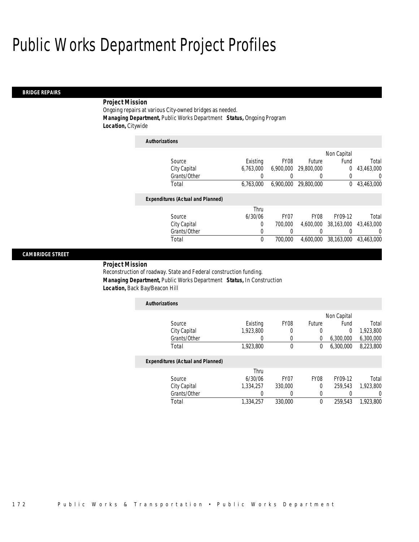#### *BRIDGE REPAIRS*

### *Project Mission*

Ongoing repairs at various City-owned bridges as needed. *Managing Department,* Public Works Department *Status,* Ongoing Program *Location,* Citywide

| <b>Authorizations</b>                    |           |                  |             |             |            |
|------------------------------------------|-----------|------------------|-------------|-------------|------------|
|                                          |           |                  |             | Non Capital |            |
| Source                                   | Existing  | FY <sub>08</sub> | Future      | Fund        | Total      |
| City Capital                             | 6.763.000 | 6.900.000        | 29,800,000  | $\Omega$    | 43.463.000 |
| Grants/Other                             | 0         | 0                | 0           | 0           | U          |
| Total                                    | 6,763,000 | 6,900,000        | 29,800,000  | $^{0}$      | 43,463,000 |
| <b>Expenditures (Actual and Planned)</b> |           |                  |             |             |            |
|                                          | Thru      |                  |             |             |            |
| Source                                   | 6/30/06   | FY <sub>07</sub> | <b>FY08</b> | FY09-12     | Total      |
| City Capital                             | 0         | 700,000          | 4.600.000   | 38.163.000  | 43.463.000 |
| Grants/Other                             | 0         | 0                |             | 0           | $\left($   |
| Total                                    | 0         | 700,000          | 4.600.000   | 38,163,000  | 43,463,000 |
|                                          |           |                  |             |             |            |

### *CAMBRIDGE STREET*

*Project Mission* 

Reconstruction of roadway. State and Federal construction funding. *Managing Department,* Public Works Department *Status,* In Construction *Location,* Back Bay/Beacon Hill

| <b>Authorizations</b> |           |                  |        |             |           |
|-----------------------|-----------|------------------|--------|-------------|-----------|
|                       |           |                  |        | Non Capital |           |
| Source                | Existing  | FY <sub>08</sub> | Future | Fund        | Total     |
| City Capital          | 1,923,800 |                  |        |             | 1,923,800 |
| Grants/Other          |           |                  |        | 6,300,000   | 6,300,000 |
| Total                 | 1,923,800 |                  |        | 6.300.000   | 8,223,800 |

|              | Thru      |         |      |         |           |
|--------------|-----------|---------|------|---------|-----------|
| Source       | 6/30/06   | FY07    | FY08 | FY09-12 | Total     |
| City Capital | 1.334.257 | 330,000 |      | 259.543 | 1,923,800 |
| Grants/Other |           |         |      |         |           |
| Total        | 1,334,257 | 330,000 |      | 259.543 | 1.923.800 |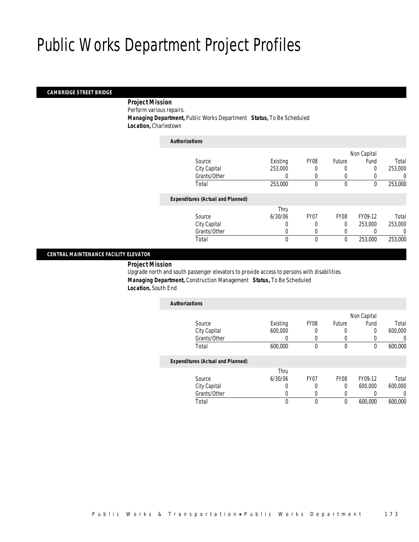### *CAMBRIDGE STREET BRIDGE*

 *Project Mission* Perform various repairs. *Managing Department,* Public Works Department *Status,* To Be Scheduled *Location,* Charlestown

| <b>Authorizations</b>                    |          |                  |             |             |         |
|------------------------------------------|----------|------------------|-------------|-------------|---------|
|                                          |          |                  |             | Non Capital |         |
| Source                                   | Existing | FY <sub>08</sub> | Future      | Fund        | Total   |
| City Capital                             | 253,000  |                  | 0           | 0           | 253,000 |
| Grants/Other                             | 0        | $\Omega$         | 0           |             | 0       |
| Total                                    | 253,000  | 0                | $\mathbf 0$ | 0           | 253,000 |
| <b>Expenditures (Actual and Planned)</b> |          |                  |             |             |         |
|                                          | Thru     |                  |             |             |         |
| Source                                   | 6/30/06  | FY <sub>07</sub> | <b>FY08</b> | FY09-12     | Total   |
| City Capital                             | 0        | 0                | $\Omega$    | 253,000     | 253,000 |
| Grants/Other                             | 0        | 0                | 0           |             | 0       |
| Total                                    | 0        | $\theta$         | 0           | 253,000     | 253,000 |
|                                          |          |                  |             |             |         |

## *CENTRAL MAINTENANCE FACILITY ELEVATOR*

*Project Mission* 

Upgrade north and south passenger elevators to provide access to persons with disabilities. *Managing Department,* Construction Management *Status,* To Be Scheduled *Location,* South End

| <b>Authorizations</b>                    |          |                  |               |             |         |
|------------------------------------------|----------|------------------|---------------|-------------|---------|
|                                          |          |                  |               | Non Capital |         |
| Source                                   | Existing | <b>FY08</b>      | <b>Future</b> | Fund        | Total   |
| City Capital                             | 600,000  | 0                | 0             | 0           | 600,000 |
| Grants/Other                             | 0        |                  |               | 0           | 0       |
| Total                                    | 600,000  | $\theta$         | $\Omega$      | 0           | 600.000 |
| <b>Expenditures (Actual and Planned)</b> |          |                  |               |             |         |
|                                          | Thru     |                  |               |             |         |
| Source                                   | 6/30/06  | FY <sub>07</sub> | <b>FY08</b>   | FY09-12     | Total   |
| City Capital                             | 0        |                  | $\Omega$      | 600,000     | 600,000 |
| Grants/Other                             | 0        |                  |               | 0           |         |
| Total                                    | 0        | $\theta$         | $\theta$      | 600,000     | 600,000 |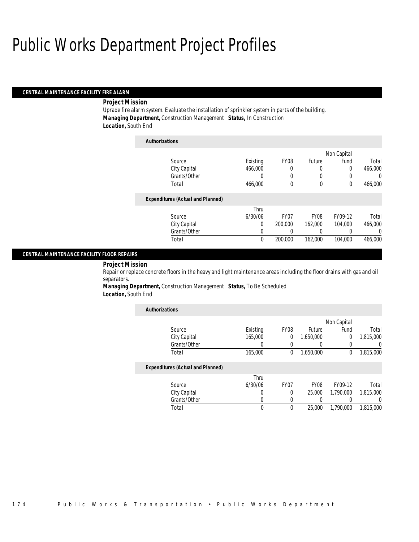#### *CENTRAL MAINTENANCE FACILITY FIRE ALARM*

#### *Project Mission*

Uprade fire alarm system. Evaluate the installation of sprinkler system in parts of the building. *Managing Department,* Construction Management *Status,* In Construction *Location,* South End

| <b>Authorizations</b>                    |          |                  |               |             |          |
|------------------------------------------|----------|------------------|---------------|-------------|----------|
|                                          |          |                  |               | Non Capital |          |
| Source                                   | Existing | <b>FY08</b>      | <b>Future</b> | Fund        | Total    |
| City Capital                             | 466,000  | 0                | 0             | 0           | 466,000  |
| Grants/Other                             | 0        | 0                | 0             |             | 0        |
| Total                                    | 466,000  | 0                | $\mathbf 0$   | 0           | 466,000  |
| <b>Expenditures (Actual and Planned)</b> |          |                  |               |             |          |
|                                          | Thru     |                  |               |             |          |
| Source                                   | 6/30/06  | FY <sub>07</sub> | <b>FY08</b>   | FY09-12     | Total    |
| City Capital                             | 0        | 200,000          | 162,000       | 104.000     | 466,000  |
| Grants/Other                             | 0        | 0                | 0             | 0           | $\left($ |
| Total                                    | 0        | 200,000          | 162,000       | 104,000     | 466,000  |

## *CENTRAL MAINTENANCE FACILITY FLOOR REPAIRS*

*Project Mission* 

Repair or replace concrete floors in the heavy and light maintenance areas including the floor drains with gas and oil separators.

*Managing Department,* Construction Management *Status,* To Be Scheduled *Location,* South End

| <b>Authorizations</b>                    |          |                  |             |             |           |
|------------------------------------------|----------|------------------|-------------|-------------|-----------|
|                                          |          |                  |             | Non Capital |           |
| Source                                   | Existing | <b>FY08</b>      | Future      | Fund        | Total     |
| City Capital                             | 165,000  | 0                | 1,650,000   | 0           | 1,815,000 |
| Grants/Other                             | 0        | 0                |             | 0           | 0         |
| Total                                    | 165,000  | $\theta$         | 1,650,000   | 0           | 1,815,000 |
| <b>Expenditures (Actual and Planned)</b> |          |                  |             |             |           |
|                                          | Thru     |                  |             |             |           |
| Source                                   | 6/30/06  | FY <sub>07</sub> | <b>FY08</b> | FY09-12     | Total     |
| City Capital                             | 0        | 0                | 25,000      | 1.790.000   | 1,815,000 |
| Grants/Other                             | 0        | 0                |             |             | 0         |
| Total                                    | 0        | $\Omega$         | 25,000      | 1.790.000   | 1.815.000 |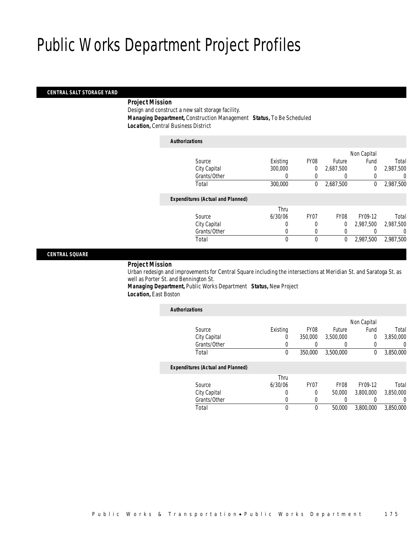### *CENTRAL SALT STORAGE YARD*

#### *Project Mission*

Design and construct a new salt storage facility. *Managing Department,* Construction Management *Status,* To Be Scheduled *Location,* Central Business District

| <b>Authorizations</b>                    |          |                  |               |                |           |
|------------------------------------------|----------|------------------|---------------|----------------|-----------|
|                                          |          |                  |               | Non Capital    |           |
| Source                                   | Existing | FY08             | <b>Future</b> | Fund           | Total     |
| City Capital                             | 300,000  | 0                | 2,687,500     | $\overline{0}$ | 2,987,500 |
| Grants/Other                             | 0        | $\left( \right)$ | 0             | 0              | U         |
| Total                                    | 300,000  | 0                | 2,687,500     | 0              | 2,987,500 |
| <b>Expenditures (Actual and Planned)</b> |          |                  |               |                |           |
|                                          | Thru     |                  |               |                |           |
| Source                                   | 6/30/06  | FY07             | FY08          | FY09-12        | Total     |
| City Capital                             | $\Omega$ | 0                | 0             | 2.987.500      | 2,987,500 |
| Grants/Other                             | 0        | 0                | 0             | 0              | 0         |
| Total                                    | 0        | $\theta$         | 0             | 2,987,500      | 2,987,500 |

*CENTRAL SQUARE* 

## *Project Mission*

Urban redesign and improvements for Central Square including the intersections at Meridian St. and Saratoga St. as well as Porter St. and Bennington St.

*Managing Department,* Public Works Department *Status,* New Project *Location,* East Boston

| <b>Authorizations</b>                    |          |                  |             |                |           |
|------------------------------------------|----------|------------------|-------------|----------------|-----------|
|                                          |          |                  |             | Non Capital    |           |
| Source                                   | Existing | <b>FY08</b>      | Future      | Fund           | Total     |
| City Capital                             | 0        | 350,000          | 3,500,000   | $\overline{0}$ | 3,850,000 |
| Grants/Other                             |          |                  |             |                | 0         |
| Total                                    | 0        | 350,000          | 3,500,000   | 0              | 3,850,000 |
| <b>Expenditures (Actual and Planned)</b> |          |                  |             |                |           |
|                                          | Thru     |                  |             |                |           |
| Source                                   | 6/30/06  | FY <sub>07</sub> | <b>FY08</b> | FY09-12        | Total     |
| City Capital                             |          | 0                | 50,000      | 3.800.000      | 3,850,000 |
| Grants/Other                             |          |                  |             |                | 0         |
| Total                                    | 0        | 0                | 50,000      | 3.800.000      | 3.850.000 |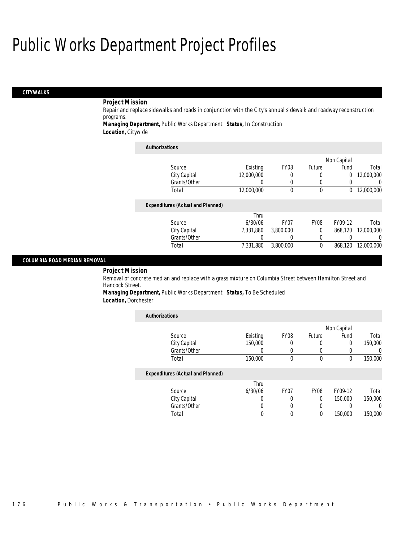## *CITYWALKS*

### *Project Mission*

Repair and replace sidewalks and roads in conjunction with the City's annual sidewalk and roadway reconstruction programs.

*Managing Department,* Public Works Department *Status,* In Construction

*Location,* Citywide

| <b>Authorizations</b>                    |            |                  |              |             |                  |
|------------------------------------------|------------|------------------|--------------|-------------|------------------|
|                                          |            |                  |              | Non Capital |                  |
| Source                                   | Existing   | FY <sub>08</sub> | Future       | Fund        | Total            |
| City Capital                             | 12,000,000 | 0                | 0            | 0           | 12,000,000       |
| Grants/Other                             |            | $\left($         | 0            | 0           | 0                |
| Total                                    | 12,000,000 | $\theta$         | $\mathbf{0}$ | 0           | 12,000,000       |
| <b>Expenditures (Actual and Planned)</b> |            |                  |              |             |                  |
|                                          | Thru       |                  |              |             |                  |
| Source                                   | 6/30/06    | FY <sub>07</sub> | <b>FY08</b>  | FY09-12     | Total            |
| City Capital                             | 7.331.880  | 3,800,000        | $\Omega$     | 868.120     | 12,000,000       |
| Grants/Other                             |            | $\left( \right)$ | 0            |             | $\left( \right)$ |
| Total                                    | 7.331.880  | 3,800,000        | 0            | 868,120     | 12,000,000       |

#### *COLUMBIA ROAD MEDIAN REMOVAL*

### *Project Mission*

Removal of concrete median and replace with a grass mixture on Columbia Street between Hamilton Street and Hancock Street.

*Managing Department,* Public Works Department *Status,* To Be Scheduled *Location,* Dorchester

| <b>Authorizations</b>                    |          |                  |             |             |                  |
|------------------------------------------|----------|------------------|-------------|-------------|------------------|
|                                          |          |                  |             | Non Capital |                  |
| Source                                   | Existing | <b>FY08</b>      | Future      | Fund        | Total            |
| City Capital                             | 150,000  | 0                |             | $\Omega$    | 150,000          |
| Grants/Other                             | 0        | 0                |             |             | $\left( \right)$ |
| Total                                    | 150,000  | 0                | $\mathbf 0$ | 0           | 150,000          |
| <b>Expenditures (Actual and Planned)</b> |          |                  |             |             |                  |
|                                          | Thru     |                  |             |             |                  |
| Source                                   | 6/30/06  | FY <sub>07</sub> | <b>FY08</b> | FY09-12     | Total            |
| City Capital                             | 0        | 0                | $\Omega$    | 150,000     | 150,000          |
| Grants/Other                             | O        | 0                |             |             | 0                |
| Total                                    | 0        | 0                | 0           | 150,000     | 150,000          |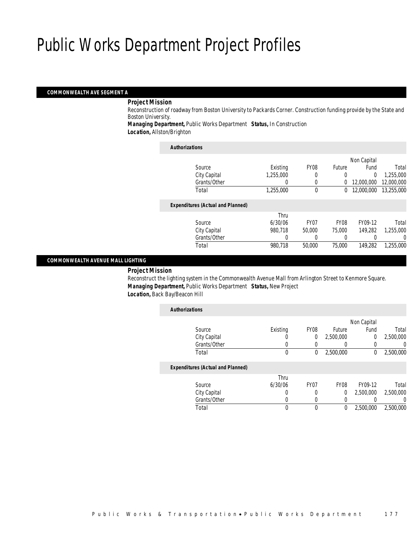### *COMMONWEALTH AVE SEGMENT A*

#### *Project Mission*

Reconstruction of roadway from Boston University to Packards Corner. Construction funding provide by the State and Boston University.

*Managing Department,* Public Works Department *Status,* In Construction *Location,* Allston/Brighton

| <b>Authorizations</b>                    |           |                  |             |             |            |
|------------------------------------------|-----------|------------------|-------------|-------------|------------|
|                                          |           |                  |             | Non Capital |            |
| Source                                   | Existing  | FY <sub>08</sub> | Future      | Fund        | Total      |
| City Capital                             | 1,255,000 | 0                | 0           | 0           | 1.255.000  |
| Grants/Other                             | 0         | 0                | 0           | 12,000,000  | 12,000,000 |
| Total                                    | 1,255,000 | $\theta$         | $\Omega$    | 12,000,000  | 13,255,000 |
| <b>Expenditures (Actual and Planned)</b> |           |                  |             |             |            |
|                                          | Thru      |                  |             |             |            |
| Source                                   | 6/30/06   | FY <sub>07</sub> | <b>FY08</b> | FY09-12     | Total      |
| City Capital                             | 980,718   | 50,000           | 75,000      | 149.282     | 1,255,000  |
| Grants/Other                             | 0         | 0                |             |             | 0          |
| Total                                    | 980,718   | 50,000           | 75,000      | 149.282     | 1.255.000  |
|                                          |           |                  |             |             |            |

### *COMMONWEALTH AVENUE MALL LIGHTING*

## *Project Mission*

Reconstruct the lighting system in the Commonwealth Avenue Mall from Arlington Street to Kenmore Square. *Managing Department,* Public Works Department *Status,* New Project *Location,* Back Bay/Beacon Hill

| <b>Authorizations</b>                    |          |                  |             |                |             |
|------------------------------------------|----------|------------------|-------------|----------------|-------------|
|                                          |          |                  |             |                |             |
| Source                                   | Existing | FY <sub>08</sub> | Future      | Fund           | Total       |
| City Capital                             |          | 0                | 2,500,000   | $\overline{0}$ | 2,500,000   |
| Grants/Other                             |          |                  |             |                | 0           |
| Total                                    | $\theta$ | 0                | 2,500,000   | $^{0}$         | 2,500,000   |
| <b>Expenditures (Actual and Planned)</b> |          |                  |             |                |             |
|                                          | Thru     |                  |             |                |             |
| Source                                   | 6/30/06  | FY <sub>07</sub> | <b>FY08</b> | FY09-12        | Total       |
| City Capital                             | 0        |                  | 0           | 2.500.000      | 2,500,000   |
| Grants/Other                             | 0        | $\Omega$         | 0           |                | 0           |
| Total                                    | 0        | $\theta$         | 0           | 2,500,000      | 2,500,000   |
|                                          |          |                  |             |                | Non Capital |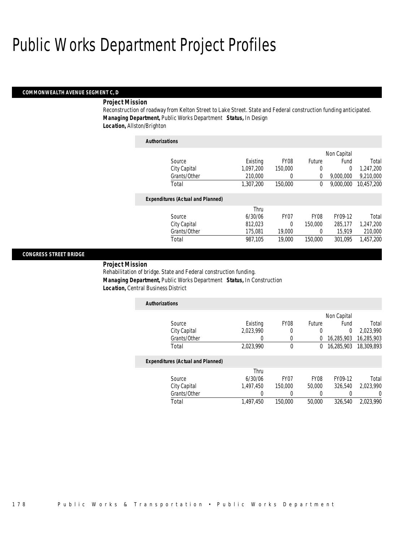#### *COMMONWEALTH AVENUE SEGMENT C, D*

#### *Project Mission*

Reconstruction of roadway from Kelton Street to Lake Street. State and Federal construction funding anticipated. *Managing Department,* Public Works Department *Status,* In Design *Location,* Allston/Brighton

| <b>Authorizations</b>                    |           |                  |             |             |            |
|------------------------------------------|-----------|------------------|-------------|-------------|------------|
|                                          |           |                  |             | Non Capital |            |
| Source                                   | Existing  | FY <sub>08</sub> | Future      | Fund        | Total      |
| City Capital                             | 1.097.200 | 150,000          | 0           | 0           | 1.247.200  |
| Grants/Other                             | 210,000   | 0                | 0           | 9.000.000   | 9,210,000  |
| Total                                    | 1,307,200 | 150,000          | 0           | 9.000.000   | 10,457,200 |
| <b>Expenditures (Actual and Planned)</b> |           |                  |             |             |            |
|                                          | Thru      |                  |             |             |            |
| Source                                   | 6/30/06   | FY <sub>07</sub> | <b>FY08</b> | FY09-12     | Total      |
| City Capital                             | 812.023   | 0                | 150,000     | 285.177     | 1.247.200  |
| Grants/Other                             | 175,081   | 19,000           | 0           | 15,919      | 210,000    |
| Total                                    | 987.105   | 19,000           | 150,000     | 301.095     | 1.457.200  |
|                                          |           |                  |             |             |            |

## *CONGRESS STREET BRIDGE*

*Project Mission* 

Rehabilitation of bridge. State and Federal construction funding. *Managing Department,* Public Works Department *Status,* In Construction *Location,* Central Business District

| <b>Authorizations</b> |           |                  |        |                         |            |
|-----------------------|-----------|------------------|--------|-------------------------|------------|
|                       |           |                  |        | Non Capital             |            |
| Source                | Existing  | FY <sub>08</sub> | Future | Fund                    | Total      |
| City Capital          | 2,023,990 |                  |        |                         | 2.023.990  |
| Grants/Other          |           |                  |        | 0 16,285,903            | 16,285,903 |
| Total                 | 2,023,990 |                  |        | 0 16,285,903 18,309,893 |            |

| Total        | 1,497,450 | 150,000 | 50,000           | 326,540 | 2.023.990 |
|--------------|-----------|---------|------------------|---------|-----------|
| Grants/Other |           |         |                  |         |           |
| City Capital | 1.497.450 | 150.000 | 50,000           | 326.540 | 2.023.990 |
| Source       | 6/30/06   | FY07    | FY <sub>08</sub> | FY09-12 | Total     |
|              | Thru      |         |                  |         |           |
|              |           |         |                  |         |           |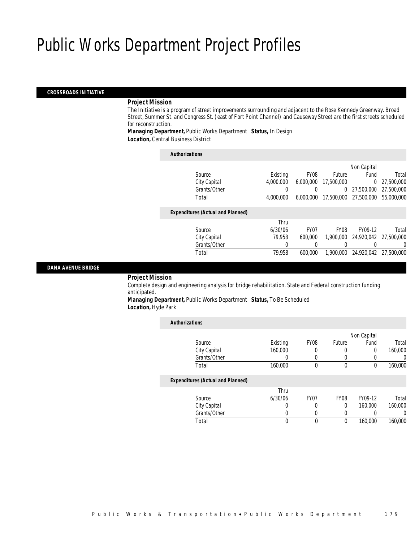### *CROSSROADS INITIATIVE*

#### *Project Mission*

The Initiative is a program of street improvements surrounding and adjacent to the Rose Kennedy Greenway. Broad Street, Summer St. and Congress St. (east of Fort Point Channel) and Causeway Street are the first streets scheduled for reconstruction.

*Managing Department,* Public Works Department *Status,* In Design *Location,* Central Business District

| <b>Authorizations</b>                    |           |                  |             |             |            |
|------------------------------------------|-----------|------------------|-------------|-------------|------------|
|                                          |           |                  |             | Non Capital |            |
| Source                                   | Existing  | FY <sub>08</sub> | Future      | Fund        | Total      |
| City Capital                             | 4.000.000 | 6.000.000        | 17,500,000  | $\Omega$    | 27,500,000 |
| Grants/Other                             | 0         |                  | 0           | 27.500.000  | 27,500,000 |
| Total                                    | 4.000.000 | 6.000.000        | 17,500,000  | 27,500,000  | 55,000,000 |
| <b>Expenditures (Actual and Planned)</b> |           |                  |             |             |            |
|                                          | Thru      |                  |             |             |            |
| Source                                   | 6/30/06   | <b>FY07</b>      | <b>FY08</b> | FY09-12     | Total      |
| City Capital                             | 79.958    | 600,000          | 1,900,000   | 24,920,042  | 27.500.000 |
| Grants/Other                             | 0         | 0                |             |             | $\Omega$   |
| Total                                    | 79.958    | 600.000          | 1.900.000   | 24.920.042  | 27,500,000 |

### *DANA AVENUE BRIDGE*

### *Project Mission*

Complete design and engineering analysis for bridge rehabilitation. State and Federal construction funding anticipated.

*Managing Department,* Public Works Department *Status,* To Be Scheduled *Location,* Hyde Park

| <b>Authorizations</b>                    |          |                  |             |             |         |
|------------------------------------------|----------|------------------|-------------|-------------|---------|
|                                          |          |                  |             | Non Capital |         |
| Source                                   | Existing | <b>FY08</b>      | Future      | Fund        | Total   |
| City Capital                             | 160,000  | 0                | 0           | 0           | 160,000 |
| Grants/Other                             |          |                  | 0           |             | 0       |
| Total                                    | 160,000  | 0                | 0           | 0           | 160,000 |
| <b>Expenditures (Actual and Planned)</b> |          |                  |             |             |         |
|                                          | Thru     |                  |             |             |         |
| Source                                   | 6/30/06  | FY <sub>07</sub> | <b>FY08</b> | FY09-12     | Total   |
| City Capital                             | 0        | 0                | 0           | 160,000     | 160,000 |
| Grants/Other                             | 0        |                  | 0           |             | 0       |
| Total                                    | 0        |                  | 0           | 160,000     | 160,000 |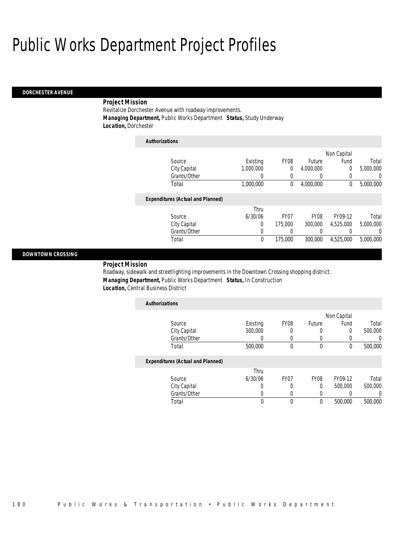#### *DORCHESTER AVENUE*

## *Project Mission*

Revitalize Dorchester Avenue with roadway improvements. *Managing Department,* Public Works Department *Status,* Study Underway *Location,* Dorchester

| <b>Authorizations</b>                    |             |             |                  |                  |           |
|------------------------------------------|-------------|-------------|------------------|------------------|-----------|
|                                          |             |             |                  | Non Capital      |           |
| Source                                   | Existing    | <b>FY08</b> | Future           | Fund             | Total     |
| City Capital                             | 1.000.000   | 0           | 4.000.000        | $\Omega$         | 5.000.000 |
| Grants/Other                             | 0           | $\left($    | $\left( \right)$ | $\left($         | $\Omega$  |
| Total                                    | 1,000,000   | 0           | 4,000,000        | 0                | 5,000,000 |
| <b>Expenditures (Actual and Planned)</b> |             |             |                  |                  |           |
|                                          | Thru        |             |                  |                  |           |
| Source                                   | 6/30/06     | <b>FY07</b> | <b>FY08</b>      | FY09-12          | Total     |
| City Capital                             | 0           | 175,000     | 300,000          | 4.525.000        | 5,000,000 |
| Grants/Other                             | 0           | 0           | 0                | $\left( \right)$ | $\Omega$  |
| Total                                    | $\mathbf 0$ | 175,000     | 300,000          | 4,525,000        | 5,000,000 |

## *DOWNTOWN CROSSING*

*Project Mission* 

Roadway, sidewalk and streetlighting improvements in the Downtown Crossing shopping district. *Managing Department,* Public Works Department *Status,* In Construction *Location,* Central Business District

| <b>Authorizations</b>                    |          |      |        |             |         |
|------------------------------------------|----------|------|--------|-------------|---------|
|                                          |          |      |        | Non Capital |         |
| Source                                   | Existing | FY08 | Future | Fund        | Total   |
| City Capital                             | 500,000  | 0    |        | 0           | 500,000 |
| Grants/Other                             |          |      |        |             |         |
| Total                                    | 500,000  | 0    | 0      | 0           | 500,000 |
| <b>Expenditures (Actual and Planned)</b> |          |      |        |             |         |
|                                          | Thru     |      |        |             |         |

|              | Thru    |      |                  |         |         |
|--------------|---------|------|------------------|---------|---------|
| Source       | 6/30/06 | FY07 | FY <sub>08</sub> | FY09-12 | Total   |
| City Capital |         |      |                  | 500,000 | 500,000 |
| Grants/Other |         |      |                  |         |         |
| Total        |         |      |                  | 500,000 | 500,000 |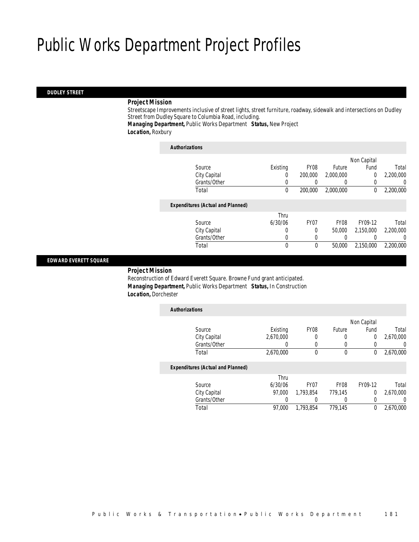#### *DUDLEY STREET*

#### *Project Mission*

Streetscape Improvements inclusive of street lights, street furniture, roadway, sidewalk and intersections on Dudley Street from Dudley Square to Columbia Road, including.

*Managing Department,* Public Works Department *Status,* New Project *Location,* Roxbury

| <b>Authorizations</b>                    |          |                  |             |                |           |
|------------------------------------------|----------|------------------|-------------|----------------|-----------|
|                                          |          |                  |             | Non Capital    |           |
| Source                                   | Existing | FY <sub>08</sub> | Future      | Fund           | Total     |
| City Capital                             | 0        | 200,000          | 2,000,000   | $\overline{0}$ | 2,200,000 |
| Grants/Other                             |          |                  | $\left($    | 0              | 0         |
| Total                                    | $\theta$ | 200,000          | 2.000.000   | 0              | 2,200,000 |
| <b>Expenditures (Actual and Planned)</b> |          |                  |             |                |           |
|                                          | Thru     |                  |             |                |           |
| Source                                   | 6/30/06  | FY07             | <b>FY08</b> | FY09-12        | Total     |
| City Capital                             | 0        | 0                | 50,000      | 2.150.000      | 2,200,000 |
| Grants/Other                             | 0        | $\Omega$         |             |                | 0         |
| Total                                    | 0        | $\theta$         | 50,000      | 2.150.000      | 2.200.000 |
|                                          |          |                  |             |                |           |

## *EDWARD EVERETT SQUARE*

### *Project Mission*

Reconstruction of Edward Everett Square. Browne Fund grant anticipated. *Managing Department,* Public Works Department *Status,* In Construction *Location,* Dorchester

| <b>Authorizations</b> |                                          |           |                  |             |                |           |
|-----------------------|------------------------------------------|-----------|------------------|-------------|----------------|-----------|
|                       |                                          |           |                  |             | Non Capital    |           |
|                       | Source                                   | Existing  | FY <sub>08</sub> | Future      | Fund           | Total     |
|                       | City Capital                             | 2,670,000 |                  |             | $\overline{0}$ | 2,670,000 |
|                       | Grants/Other                             | 0         |                  |             |                | 0         |
|                       | Total                                    | 2,670,000 | $\Omega$         | $\theta$    | 0              | 2,670,000 |
|                       | <b>Expenditures (Actual and Planned)</b> |           |                  |             |                |           |
|                       |                                          | Thru      |                  |             |                |           |
|                       | Source                                   | 6/30/06   | FY <sub>07</sub> | <b>FY08</b> | FY09-12        | Total     |
|                       | City Capital                             | 97.000    | 1.793.854        | 779,145     | $\Omega$       | 2,670,000 |
|                       | Grants/Other                             |           |                  | $\Omega$    |                | 0         |
|                       | Total                                    | 97.000    | 1.793.854        | 779.145     | 0              | 2,670,000 |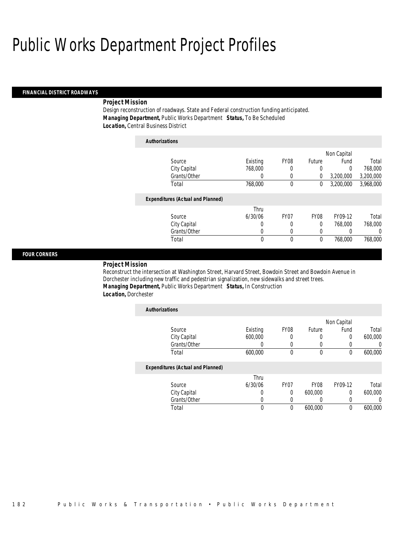#### *FINANCIAL DISTRICT ROADWAYS*

#### *Project Mission*

Design reconstruction of roadways. State and Federal construction funding anticipated. *Managing Department,* Public Works Department *Status,* To Be Scheduled *Location,* Central Business District

| <b>Authorizations</b>                    |          |                  |             |             |           |
|------------------------------------------|----------|------------------|-------------|-------------|-----------|
|                                          |          |                  |             | Non Capital |           |
| Source                                   | Existing | FY <sub>08</sub> | Future      | Fund        | Total     |
| City Capital                             | 768,000  | 0                | 0           | 0           | 768,000   |
| Grants/Other                             | 0        | 0                | 0           | 3,200,000   | 3,200,000 |
| Total                                    | 768,000  | 0                | 0           | 3,200,000   | 3,968,000 |
| <b>Expenditures (Actual and Planned)</b> |          |                  |             |             |           |
|                                          | Thru     |                  |             |             |           |
| Source                                   | 6/30/06  | FY07             | <b>FY08</b> | FY09-12     | Total     |
| City Capital                             | 0        | 0                | 0           | 768,000     | 768,000   |
| Grants/Other                             | 0        | 0                | 0           |             | 0         |
| Total                                    | 0        | 0                | 0           | 768,000     | 768,000   |

## *FOUR CORNERS*

## *Project Mission*

Reconstruct the intersection at Washington Street, Harvard Street, Bowdoin Street and Bowdoin Avenue in Dorchester including new traffic and pedestrian signalization, new sidewalks and street trees. *Managing Department,* Public Works Department *Status,* In Construction *Location,* Dorchester

| <b>Authorizations</b>                    |                  |                  |               |             |                |
|------------------------------------------|------------------|------------------|---------------|-------------|----------------|
|                                          |                  |                  |               | Non Capital |                |
| Source                                   | Existing         | <b>FY08</b>      | <b>Future</b> | Fund        | Total          |
| City Capital                             | 600,000          | 0                | 0             | 0           | 600,000        |
| Grants/Other                             | 0                | 0                | U             | O           | $\overline{0}$ |
| Total                                    | 600,000          | 0                | $\mathbf 0$   | $\Omega$    | 600,000        |
| <b>Expenditures (Actual and Planned)</b> |                  |                  |               |             |                |
|                                          | Thru             |                  |               |             |                |
| Source                                   | 6/30/06          | FY <sub>07</sub> | <b>FY08</b>   | FY09-12     | Total          |
| City Capital                             | $\left( \right)$ | 0                | 600,000       | $\Omega$    | 600,000        |
| Grants/Other                             | 0                | 0                | 0             | 0           |                |
| Total                                    | 0                | 0                | 600.000       | 0           | 600,000        |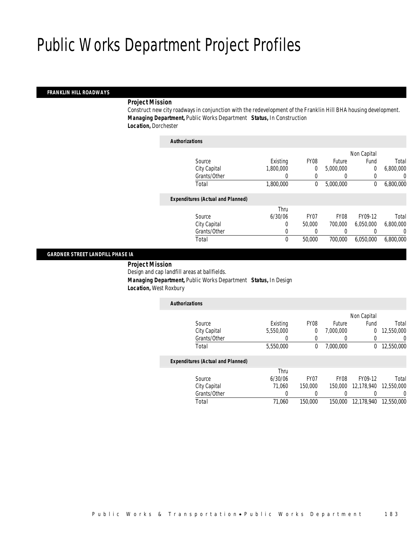#### *FRANKLIN HILL ROADWAYS*

#### *Project Mission*

Construct new city roadways in conjunction with the redevelopment of the Franklin Hill BHA housing development. *Managing Department,* Public Works Department *Status,* In Construction *Location,* Dorchester

| <b>Authorizations</b>                    |                  |                  |                  |             |           |
|------------------------------------------|------------------|------------------|------------------|-------------|-----------|
|                                          |                  |                  |                  | Non Capital |           |
| Source                                   | Existing         | FY <sub>08</sub> | Future           | Fund        | Total     |
| City Capital                             | 1.800.000        | 0                | 5,000,000        | $\mathbf 0$ | 6,800,000 |
| Grants/Other                             | $\left( \right)$ | 0                | $\left( \right)$ | 0           | 0         |
| Total                                    | 1,800,000        | 0                | 5,000,000        | 0           | 6,800,000 |
| <b>Expenditures (Actual and Planned)</b> |                  |                  |                  |             |           |
|                                          | Thru             |                  |                  |             |           |
| Source                                   | 6/30/06          | FY <sub>07</sub> | <b>FY08</b>      | FY09-12     | Total     |
| City Capital                             | 0                | 50,000           | 700.000          | 6.050.000   | 6,800,000 |
| Grants/Other                             | 0                | $\Omega$         | $\left($         |             | 0         |
| Total                                    | 0                | 50,000           | 700,000          | 6.050.000   | 6,800,000 |
|                                          |                  |                  |                  |             |           |

### *GARDNER STREET LANDFILL PHASE IA*

*Project Mission* 

Design and cap landfill areas at ballfields.

*Managing Department,* Public Works Department *Status,* In Design

*Location,* West Roxbury

| <b>Authorizations</b>                    |           |                  |                  |             |            |
|------------------------------------------|-----------|------------------|------------------|-------------|------------|
|                                          |           |                  |                  | Non Capital |            |
| Source                                   | Existing  | <b>FY08</b>      | <b>Future</b>    | Fund        | Total      |
| City Capital                             | 5,550,000 | 0                | 7,000,000        | 0           | 12,550,000 |
| Grants/Other                             |           |                  |                  | 0           | 0          |
| Total                                    | 5,550,000 | 0                | 7,000,000        | 0           | 12,550,000 |
| <b>Expenditures (Actual and Planned)</b> |           |                  |                  |             |            |
|                                          | Thru      |                  |                  |             |            |
| Source                                   | 6/30/06   | FY <sub>07</sub> | FY <sub>08</sub> | FY09-12     | Total      |
| City Capital                             | 71.060    | 150,000          | 150,000          | 12.178.940  | 12,550,000 |

Grants/Other 0 0 0 0 0 0 Total 71,060 150,000 150,000 12,178,940 12,550,000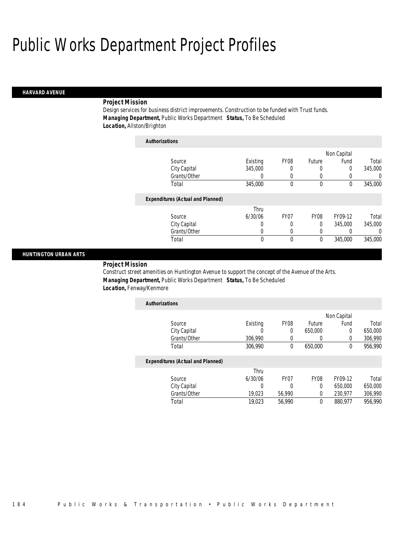#### *HARVARD AVENUE*

### *Project Mission*

Design services for business district improvements. Construction to be funded with Trust funds. *Managing Department,* Public Works Department *Status,* To Be Scheduled *Location,* Allston/Brighton

| <b>Authorizations</b>                    |          |                  |               |             |          |
|------------------------------------------|----------|------------------|---------------|-------------|----------|
|                                          |          |                  |               | Non Capital |          |
| Source                                   | Existing | <b>FY08</b>      | <b>Future</b> | Fund        | Total    |
| City Capital                             | 345,000  | 0                | 0             | 0           | 345,000  |
| Grants/Other                             | 0        | 0                | 0             |             | $\Omega$ |
| Total                                    | 345,000  | 0                | $\mathbf 0$   | $\Omega$    | 345,000  |
| <b>Expenditures (Actual and Planned)</b> |          |                  |               |             |          |
|                                          | Thru     |                  |               |             |          |
| Source                                   | 6/30/06  | FY <sub>07</sub> | <b>FY08</b>   | FY09-12     | Total    |
| City Capital                             | 0        | 0                | 0             | 345,000     | 345,000  |
| Grants/Other                             | 0        | $\left($         | 0             |             | $\Omega$ |
| Total                                    | 0        | $\Omega$         | $\mathbf 0$   | 345,000     | 345,000  |

## *HUNTINGTON URBAN ARTS*

*Project Mission* 

Construct street amenities on Huntington Avenue to support the concept of the Avenue of the Arts. *Managing Department,* Public Works Department *Status,* To Be Scheduled *Location,* Fenway/Kenmore

| <b>Authorizations</b> |          |                  |         |             |         |
|-----------------------|----------|------------------|---------|-------------|---------|
|                       |          |                  |         | Non Capital |         |
| Source                | Existing | FY <sub>08</sub> | Future  | Fund        | Total   |
| City Capital          |          |                  | 650,000 |             | 650,000 |
| Grants/Other          | 306.990  |                  |         |             | 306,990 |
| Total                 | 306,990  |                  | 650,000 |             | 956,990 |

|              | Thru    |        |      |         |         |
|--------------|---------|--------|------|---------|---------|
| Source       | 6/30/06 | FY07   | FY08 | FY09-12 | Total   |
| City Capital |         |        |      | 650,000 | 650,000 |
| Grants/Other | 19.023  | 56.990 |      | 230.977 | 306,990 |
| Total        | 19,023  | 56.990 |      | 880,977 | 956,990 |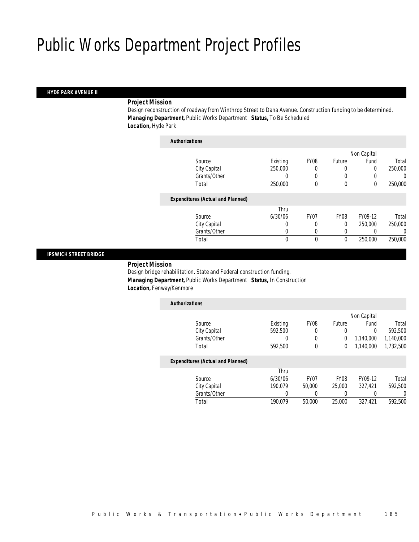#### *HYDE PARK AVENUE II*

### *Project Mission*

Design reconstruction of roadway from Winthrop Street to Dana Avenue. Construction funding to be determined. *Managing Department,* Public Works Department *Status,* To Be Scheduled *Location,* Hyde Park

| <b>Authorizations</b>                    |          |                  |             |             |         |
|------------------------------------------|----------|------------------|-------------|-------------|---------|
|                                          |          |                  |             | Non Capital |         |
| Source                                   | Existing | FY <sub>08</sub> | Future      | Fund        | Total   |
| City Capital                             | 250,000  |                  | 0           | 0           | 250,000 |
| Grants/Other                             | 0        | $\Omega$         | $\left($    |             | 0       |
| Total                                    | 250,000  | 0                | $\mathbf 0$ | 0           | 250,000 |
| <b>Expenditures (Actual and Planned)</b> |          |                  |             |             |         |
|                                          | Thru     |                  |             |             |         |
| Source                                   | 6/30/06  | FY <sub>07</sub> | <b>FY08</b> | FY09-12     | Total   |
| City Capital                             | 0        | 0                | $\theta$    | 250,000     | 250,000 |
| Grants/Other                             | 0        | 0                | 0           |             | 0       |
| Total                                    | 0        | $\theta$         | 0           | 250,000     | 250,000 |
|                                          |          |                  |             |             |         |

#### *IPSWICH STREET BRIDGE*

*Project Mission* 

Design bridge rehabilitation. State and Federal construction funding. *Managing Department,* Public Works Department *Status,* In Construction *Location,* Fenway/Kenmore

| <b>Authorizations</b>                    |          |                  |               |             |           |
|------------------------------------------|----------|------------------|---------------|-------------|-----------|
|                                          |          |                  |               | Non Capital |           |
| Source                                   | Existing | <b>FY08</b>      | <b>Future</b> | Fund        | Total     |
| City Capital                             | 592,500  | 0                | 0             | 0           | 592.500   |
| Grants/Other                             |          | 0                | 0             | 1.140.000   | 1,140,000 |
| Total                                    | 592.500  | $\theta$         | 0             | 1,140,000   | 1,732,500 |
| <b>Expenditures (Actual and Planned)</b> |          |                  |               |             |           |
|                                          | Thru     |                  |               |             |           |
| Source                                   | 6/30/06  | FY <sub>07</sub> | <b>FY08</b>   | FY09-12     | Total     |
| City Capital                             | 190.079  | 50,000           | 25,000        | 327.421     | 592,500   |
| Grants/Other                             | 0        |                  | 0             | 0           |           |
| Total                                    | 190.079  | 50,000           | 25,000        | 327.421     | 592.500   |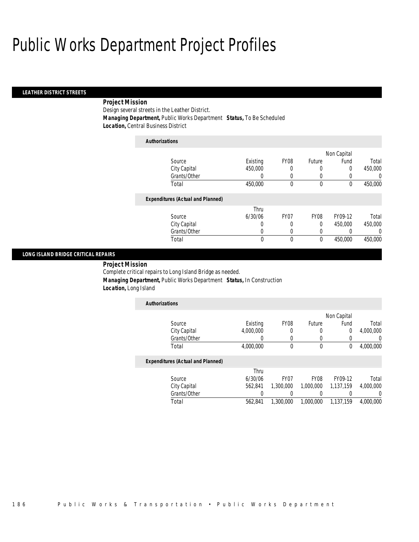### *LEATHER DISTRICT STREETS*

## *Project Mission*

Design several streets in the Leather District. *Managing Department,* Public Works Department *Status,* To Be Scheduled *Location,* Central Business District

| <b>Authorizations</b>                    |          |                  |             |             |          |
|------------------------------------------|----------|------------------|-------------|-------------|----------|
|                                          |          |                  |             | Non Capital |          |
| Source                                   | Existing | FY08             | Future      | Fund        | Total    |
| City Capital                             | 450,000  | 0                | 0           | 0           | 450,000  |
| Grants/Other                             | 0        | 0                | 0           | 0           | 0        |
| Total                                    | 450,000  | 0                | $\mathbf 0$ | 0           | 450,000  |
| <b>Expenditures (Actual and Planned)</b> |          |                  |             |             |          |
|                                          | Thru     |                  |             |             |          |
| Source                                   | 6/30/06  | FY <sub>07</sub> | <b>FY08</b> | FY09-12     | Total    |
| City Capital                             | 0        | 0                | 0           | 450,000     | 450,000  |
| Grants/Other                             | 0        | 0                | 0           |             | $\left($ |
| Total                                    | 0        | 0                | 0           | 450,000     | 450,000  |

### *LONG ISLAND BRIDGE CRITICAL REPAIRS*

*Project Mission* 

Complete critical repairs to Long Island Bridge as needed.

*Managing Department,* Public Works Department *Status,* In Construction

*Location,* Long Island

| <b>Authorizations</b> |           |                  |        |             |           |
|-----------------------|-----------|------------------|--------|-------------|-----------|
|                       |           |                  |        | Non Capital |           |
| Source                | Existing  | FY <sub>08</sub> | Future | Fund        | Total     |
| City Capital          | 4,000,000 |                  |        |             | 4,000,000 |
| Grants/Other          |           |                  |        |             |           |
| Total                 | 4,000,000 |                  |        |             | 4,000,000 |

| Source       | Thru<br>6/30/06 | FY <sub>07</sub> | FY <sub>08</sub> | FY09-12   | Total     |
|--------------|-----------------|------------------|------------------|-----------|-----------|
| City Capital | 562.841         | 1,300,000        | 1,000,000        | 1.137.159 | 4.000.000 |
| Grants/Other |                 |                  |                  |           |           |
| Total        | 562.841         | 1,300,000        | 1,000,000        | 1.137.159 | 4.000.000 |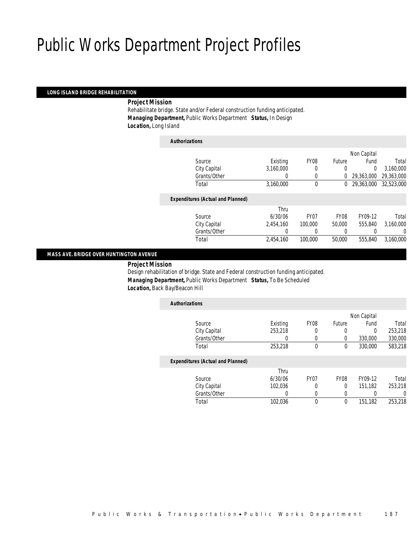### *LONG ISLAND BRIDGE REHABILITATION*

*Project Mission* 

Rehabilitate bridge. State and/or Federal construction funding anticipated. *Managing Department,* Public Works Department *Status,* In Design *Location,* Long Island

| <b>Authorizations</b>                    |           |                  |             |             |            |
|------------------------------------------|-----------|------------------|-------------|-------------|------------|
|                                          |           |                  |             | Non Capital |            |
| Source                                   | Existing  | FY <sub>08</sub> | Future      | Fund        | Total      |
| City Capital                             | 3,160,000 | 0                | 0           | $\Omega$    | 3,160,000  |
| Grants/Other                             | 0         | 0                | $\Omega$    | 29,363,000  | 29,363,000 |
| Total                                    | 3,160,000 | $\theta$         | $^{0}$      | 29,363,000  | 32.523.000 |
| <b>Expenditures (Actual and Planned)</b> |           |                  |             |             |            |
|                                          | Thru      |                  |             |             |            |
| Source                                   | 6/30/06   | FY <sub>07</sub> | <b>FY08</b> | FY09-12     | Total      |
| City Capital                             | 2.454.160 | 100,000          | 50,000      | 555,840     | 3,160,000  |
| Grants/Other                             | 0         | $\left($         | $\left($    |             | 0          |
| Total                                    | 2,454,160 | 100,000          | 50,000      | 555,840     | 3.160.000  |
|                                          |           |                  |             |             |            |

## *MASS AVE. BRIDGE OVER HUNTINGTON AVENUE*

*Project Mission* 

Design rehabilitation of bridge. State and Federal construction funding anticipated. *Managing Department,* Public Works Department *Status,* To Be Scheduled *Location,* Back Bay/Beacon Hill

| <b>Authorizations</b>                    |          |             |             |             |         |
|------------------------------------------|----------|-------------|-------------|-------------|---------|
|                                          |          |             |             | Non Capital |         |
| Source                                   | Existing | <b>FY08</b> | Future      | Fund        | Total   |
| City Capital                             | 253,218  | 0           | 0           | $\Omega$    | 253,218 |
| Grants/Other                             | O        | 0           | 0           | 330,000     | 330,000 |
| Total                                    | 253,218  | $\theta$    | 0           | 330,000     | 583,218 |
| <b>Expenditures (Actual and Planned)</b> |          |             |             |             |         |
|                                          | Thru     |             |             |             |         |
| Source                                   | 6/30/06  | <b>FY07</b> | <b>FY08</b> | FY09-12     | Total   |
| City Capital                             | 102.036  |             | 0           | 151.182     | 253,218 |
| Grants/Other                             | 0        | $\Omega$    | 0           | 0           | 0       |
| Total                                    | 102.036  | $\theta$    | 0           | 151,182     | 253,218 |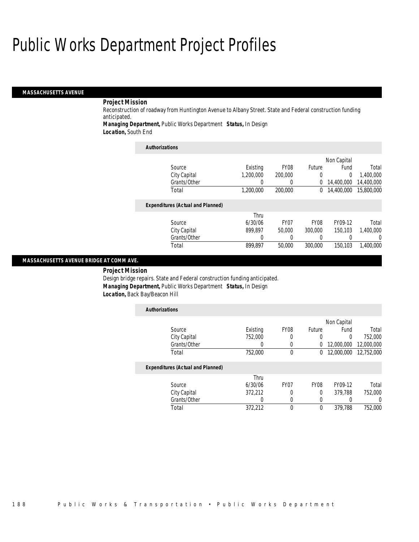#### *MASSACHUSETTS AVENUE*

## *Project Mission*

Reconstruction of roadway from Huntington Avenue to Albany Street. State and Federal construction funding anticipated.

*Managing Department,* Public Works Department *Status,* In Design

*Location,* South End

| <b>Authorizations</b>                    |           |                  |               |             |            |
|------------------------------------------|-----------|------------------|---------------|-------------|------------|
|                                          |           |                  |               | Non Capital |            |
| Source                                   | Existing  | FY <sub>08</sub> | <b>Future</b> | Fund        | Total      |
| City Capital                             | 1,200,000 | 200,000          | $\Omega$      | 0           | 1,400,000  |
| Grants/Other                             | 0         | 0                | 0             | 14,400,000  | 14,400,000 |
| Total                                    | 1,200,000 | 200,000          | 0             | 14,400,000  | 15,800,000 |
| <b>Expenditures (Actual and Planned)</b> |           |                  |               |             |            |
|                                          | Thru      |                  |               |             |            |
| Source                                   | 6/30/06   | FY <sub>07</sub> | <b>FY08</b>   | FY09-12     | Total      |
| City Capital                             | 899.897   | 50,000           | 300,000       | 150.103     | 1.400.000  |
| Grants/Other                             | 0         |                  | 0             | 0           | $\left($   |
| Total                                    | 899.897   | 50,000           | 300,000       | 150,103     | 1.400.000  |

### *MASSACHUSETTS AVENUE BRIDGE AT COMM AVE.*

*Project Mission* 

Design bridge repairs. State and Federal construction funding anticipated. *Managing Department,* Public Works Department *Status,* In Design *Location,* Back Bay/Beacon Hill

| <b>Authorizations</b> |                                          |          |                  |             |             |            |
|-----------------------|------------------------------------------|----------|------------------|-------------|-------------|------------|
|                       |                                          |          |                  |             | Non Capital |            |
| Source                |                                          | Existing | FY <sub>08</sub> | Future      | Fund        | Total      |
|                       | City Capital                             | 752,000  | 0                | 0           | $\Omega$    | 752,000    |
|                       | Grants/Other                             | 0        | $\left( \right)$ | 0           | 12,000,000  | 12,000,000 |
| Total                 |                                          | 752,000  | 0                | 0           | 12,000,000  | 12,752,000 |
|                       | <b>Expenditures (Actual and Planned)</b> |          |                  |             |             |            |
|                       |                                          | Thru     |                  |             |             |            |
| Source                |                                          | 6/30/06  | FY <sub>07</sub> | <b>FY08</b> | FY09-12     | Total      |
|                       | City Capital                             | 372,212  | 0                | 0           | 379.788     | 752,000    |
|                       | Grants/Other                             | 0        | 0                |             |             | 0          |
| Total                 |                                          | 372.212  | 0                | $\mathbf 0$ | 379.788     | 752,000    |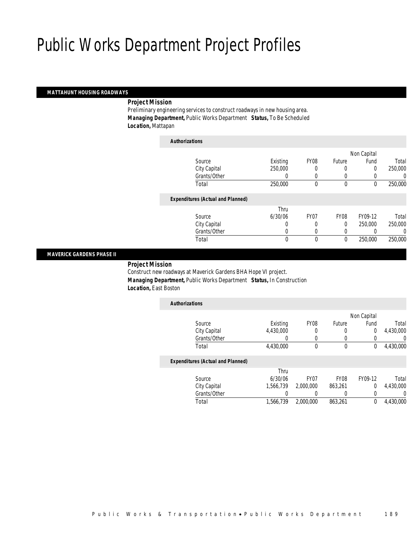### *MATTAHUNT HOUSING ROADWAYS*

*Project Mission* 

Preliminary engineering services to construct roadways in new housing area. *Managing Department,* Public Works Department *Status,* To Be Scheduled *Location,* Mattapan

| <b>Authorizations</b>                    |              |                  |             |             |         |
|------------------------------------------|--------------|------------------|-------------|-------------|---------|
|                                          |              |                  |             | Non Capital |         |
| Source                                   | Existing     | FY <sub>08</sub> | Future      | Fund        | Total   |
| City Capital                             | 250,000      |                  | $\left($    | 0           | 250,000 |
| Grants/Other                             |              | $\Omega$         | $\Omega$    |             | 0       |
| Total                                    | 250,000      | $\theta$         | $\mathbf 0$ | 0           | 250,000 |
| <b>Expenditures (Actual and Planned)</b> |              |                  |             |             |         |
|                                          | Thru         |                  |             |             |         |
| Source                                   | 6/30/06      | FY07             | <b>FY08</b> | FY09-12     | Total   |
| City Capital                             | 0            | 0                | 0           | 250,000     | 250,000 |
| Grants/Other                             | 0            | 0                | $\left($    |             | 0       |
| Total                                    | $\mathbf{0}$ | $\theta$         | 0           | 250,000     | 250,000 |
|                                          |              |                  |             |             |         |

## *MAVERICK GARDENS PHASE II*

*Project Mission* 

Construct new roadways at Maverick Gardens BHA Hope VI project. *Managing Department,* Public Works Department *Status,* In Construction *Location,* East Boston

| <b>Authorizations</b>                    |           |      |               |             |           |
|------------------------------------------|-----------|------|---------------|-------------|-----------|
|                                          |           |      |               | Non Capital |           |
| Source                                   | Existing  | FY08 | <b>Future</b> | Fund        | Total     |
| City Capital                             | 4,430,000 | 0    |               | $\Omega$    | 4,430,000 |
| Grants/Other                             |           |      |               |             |           |
| Total                                    | 4,430,000 | 0    | 0             |             | 4,430,000 |
| <b>Expenditures (Actual and Planned)</b> |           |      |               |             |           |
|                                          | Thru      |      |               |             |           |

| Total        | 1,566,739 | 2.000.000        | 863.261          |         | 4,430,000 |
|--------------|-----------|------------------|------------------|---------|-----------|
| Grants/Other |           |                  |                  |         |           |
| City Capital | 1.566.739 | 2.000.000        | 863.261          |         | 4,430,000 |
| Source       | 6/30/06   | FY <sub>07</sub> | FY <sub>08</sub> | FY09-12 | Total     |
|              | 11 II U   |                  |                  |         |           |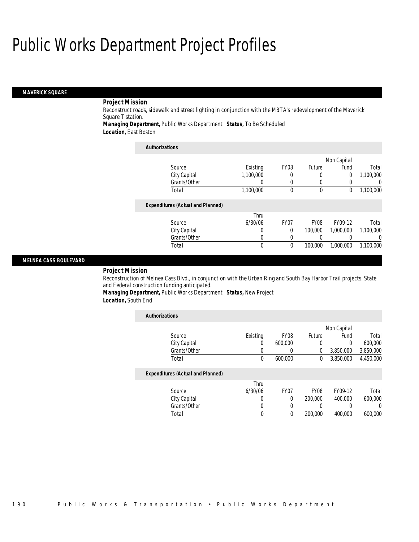#### *MAVERICK SQUARE*

## *Project Mission*

Reconstruct roads, sidewalk and street lighting in conjunction with the MBTA's redevelopment of the Maverick Square T station.

*Managing Department,* Public Works Department *Status,* To Be Scheduled

*Location,* East Boston

| <b>Authorizations</b>                    |           |                  |                  |           |                  |
|------------------------------------------|-----------|------------------|------------------|-----------|------------------|
| Non Capital                              |           |                  |                  |           |                  |
| Source                                   | Existing  | FY08             | <b>Future</b>    | Fund      | Total            |
| City Capital                             | 1,100,000 |                  | 0                | 0         | 1,100,000        |
| Grants/Other                             | 0         | $\left($         | 0                |           | $\left( \right)$ |
| Total                                    | 1,100,000 | $\theta$         | $\mathbf 0$      | 0         | 1,100,000        |
| <b>Expenditures (Actual and Planned)</b> |           |                  |                  |           |                  |
|                                          | Thru      |                  |                  |           |                  |
| Source                                   | 6/30/06   | FY <sub>07</sub> | FY <sub>08</sub> | FY09-12   | Total            |
| City Capital                             | 0         | 0                | 100,000          | 1.000.000 | 1.100.000        |
| Grants/Other                             | 0         | 0                |                  |           | $\Omega$         |
| Total                                    | 0         | 0                | 100,000          | 1,000,000 | 1.100.000        |

### *MELNEA CASS BOULEVARD*

### *Project Mission*

Reconstruction of Melnea Cass Blvd., in conjunction with the Urban Ring and South Bay Harbor Trail projects. State and Federal construction funding anticipated.

*Managing Department,* Public Works Department *Status,* New Project *Location,* South End

| <b>Authorizations</b>                    |          |                  |               |             |           |
|------------------------------------------|----------|------------------|---------------|-------------|-----------|
|                                          |          |                  |               | Non Capital |           |
| Source                                   | Existing | FY <sub>08</sub> | <b>Future</b> | Fund        | Total     |
| City Capital                             | 0        | 600,000          | 0             | 0           | 600,000   |
| Grants/Other                             | 0        | 0                | 0             | 3,850,000   | 3,850,000 |
| Total                                    | 0        | 600,000          | 0             | 3.850.000   | 4,450,000 |
| <b>Expenditures (Actual and Planned)</b> |          |                  |               |             |           |
|                                          | Thru     |                  |               |             |           |
| Source                                   | 6/30/06  | FY <sub>07</sub> | <b>FY08</b>   | FY09-12     | Total     |
| City Capital                             | 0        | $\Omega$         | 200,000       | 400,000     | 600,000   |
| Grants/Other                             | 0        | 0                | 0             | 0           | 0         |
| Total                                    | 0        | $\theta$         | 200,000       | 400.000     | 600.000   |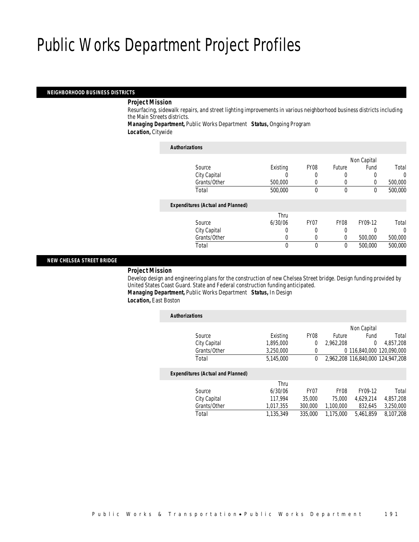### *NEIGHBORHOOD BUSINESS DISTRICTS*

#### *Project Mission*

Resurfacing, sidewalk repairs, and street lighting improvements in various neighborhood business districts including the Main Streets districts.

*Managing Department,* Public Works Department *Status,* Ongoing Program *Location,* Citywide

| <b>Authorizations</b>                    |          |                  |             |             |         |
|------------------------------------------|----------|------------------|-------------|-------------|---------|
|                                          |          |                  |             | Non Capital |         |
| Source                                   | Existing | FY <sub>08</sub> | Future      | Fund        | Total   |
| City Capital                             |          |                  |             |             | 0       |
| Grants/Other                             | 500,000  | 0                | $\left($    | 0           | 500,000 |
| Total                                    | 500,000  | $\theta$         | $\theta$    | 0           | 500,000 |
| <b>Expenditures (Actual and Planned)</b> |          |                  |             |             |         |
|                                          | Thru     |                  |             |             |         |
| Source                                   | 6/30/06  | FY <sub>07</sub> | <b>FY08</b> | FY09-12     | Total   |
| City Capital                             | 0        | 0                | 0           | 0           | 0       |
| Grants/Other                             | 0        |                  | $\theta$    | 500,000     | 500,000 |
| Total                                    | 0        | $\theta$         | 0           | 500,000     | 500,000 |

## *NEW CHELSEA STREET BRIDGE*

#### *Project Mission*

Develop design and engineering plans for the construction of new Chelsea Street bridge. Design funding provided by United States Coast Guard. State and Federal construction funding anticipated. *Managing Department,* Public Works Department *Status,* In Design

*Location,* East Boston

| <b>Authorizations</b> |                                          |           |                  |                  |                                   |           |
|-----------------------|------------------------------------------|-----------|------------------|------------------|-----------------------------------|-----------|
|                       |                                          |           |                  |                  | Non Capital                       |           |
|                       | Source                                   | Existing  | <b>FY08</b>      | <b>Future</b>    | Fund                              | Total     |
|                       | City Capital                             | 1,895,000 | 0                | 2.962.208        | $\Omega$                          | 4,857,208 |
|                       | Grants/Other                             | 3.250.000 | 0                |                  | 0 116.840.000 120.090.000         |           |
|                       | Total                                    | 5.145.000 | 0                |                  | 2.962.208 116.840.000 124.947.208 |           |
|                       | <b>Expenditures (Actual and Planned)</b> |           |                  |                  |                                   |           |
|                       |                                          | Thru      |                  |                  |                                   |           |
|                       | Source                                   | 6/30/06   | FY <sub>07</sub> | FY <sub>08</sub> | FY09-12                           | Total     |
|                       | City Capital                             | 117.994   | 35,000           | 75,000           | 4.629.214                         | 4,857,208 |
|                       | Grants/Other                             | 1.017.355 | 300,000          | 1.100.000        | 832.645                           | 3,250,000 |
|                       | Total                                    | 1.135.349 | 335,000          | 1.175.000        | 5.461.859                         | 8.107.208 |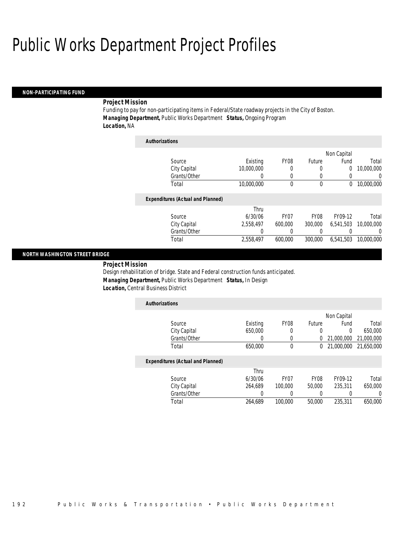#### *NON-PARTICIPATING FUND*

#### *Project Mission*

Funding to pay for non-participating items in Federal/State roadway projects in the City of Boston. *Managing Department,* Public Works Department *Status,* Ongoing Program *Location,* NA

| <b>Authorizations</b>                    |            |                  |             |             |            |
|------------------------------------------|------------|------------------|-------------|-------------|------------|
|                                          |            |                  |             | Non Capital |            |
| Source                                   | Existing   | FY <sub>08</sub> | Future      | Fund        | Total      |
| City Capital                             | 10.000.000 | 0                | 0           | 0           | 10,000,000 |
| Grants/Other                             | 0          | 0                | 0           | 0           | U          |
| Total                                    | 10,000,000 | 0                | 0           | 0           | 10,000,000 |
| <b>Expenditures (Actual and Planned)</b> |            |                  |             |             |            |
|                                          | Thru       |                  |             |             |            |
| Source                                   | 6/30/06    | FY <sub>07</sub> | <b>FY08</b> | FY09-12     | Total      |
| City Capital                             | 2,558,497  | 600,000          | 300,000     | 6,541,503   | 10,000,000 |
| Grants/Other                             | 0          | 0                | 0           |             | 0          |
| Total                                    | 2.558.497  | 600.000          | 300,000     | 6.541.503   | 10,000,000 |

#### *NORTH WASHINGTON STREET BRIDGE*

*Project Mission* 

Design rehabilitation of bridge. State and Federal construction funds anticipated. *Managing Department,* Public Works Department *Status,* In Design *Location,* Central Business District

| <b>Authorizations</b> |          |                  |        |                         |         |
|-----------------------|----------|------------------|--------|-------------------------|---------|
|                       |          |                  |        | Non Capital             |         |
| Source                | Existing | FY <sub>08</sub> | Future | Fund                    | Total   |
| City Capital          | 650,000  |                  |        |                         | 650,000 |
| Grants/Other          |          |                  |        | 0 21,000,000 21,000,000 |         |
| Total                 | 650,000  |                  |        | 0 21,000,000 21,650,000 |         |
|                       |          |                  |        |                         |         |

| Grants/Other<br>Total | 264.689 | 100,000 | 50,000           | 235,311 | 650,000 |
|-----------------------|---------|---------|------------------|---------|---------|
| City Capital          | 264.689 | 100,000 | 50,000           | 235.311 | 650,000 |
| Source                | 6/30/06 | FY07    | FY <sub>08</sub> | FY09-12 | Total   |
|                       | Thru    |         |                  |         |         |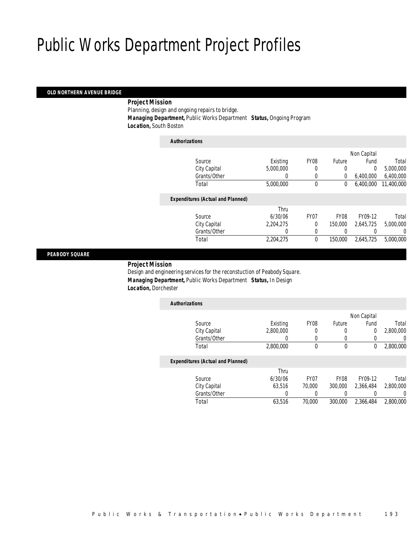### *OLD NORTHERN AVENUE BRIDGE*

#### *Project Mission*

Planning, design and ongoing repairs to bridge. *Managing Department,* Public Works Department *Status,* Ongoing Program

*Location,* South Boston

| <b>Authorizations</b>                    |           |                  |             |             |            |
|------------------------------------------|-----------|------------------|-------------|-------------|------------|
|                                          |           |                  |             | Non Capital |            |
| Source                                   | Existing  | FY <sub>08</sub> | Future      | Fund        | Total      |
| City Capital                             | 5.000.000 |                  | 0           | $\Omega$    | 5,000,000  |
| Grants/Other                             | 0         | 0                | 0           | 6,400,000   | 6,400,000  |
| Total                                    | 5,000,000 | 0                | 0           | 6.400.000   | 11,400,000 |
| <b>Expenditures (Actual and Planned)</b> |           |                  |             |             |            |
|                                          | Thru      |                  |             |             |            |
| Source                                   | 6/30/06   | FY <sub>07</sub> | <b>FY08</b> | FY09-12     | Total      |
| City Capital                             | 2.204.275 | 0                | 150,000     | 2.645.725   | 5,000,000  |
| Grants/Other                             | 0         | $\left($         |             |             | 0          |
| Total                                    | 2,204,275 | $\theta$         | 150,000     | 2.645.725   | 5,000,000  |
|                                          |           |                  |             |             |            |

### *PEABODY SQUARE*

*Project Mission* 

Design and engineering services for the reconstuction of Peabody Square. *Managing Department,* Public Works Department *Status,* In Design *Location,* Dorchester

| <b>Authorizations</b>                    |                  |                  |                  |             |           |
|------------------------------------------|------------------|------------------|------------------|-------------|-----------|
|                                          |                  |                  |                  | Non Capital |           |
| Source                                   | Existing         | FY <sub>08</sub> | Future           | Fund        | Total     |
| City Capital                             | 2.800.000        | 0                | 0                | 0           | 2.800.000 |
| Grants/Other                             | $\left( \right)$ |                  | 0                | 0           | $\cup$    |
| Total                                    | 2,800,000        | $\theta$         | 0                | 0           | 2,800,000 |
| <b>Expenditures (Actual and Planned)</b> |                  |                  |                  |             |           |
|                                          | Thru             |                  |                  |             |           |
| Source                                   | 6/30/06          | FY <sub>07</sub> | FY <sub>08</sub> | FY09-12     | Total     |
| City Capital                             | 63.516           | 70,000           | 300,000          | 2,366,484   | 2,800,000 |
| Grants/Other                             | 0                |                  |                  | 0           |           |
| Total                                    | 63.516           | 70,000           | 300,000          | 2.366.484   | 2.800.000 |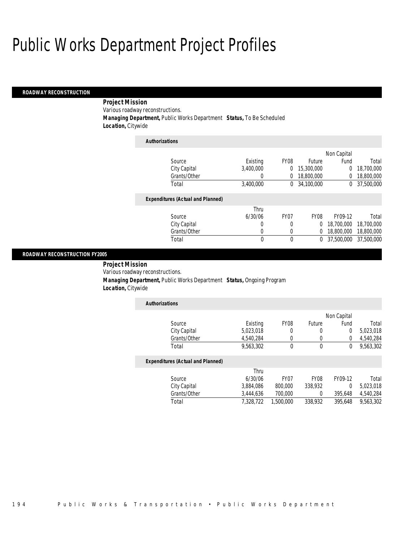#### *ROADWAY RECONSTRUCTION*

*Project Mission* 

Various roadway reconstructions.

*Managing Department,* Public Works Department *Status,* To Be Scheduled

*Location,* Citywide

| <b>Authorizations</b>                    |           |                  |             |                |            |
|------------------------------------------|-----------|------------------|-------------|----------------|------------|
|                                          |           |                  |             | Non Capital    |            |
| Source                                   | Existing  | FY <sub>08</sub> | Future      | Fund           | Total      |
| City Capital                             | 3.400.000 | 0                | 15,300,000  | $\overline{0}$ | 18,700,000 |
| Grants/Other                             | 0         | 0                | 18,800,000  | 0              | 18,800,000 |
| Total                                    | 3,400,000 | 0                | 34,100,000  | 0              | 37,500,000 |
| <b>Expenditures (Actual and Planned)</b> |           |                  |             |                |            |
|                                          | Thru      |                  |             |                |            |
| Source                                   | 6/30/06   | FY <sub>07</sub> | <b>FY08</b> | FY09-12        | Total      |
| City Capital                             | 0         | 0                | 0           | 18,700,000     | 18,700,000 |
| Grants/Other                             | 0         | 0                | 0           | 18,800,000     | 18,800,000 |
| Total                                    | 0         | 0                | 0           | 37,500,000     | 37,500,000 |

#### *ROADWAY RECONSTRUCTION FY2005*

*Project Mission* 

Various roadway reconstructions.

*Managing Department,* Public Works Department *Status,* Ongoing Program

*Location,* Citywide

| <b>Authorizations</b> |           |                  |        |             |           |
|-----------------------|-----------|------------------|--------|-------------|-----------|
|                       |           |                  |        | Non Capital |           |
| Source                | Existing  | FY <sub>08</sub> | Future | Fund        | Total     |
| City Capital          | 5,023,018 |                  |        |             | 5,023,018 |
| Grants/Other          | 4,540,284 |                  |        |             | 4,540,284 |
| Total                 | 9,563,302 |                  |        |             | 9,563,302 |

|              | Thru      |           |                  |         |           |
|--------------|-----------|-----------|------------------|---------|-----------|
| Source       | 6/30/06   | FY07      | FY <sub>08</sub> | FY09-12 | Total     |
| City Capital | 3.884.086 | 800,000   | 338,932          |         | 5.023.018 |
| Grants/Other | 3.444.636 | 700.000   |                  | 395.648 | 4.540.284 |
| Total        | 7.328.722 | 1,500,000 | 338,932          | 395,648 | 9.563.302 |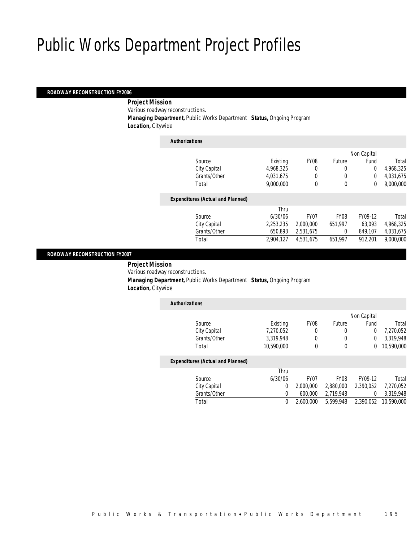### *ROADWAY RECONSTRUCTION FY2006*

#### *Project Mission*

Various roadway reconstructions.

*Managing Department,* Public Works Department *Status,* Ongoing Program

*Location,* Citywide

| <b>Authorizations</b>                    |           |                  |             |                |           |
|------------------------------------------|-----------|------------------|-------------|----------------|-----------|
|                                          |           |                  |             | Non Capital    |           |
| Source                                   | Existing  | FY <sub>08</sub> | Future      | Fund           | Total     |
| City Capital                             | 4,968,325 | 0                | 0           | $\overline{0}$ | 4,968,325 |
| Grants/Other                             | 4.031.675 | 0                | 0           | $\Omega$       | 4,031,675 |
| Total                                    | 9.000.000 | 0                | $\mathbf 0$ | 0              | 9,000,000 |
| <b>Expenditures (Actual and Planned)</b> |           |                  |             |                |           |
|                                          | Thru      |                  |             |                |           |
| Source                                   | 6/30/06   | FY <sub>07</sub> | <b>FY08</b> | FY09-12        | Total     |
| City Capital                             | 2,253,235 | 2,000,000        | 651.997     | 63.093         | 4,968,325 |
| Grants/Other                             | 650,893   | 2,531,675        | 0           | 849.107        | 4,031,675 |
| Total                                    | 2.904.127 | 4.531.675        | 651.997     | 912.201        | 9,000,000 |
|                                          |           |                  |             |                |           |

### *ROADWAY RECONSTRUCTION FY2007*

*Project Mission* 

Various roadway reconstructions.

 *Managing Department,* Public Works Department *Status,* Ongoing Program *Location,* Citywide

| <b>Authorizations</b> |            |      |        |             |            |
|-----------------------|------------|------|--------|-------------|------------|
|                       |            |      |        | Non Capital |            |
| Source                | Existing   | FY08 | Future | Fund        | Total      |
| City Capital          | 7,270,052  | 0    | 0      |             | 7,270,052  |
| Grants/Other          | 3,319,948  | Ω    | 0      |             | 3,319,948  |
| Total                 | 10,590,000 | 0    | 0      | 0           | 10,590,000 |

|              | Thru    |           |                                |           |           |
|--------------|---------|-----------|--------------------------------|-----------|-----------|
| Source       | 6/30/06 | FY07      | FY08                           | FY09-12   | Total     |
| City Capital |         | 2.000.000 | 2.880.000                      | 2,390,052 | 7,270,052 |
| Grants/Other |         | 600,000   | 2.719.948                      |           | 3,319,948 |
| Total        |         | 2.600.000 | 5,599,948 2,390,052 10,590,000 |           |           |
|              |         |           |                                |           |           |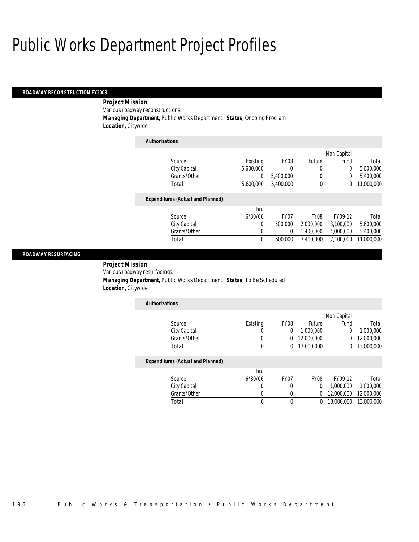### *ROADWAY RECONSTRUCTION FY2008*

 *Project Mission* Various roadway reconstructions. *Managing Department,* Public Works Department *Status,* Ongoing Program

*Location,* Citywide

| Existing  | FY <sub>08</sub> | Future       | Fund      | Total       |
|-----------|------------------|--------------|-----------|-------------|
| 5.600.000 | 0                | 0            | 0         | 5,600,000   |
| 0         | 5.400.000        | 0            | 0         | 5,400,000   |
| 5,600,000 | 5,400,000        | $\mathbf{0}$ | 0         | 11.000.000  |
|           |                  |              |           |             |
| Thru      |                  |              |           |             |
| 6/30/06   | FY <sub>07</sub> | <b>FY08</b>  | FY09-12   | Total       |
| 0         | 500,000          | 2,000,000    | 3.100.000 | 5.600.000   |
| 0         | 0                | 1.400.000    | 4,000,000 | 5,400,000   |
| 0         | 500,000          | 3.400.000    | 7.100.000 | 11.000.000  |
|           |                  |              |           | Non Capital |

## *ROADWAY RESURFACING*

*Project Mission* 

Various roadway resurfacings.

 *Managing Department,* Public Works Department *Status,* To Be Scheduled *Location,* Citywide

| <b>Authorizations</b> |          |                  |            |             |            |
|-----------------------|----------|------------------|------------|-------------|------------|
|                       |          |                  |            | Non Capital |            |
| Source                | Existing | FY <sub>08</sub> | Future     | Fund        | Total      |
| City Capital          |          |                  | 1,000,000  |             | 1,000,000  |
| Grants/Other          | 0        |                  | 12,000,000 |             | 12,000,000 |
| Total                 | 0        |                  | 13,000,000 |             | 13,000,000 |

|              | Thru    |      |                  |            |            |
|--------------|---------|------|------------------|------------|------------|
| Source       | 6/30/06 | FY07 | FY <sub>08</sub> | FY09-12    | Total      |
| City Capital |         |      |                  | 1.000.000  | 1.000.000  |
| Grants/Other |         |      | ∩.               | 12,000,000 | 12,000,000 |
| Total        |         |      | 0                | 13,000,000 | 13,000,000 |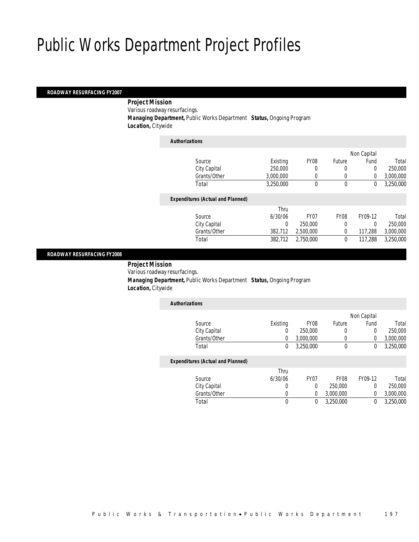#### *ROADWAY RESURFACING FY2007*

 *Project Mission* Various roadway resurfacings. *Managing Department,* Public Works Department *Status,* Ongoing Program *Location,* Citywide

| <b>Authorizations</b>                    |           |                  |             |             |           |
|------------------------------------------|-----------|------------------|-------------|-------------|-----------|
|                                          |           |                  |             | Non Capital |           |
| Source                                   | Existing  | FY <sub>08</sub> | Future      | Fund        | Total     |
| City Capital                             | 250,000   | 0                | 0           | $\Omega$    | 250,000   |
| Grants/Other                             | 3.000.000 | $\Omega$         | $\left($    | $\Omega$    | 3,000,000 |
| Total                                    | 3,250,000 | $\theta$         | $\mathbf 0$ | 0           | 3,250,000 |
| <b>Expenditures (Actual and Planned)</b> |           |                  |             |             |           |
|                                          | Thru      |                  |             |             |           |
| Source                                   | 6/30/06   | FY <sub>07</sub> | <b>FY08</b> | FY09-12     | Total     |
| City Capital                             | 0         | 250,000          | 0           | $\Omega$    | 250,000   |
| Grants/Other                             | 382,712   | 2,500,000        | 0           | 117,288     | 3,000,000 |
| Total                                    | 382.712   | 2.750.000        | $\theta$    | 117,288     | 3.250.000 |
|                                          |           |                  |             |             |           |

### *ROADWAY RESURFACING FY2008*

 *Project Mission* Various roadway resurfacings. *Managing Department,* Public Works Department *Status,* Ongoing Program *Location,* Citywide

| <b>Authorizations</b>                                                                                                               |          |                  |        |             |           |
|-------------------------------------------------------------------------------------------------------------------------------------|----------|------------------|--------|-------------|-----------|
|                                                                                                                                     |          |                  |        | Non Capital |           |
| Source                                                                                                                              | Existing | FY <sub>08</sub> | Future | Fund        | Total     |
| City Capital                                                                                                                        | 0        | 250,000          | 0      |             | 250,000   |
| Grants/Other                                                                                                                        |          | 3,000,000        |        |             | 3,000,000 |
| Total                                                                                                                               | 0        | 3,250,000        | 0      |             | 3,250,000 |
| $\mathbf{F}$ and $\mathbf{F}$ and $\mathbf{F}$ and $\mathbf{F}$ and $\mathbf{F}$ and $\mathbf{F}$ and $\mathbf{F}$ and $\mathbf{F}$ |          |                  |        |             |           |

| Thru    |      |                  |         |           |
|---------|------|------------------|---------|-----------|
| 6/30/06 | FY07 | FY <sub>08</sub> | FY09-12 | Total     |
|         |      | 250,000          |         | 250,000   |
|         |      | 3.000.000        |         | 3,000,000 |
|         |      | 3.250.000        |         | 3,250,000 |
|         |      |                  |         |           |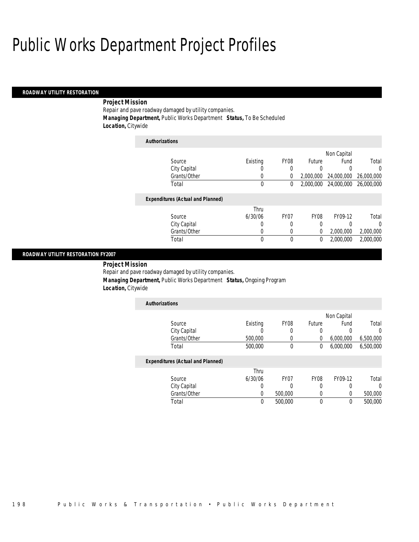#### *ROADWAY UTILITY RESTORATION*

## *Project Mission*

Repair and pave roadway damaged by utility companies. *Managing Department,* Public Works Department *Status,* To Be Scheduled *Location,* Citywide

| <b>Authorizations</b>                    |          |                  |               |             |            |
|------------------------------------------|----------|------------------|---------------|-------------|------------|
|                                          |          |                  |               | Non Capital |            |
| Source                                   | Existing | FY08             | <b>Future</b> | Fund        | Total      |
| City Capital                             |          | 0                | 0             |             | $\Omega$   |
| Grants/Other                             | 0        | 0                | 2,000,000     | 24,000,000  | 26,000,000 |
| Total                                    | 0        | 0                | 2,000,000     | 24,000,000  | 26,000,000 |
| <b>Expenditures (Actual and Planned)</b> |          |                  |               |             |            |
|                                          | Thru     |                  |               |             |            |
| Source                                   | 6/30/06  | FY <sub>07</sub> | <b>FY08</b>   | FY09-12     | Total      |
| City Capital                             | 0        | 0                | 0             |             | 0          |
| Grants/Other                             | 0        | 0                | 0             | 2,000,000   | 2,000,000  |
| Total                                    | 0        | 0                | 0             | 2,000,000   | 2,000,000  |

## *ROADWAY UTILITY RESTORATION FY2007*

*Project Mission* 

Repair and pave roadway damaged by utility companies.

*Managing Department,* Public Works Department *Status,* Ongoing Program

*Location,* Citywide

| <b>Authorizations</b> |          |                  |        |             |           |
|-----------------------|----------|------------------|--------|-------------|-----------|
|                       |          |                  |        | Non Capital |           |
| Source                | Existing | FY <sub>08</sub> | Future | Fund        | Total     |
| City Capital          |          |                  |        |             |           |
| Grants/Other          | 500,000  |                  |        | 6,000,000   | 6,500,000 |
| Total                 | 500,000  |                  |        | 6,000,000   | 6,500,000 |

|              | Thru    |         |      |         |         |
|--------------|---------|---------|------|---------|---------|
| Source       | 6/30/06 | FY07    | FY08 | FY09-12 | Total   |
| City Capital |         |         |      |         |         |
| Grants/Other |         | 500,000 |      |         | 500,000 |
| Total        |         | 500,000 |      |         | 500,000 |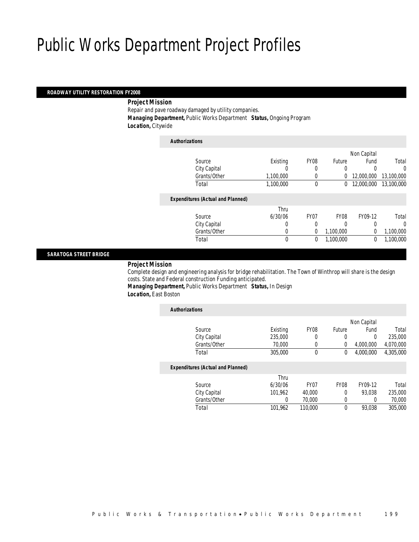## *ROADWAY UTILITY RESTORATION FY2008*

#### *Project Mission*

Repair and pave roadway damaged by utility companies. *Managing Department,* Public Works Department *Status,* Ongoing Program *Location,* Citywide

| <b>Authorizations</b>                    |              |                  |           |             |            |
|------------------------------------------|--------------|------------------|-----------|-------------|------------|
|                                          |              |                  |           | Non Capital |            |
| Source                                   | Existing     | FY <sub>08</sub> | Future    | Fund        | Total      |
| City Capital                             | 0            | 0                | 0         |             | 0          |
| Grants/Other                             | 1,100,000    |                  | 0         | 12,000,000  | 13,100,000 |
| Total                                    | 1,100,000    | 0                | 0         | 12,000,000  | 13,100,000 |
| <b>Expenditures (Actual and Planned)</b> |              |                  |           |             |            |
|                                          | Thru         |                  |           |             |            |
| Source                                   | 6/30/06      | FY07             | FY08      | FY09-12     | Total      |
| City Capital                             | 0            | 0                | 0         | 0           | 0          |
| Grants/Other                             | 0            | 0                | 1,100,000 | $\Omega$    | 1,100,000  |
| Total                                    | $\mathbf{0}$ | 0                | 1,100,000 | 0           | 1,100,000  |
|                                          |              |                  |           |             |            |

## *SARATOGA STREET BRIDGE*

*Project Mission* 

Complete design and engineering analysis for bridge rehabilitation. The Town of Winthrop will share is the design costs. State and Federal construction Funding anticipated.

*Managing Department,* Public Works Department *Status,* In Design *Location,* East Boston

| <b>Authorizations</b>                    |          |                  |             |             |           |
|------------------------------------------|----------|------------------|-------------|-------------|-----------|
|                                          |          |                  |             | Non Capital |           |
| Source                                   | Existing | FY <sub>08</sub> | Future      | Fund        | Total     |
| City Capital                             | 235,000  | 0                | 0           | 0           | 235,000   |
| Grants/Other                             | 70,000   | 0                | 0           | 4,000,000   | 4,070,000 |
| Total                                    | 305,000  | $\mathbf{0}$     | $\mathbf 0$ | 4.000.000   | 4,305,000 |
| <b>Expenditures (Actual and Planned)</b> |          |                  |             |             |           |
|                                          | Thru     |                  |             |             |           |
| Source                                   | 6/30/06  | FY <sub>07</sub> | <b>FY08</b> | FY09-12     | Total     |
| City Capital                             | 101.962  | 40.000           | $\Omega$    | 93.038      | 235,000   |
| Grants/Other                             | 0        | 70,000           | 0           | 0           | 70,000    |
| Total                                    | 101,962  | 110,000          | $\theta$    | 93.038      | 305,000   |
|                                          |          |                  |             |             |           |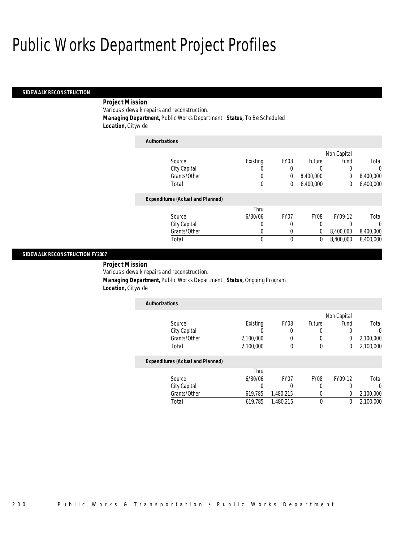#### *SIDEWALK RECONSTRUCTION*

## *Project Mission*

Various sidewalk repairs and reconstruction. *Managing Department,* Public Works Department *Status,* To Be Scheduled

*Location,* Citywide

| <b>Authorizations</b>                    |                  |                  |             |             |           |
|------------------------------------------|------------------|------------------|-------------|-------------|-----------|
|                                          |                  |                  |             | Non Capital |           |
| Source                                   | Existing         | FY <sub>08</sub> | Future      | Fund        | Total     |
| City Capital                             | O                | 0                | 0           |             | 0         |
| Grants/Other                             | 0                | $\Omega$         | 8,400,000   | 0           | 8,400,000 |
| Total                                    | 0                | 0                | 8,400,000   | 0           | 8,400,000 |
| <b>Expenditures (Actual and Planned)</b> |                  |                  |             |             |           |
|                                          | Thru             |                  |             |             |           |
| Source                                   | 6/30/06          | FY <sub>07</sub> | <b>FY08</b> | FY09-12     | Total     |
| City Capital                             | $\left( \right)$ | 0                | 0           |             | $\Omega$  |
| Grants/Other                             | 0                | 0                | 0           | 8,400,000   | 8,400,000 |
| Total                                    | 0                | $\theta$         | 0           | 8.400.000   | 8,400,000 |

## *SIDEWALK RECONSTRUCTION FY2007*

*Project Mission* 

Various sidewalk repairs and reconstruction.

*Managing Department,* Public Works Department *Status,* Ongoing Program

*Location,* Citywide

| <b>Authorizations</b> |           |                  |        |             |           |
|-----------------------|-----------|------------------|--------|-------------|-----------|
|                       |           |                  |        | Non Capital |           |
| Source                | Existing  | FY <sub>08</sub> | Future | Fund        | Total     |
| City Capital          |           |                  |        |             |           |
| Grants/Other          | 2,100,000 |                  |        |             | 2,100,000 |
| Total                 | 2,100,000 |                  |        |             | 2,100,000 |

|              | Thru    |           |                  |         |           |
|--------------|---------|-----------|------------------|---------|-----------|
| Source       | 6/30/06 | FY07      | FY <sub>08</sub> | FY09-12 | Total     |
| City Capital |         |           |                  |         |           |
| Grants/Other | 619.785 | 1.480.215 |                  |         | 2,100,000 |
| Total        | 619.785 | 1.480.215 |                  |         | 2,100,000 |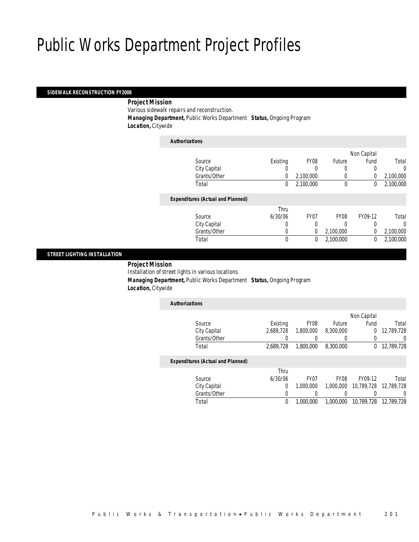### *SIDEWALK RECONSTRUCTION FY2008*

### *Project Mission*

Various sidewalk repairs and reconstruction.

*Managing Department,* Public Works Department *Status,* Ongoing Program

*Location,* Citywide

| <b>Authorizations</b>                    |          |                  |             |             |           |
|------------------------------------------|----------|------------------|-------------|-------------|-----------|
|                                          |          |                  |             | Non Capital |           |
| Source                                   | Existing | FY <sub>08</sub> | Future      | Fund        | Total     |
| City Capital                             | 0        |                  | 0           |             | 0         |
| Grants/Other                             | 0        | 2,100,000        |             | 0           | 2,100,000 |
| Total                                    | 0        | 2,100,000        | $\mathbf 0$ | 0           | 2,100,000 |
| <b>Expenditures (Actual and Planned)</b> |          |                  |             |             |           |
|                                          | Thru     |                  |             |             |           |
| Source                                   | 6/30/06  | FY <sub>07</sub> | <b>FY08</b> | FY09-12     | Total     |
| City Capital                             | 0        | 0                | 0           | 0           | 0         |
| Grants/Other                             | 0        | 0                | 2,100,000   | $\Omega$    | 2,100,000 |
| Total                                    | 0        | 0                | 2,100,000   | 0           | 2,100,000 |
|                                          |          |                  |             |             |           |

## *STREET LIGHTING INSTALLATION*

*Project Mission* 

Installation of street lights in various locations.

*Managing Department,* Public Works Department *Status,* Ongoing Program

*Location,* Citywide

| <b>Authorizations</b>                    |           |           |           |             |            |
|------------------------------------------|-----------|-----------|-----------|-------------|------------|
|                                          |           |           |           | Non Capital |            |
| Source                                   | Existing  | FY08      | Future    | Fund        | Total      |
| City Capital                             | 2,689,728 | 1,800,000 | 8,300,000 | 0           | 12,789,728 |
| Grants/Other                             |           |           |           |             | 0          |
| Total                                    | 2.689.728 | 1,800,000 | 8.300.000 | 0           | 12,789,728 |
| <b>Expenditures (Actual and Planned)</b> |           |           |           |             |            |

|              | Thru    |                  |      |                                 |       |
|--------------|---------|------------------|------|---------------------------------|-------|
| Source       | 6/30/06 | FY <sub>07</sub> | FY08 | FY09-12                         | Total |
| City Capital |         | 1.000.000        |      | 1,000,000 10,789,728 12,789,728 |       |
| Grants/Other |         |                  |      |                                 |       |
| Total        |         | 1.000.000        |      | 1,000,000 10,789,728 12,789,728 |       |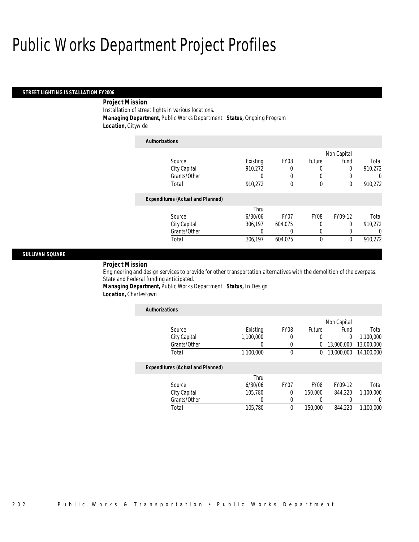### *STREET LIGHTING INSTALLATION FY2006*

## *Project Mission*

Installation of street lights in various locations.

*Managing Department,* Public Works Department *Status,* Ongoing Program

*Location,* Citywide

| <b>Authorizations</b>                    |          |                  |             |             |         |
|------------------------------------------|----------|------------------|-------------|-------------|---------|
|                                          |          |                  |             | Non Capital |         |
| Source                                   | Existing | FY08             | Future      | Fund        | Total   |
| City Capital                             | 910,272  | 0                | 0           | 0           | 910,272 |
| Grants/Other                             | 0        | 0                | 0           |             | 0       |
| Total                                    | 910,272  | 0                | $\theta$    | $\theta$    | 910,272 |
| <b>Expenditures (Actual and Planned)</b> |          |                  |             |             |         |
|                                          | Thru     |                  |             |             |         |
| Source                                   | 6/30/06  | FY <sub>07</sub> | <b>FY08</b> | FY09-12     | Total   |
| City Capital                             | 306,197  | 604.075          | 0           | 0           | 910,272 |
| Grants/Other                             | 0        |                  | 0           |             | 0       |
| Total                                    | 306,197  | 604.075          | $\theta$    | 0           | 910.272 |

## *SULLIVAN SQUARE*

*Project Mission* 

Engineering and design services to provide for other transportation alternatives with the demolition of the overpass. State and Federal funding anticipated.

*Managing Department,* Public Works Department *Status,* In Design *Location,* Charlestown

| <b>Authorizations</b>                    |           |             |               |                |            |
|------------------------------------------|-----------|-------------|---------------|----------------|------------|
|                                          |           |             |               | Non Capital    |            |
| Source                                   | Existing  | <b>FY08</b> | <b>Future</b> | Fund           | Total      |
| City Capital                             | 1.100.000 | 0           | 0             | $\overline{0}$ | 1.100.000  |
| Grants/Other                             |           | 0           | 0             | 13,000,000     | 13,000,000 |
| Total                                    | 1,100,000 | $\mathbf 0$ | 0             | 13,000,000     | 14,100,000 |
| <b>Expenditures (Actual and Planned)</b> |           |             |               |                |            |
|                                          | Thru      |             |               |                |            |
| Source                                   | 6/30/06   | <b>FY07</b> | <b>FY08</b>   | FY09-12        | Total      |
| City Capital                             | 105.780   | 0           | 150,000       | 844.220        | 1.100.000  |
| Grants/Other                             | 0         | 0           | 0             | 0              |            |
| Total                                    | 105,780   | $\theta$    | 150,000       | 844,220        | 1.100.000  |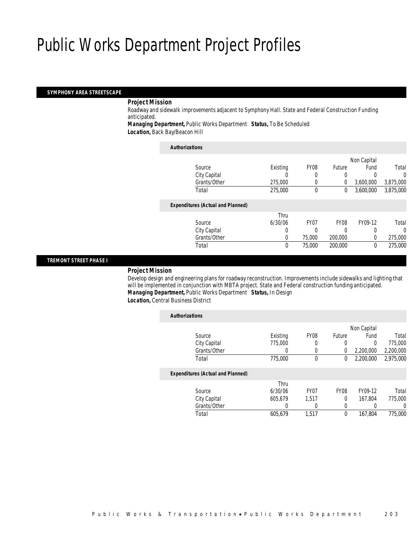### *SYMPHONY AREA STREETSCAPE*

#### *Project Mission*

Roadway and sidewalk improvements adjacent to Symphony Hall. State and Federal Construction Funding anticipated.

*Managing Department,* Public Works Department *Status,* To Be Scheduled *Location,* Back Bay/Beacon Hill

| <b>Authorizations</b>                    |          |                  |             |             |           |
|------------------------------------------|----------|------------------|-------------|-------------|-----------|
|                                          |          |                  |             | Non Capital |           |
| Source                                   | Existing | FY08             | Future      | Fund        | Total     |
| City Capital                             | 0        | 0                | 0           |             | 0         |
| Grants/Other                             | 275,000  | 0                | 0           | 3,600,000   | 3,875,000 |
| Total                                    | 275,000  | 0                | 0           | 3,600,000   | 3,875,000 |
| <b>Expenditures (Actual and Planned)</b> |          |                  |             |             |           |
|                                          | Thru     |                  |             |             |           |
| Source                                   | 6/30/06  | FY <sub>07</sub> | <b>FY08</b> | FY09-12     | Total     |
| City Capital                             | 0        | 0                | 0           | 0           | 0         |
| Grants/Other                             | 0        | 75,000           | 200,000     | 0           | 275,000   |
| Total                                    | 0        | 75,000           | 200,000     | 0           | 275,000   |

## *TREMONT STREET PHASE I*

### *Project Mission*

Develop design and engineering plans for roadway reconstruction. Improvements include sidewalks and lighting that will be implemented in conjunction with MBTA project. State and Federal construction funding anticipated. *Managing Department,* Public Works Department *Status,* In Design

*Location,* Central Business District

| <b>Authorizations</b> |                                          |          |                  |             |           |           |
|-----------------------|------------------------------------------|----------|------------------|-------------|-----------|-----------|
|                       |                                          |          |                  |             |           |           |
|                       | Source                                   | Existing | FY <sub>08</sub> | Future      | Fund      | Total     |
|                       | City Capital                             | 775,000  | 0                | 0           | 0         | 775,000   |
|                       | Grants/Other                             | 0        | $\left($         | 0           | 2,200,000 | 2,200,000 |
|                       | Total                                    | 775,000  | 0                | 0           | 2.200.000 | 2,975,000 |
|                       | <b>Expenditures (Actual and Planned)</b> |          |                  |             |           |           |
|                       |                                          | Thru     |                  |             |           |           |
|                       | Source                                   | 6/30/06  | FY <sub>07</sub> | <b>FY08</b> | FY09-12   | Total     |
|                       | City Capital                             | 605.679  | 1.517            | 0           | 167.804   | 775,000   |
|                       | Grants/Other                             | 0        | 0                | 0           | 0         | 0         |
|                       | Total                                    | 605.679  | 1.517            | 0           | 167.804   | 775,000   |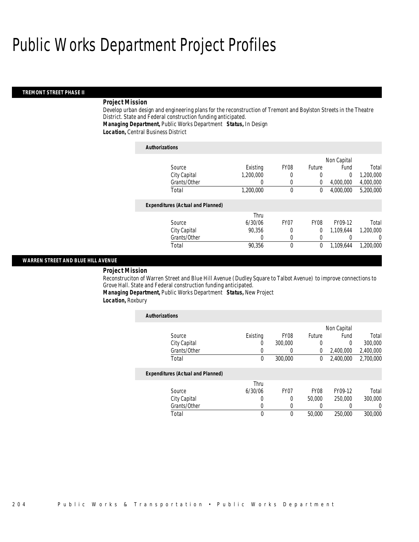### *TREMONT STREET PHASE II*

#### *Project Mission*

Develop urban design and engineering plans for the reconstruction of Tremont and Boylston Streets in the Theatre District. State and Federal construction funding anticipated.

*Managing Department,* Public Works Department *Status,* In Design

*Location,* Central Business District

| <b>Authorizations</b>                    |             |                  |             |           |           |  |
|------------------------------------------|-------------|------------------|-------------|-----------|-----------|--|
|                                          | Non Capital |                  |             |           |           |  |
| Source                                   | Existing    | <b>FY08</b>      | Future      | Fund      | Total     |  |
| City Capital                             | 1.200.000   | 0                | 0           | 0         | 1,200,000 |  |
| Grants/Other                             | 0           | 0                | 0           | 4.000.000 | 4,000,000 |  |
| Total                                    | 1,200,000   | $\theta$         | 0           | 4.000.000 | 5,200,000 |  |
| <b>Expenditures (Actual and Planned)</b> |             |                  |             |           |           |  |
|                                          | Thru        |                  |             |           |           |  |
| Source                                   | 6/30/06     | FY <sub>07</sub> | <b>FY08</b> | FY09-12   | Total     |  |
| City Capital                             | 90.356      | 0                | $\theta$    | 1.109.644 | 1,200,000 |  |
| Grants/Other                             | 0           | 0                | $\mathbf 0$ | 0         | 0         |  |
| Total                                    | 90.356      | $\theta$         | 0           | 1.109.644 | 1.200.000 |  |

### *WARREN STREET AND BLUE HILL AVENUE*

*Project Mission* 

Reconstruciton of Warren Street and Blue Hill Avenue (Dudley Square to Talbot Avenue) to improve connections to Grove Hall. State and Federal construction funding anticipated.

*Managing Department,* Public Works Department *Status,* New Project

*Location,* Roxbury

| <b>Authorizations</b>                    |          |                  |                  |           |           |  |  |
|------------------------------------------|----------|------------------|------------------|-----------|-----------|--|--|
|                                          |          |                  |                  |           |           |  |  |
| Source                                   | Existing | FY <sub>08</sub> | Future           | Fund      | Total     |  |  |
| City Capital                             | 0        | 300,000          | 0                | 0         | 300,000   |  |  |
| Grants/Other                             |          | O                | $\Omega$         | 2,400,000 | 2,400,000 |  |  |
| Total                                    | 0        | 300,000          | 0                | 2,400,000 | 2,700,000 |  |  |
| <b>Expenditures (Actual and Planned)</b> |          |                  |                  |           |           |  |  |
|                                          | Thru     |                  |                  |           |           |  |  |
| Source                                   | 6/30/06  | FY <sub>07</sub> | FY <sub>08</sub> | FY09-12   | Total     |  |  |
| City Capital                             | 0        | 0                | 50,000           | 250,000   | 300,000   |  |  |
| Grants/Other                             | 0        | 0                |                  |           | 0         |  |  |
| Total                                    | 0        | $\Omega$         | 50,000           | 250,000   | 300,000   |  |  |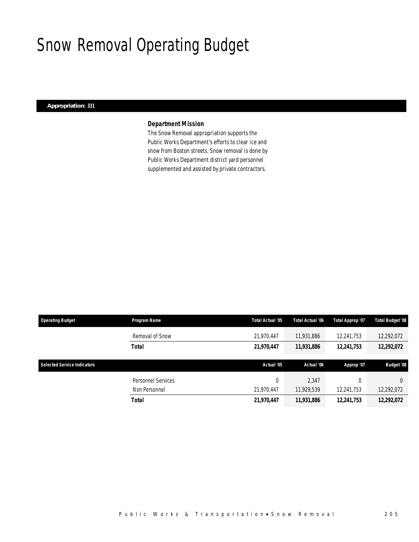# Snow Removal Operating Budget

## *Appropriation: 331*

## *Department Mission*

The Snow Removal appropriation supports the Public Works Department's efforts to clear ice and snow from Boston streets. Snow removal is done by Public Works Department district yard personnel supplemented and assisted by private contractors.

| <b>Operating Budget</b>            | Program Name       | <b>Total Actual '05</b> | Total Actual '06 | Total Approp '07 | <b>Total Budget '08</b> |
|------------------------------------|--------------------|-------------------------|------------------|------------------|-------------------------|
|                                    | Removal of Snow    | 21,970,447              | 11,931,886       | 12,241,753       | 12,292,072              |
|                                    | <b>Total</b>       | 21,970,447              | 11,931,886       | 12,241,753       | 12,292,072              |
|                                    |                    |                         |                  |                  |                         |
| <b>Selected Service Indicators</b> |                    | Actual '05              | Actual '06       |                  | <b>Budget '08</b>       |
|                                    |                    |                         |                  | Approp '07       |                         |
|                                    | Personnel Services | 0                       | 2,347            |                  | $\Omega$                |
|                                    | Non Personnel      | 21.970.447              | 11,929,539       | 12,241,753       | 12,292,072              |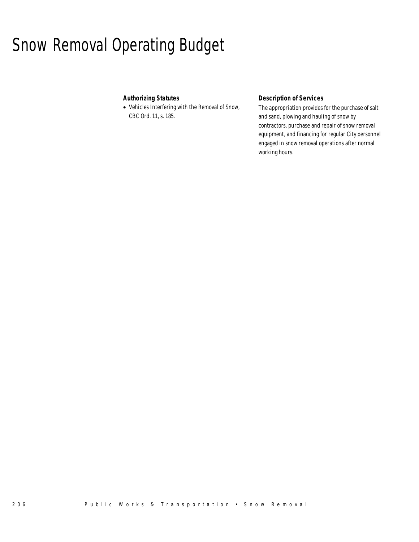# Snow Removal Operating Budget

## *Authorizing Statutes*

• Vehicles Interfering with the Removal of Snow, CBC Ord. 11, s. 185.

## *Description of Services*

The appropriation provides for the purchase of salt and sand, plowing and hauling of snow by contractors, purchase and repair of snow removal equipment, and financing for regular City personnel engaged in snow removal operations after normal working hours.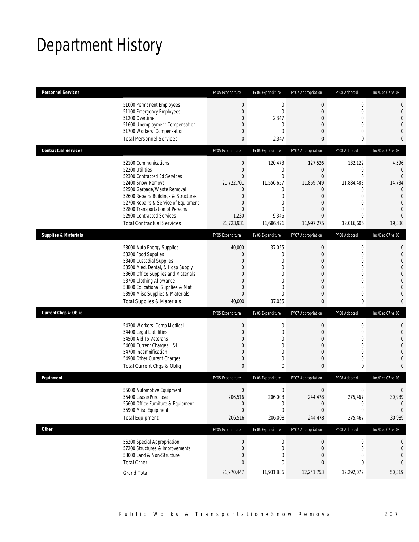# Department History

| <b>Personnel Services</b>       |                                                                                                                                                                                                                                                                                                                   | FY05 Expenditure                                                                                                                                      | FY06 Expenditure                                                                                                              | FY07 Appropriation                                                                                                             | FY08 Adopted                                                                                                                                      | Inc/Dec 07 vs 08                                                                                                       |
|---------------------------------|-------------------------------------------------------------------------------------------------------------------------------------------------------------------------------------------------------------------------------------------------------------------------------------------------------------------|-------------------------------------------------------------------------------------------------------------------------------------------------------|-------------------------------------------------------------------------------------------------------------------------------|--------------------------------------------------------------------------------------------------------------------------------|---------------------------------------------------------------------------------------------------------------------------------------------------|------------------------------------------------------------------------------------------------------------------------|
|                                 | 51000 Permanent Employees<br>51100 Emergency Employees<br>51200 Overtime<br>51600 Unemployment Compensation<br>51700 Workers' Compensation<br><b>Total Personnel Services</b>                                                                                                                                     | $\boldsymbol{0}$<br>$\mathbf{0}$<br>$\mathbf{0}$<br>$\theta$<br>$\mathbf{0}$<br>$\mathbf{0}$                                                          | $\mathbf 0$<br>$\mathbf{0}$<br>2,347<br>$\mathbf{0}$<br>$\Omega$<br>2,347                                                     | $\boldsymbol{0}$<br>$\mathbf 0$<br>$\mathbf 0$<br>0<br>$\overline{0}$<br>0                                                     | $\mathbf 0$<br>$\mathbf 0$<br>$\mathbf 0$<br>0<br>$\mathbf{0}$<br>0                                                                               | 0<br>0<br>0<br>0<br>0<br>0                                                                                             |
| <b>Contractual Services</b>     |                                                                                                                                                                                                                                                                                                                   | FY05 Expenditure                                                                                                                                      | FY06 Expenditure                                                                                                              | FY07 Appropriation                                                                                                             | FY08 Adopted                                                                                                                                      | Inc/Dec 07 vs 08                                                                                                       |
|                                 | 52100 Communications<br>52200 Utilities<br>52300 Contracted Ed Services<br>52400 Snow Removal<br>52500 Garbage/Waste Removal<br>52600 Repairs Buildings & Structures<br>52700 Repairs & Service of Equipment<br>52800 Transportation of Persons<br>52900 Contracted Services<br><b>Total Contractual Services</b> | $\boldsymbol{0}$<br>$\boldsymbol{0}$<br>$\mathbf{0}$<br>21,722,701<br>$\mathbf{0}$<br>$\mathbf{0}$<br>$\mathbf{0}$<br>$\Omega$<br>1,230<br>21,723,931 | 120,473<br>$\mathbf{0}$<br>$\mathbf{0}$<br>11,556,657<br>0<br>$\mathbf{0}$<br>$\mathbf{0}$<br>$\theta$<br>9,346<br>11,686,476 | 127,526<br>0<br>$\overline{0}$<br>11,869,749<br>0<br>$\mathbf 0$<br>$\overline{0}$<br>$\Omega$<br>$\overline{0}$<br>11,997,275 | 132,122<br>$\mathbf 0$<br>$\overline{0}$<br>11,884,483<br>$\mathbf{0}$<br>$\mathbf 0$<br>$\mathbf{0}$<br>$\Omega$<br>$\overline{0}$<br>12,016,605 | 4,596<br>$\mathbf{0}$<br>$\Omega$<br>14,734<br>0<br>$\overline{0}$<br>$\overline{0}$<br>$\Omega$<br>$\Omega$<br>19,330 |
| <b>Supplies &amp; Materials</b> |                                                                                                                                                                                                                                                                                                                   | FY05 Expenditure                                                                                                                                      | FY06 Expenditure                                                                                                              | FY07 Appropriation                                                                                                             | FY08 Adopted                                                                                                                                      | Inc/Dec 07 vs 08                                                                                                       |
|                                 | 53000 Auto Energy Supplies<br>53200 Food Supplies<br>53400 Custodial Supplies<br>53500 Med, Dental, & Hosp Supply<br>53600 Office Supplies and Materials<br>53700 Clothing Allowance<br>53800 Educational Supplies & Mat<br>53900 Misc Supplies & Materials<br><b>Total Supplies &amp; Materials</b>              | 40,000<br>$\theta$<br>$\mathbf{0}$<br>$\mathbf{0}$<br>$\mathbf{0}$<br>$\mathbf{0}$<br>$\mathbf{0}$<br>$\mathbf{0}$<br>40,000                          | 37,055<br>$\mathbf{0}$<br>$\mathbf{0}$<br>0<br>$\theta$<br>$\mathbf{0}$<br>$\theta$<br>$\overline{0}$<br>37,055               | $\mathbf 0$<br>$\theta$<br>$\overline{0}$<br>0<br>0<br>0<br>$\overline{0}$<br>$\overline{0}$<br>0                              | $\mathbf 0$<br>$\mathbf{0}$<br>$\mathbf 0$<br>$\mathbf{0}$<br>$\mathbf{0}$<br>$\mathbf{0}$<br>$\mathbf{0}$<br>$\mathbf 0$<br>0                    | 0<br>0<br>0<br>0<br>0<br>0<br>$\Omega$<br>0<br>0                                                                       |
| <b>Current Chgs &amp; Oblig</b> |                                                                                                                                                                                                                                                                                                                   | FY05 Expenditure                                                                                                                                      | FY06 Expenditure                                                                                                              | FY07 Appropriation                                                                                                             | FY08 Adopted                                                                                                                                      | Inc/Dec 07 vs 08                                                                                                       |
|                                 | 54300 Workers' Comp Medical<br>54400 Legal Liabilities<br>54500 Aid To Veterans<br>54600 Current Charges H&I<br>54700 Indemnification<br>54900 Other Current Charges<br>Total Current Chgs & Oblig                                                                                                                | $\boldsymbol{0}$<br>$\mathbf{0}$<br>$\mathbf{0}$<br>$\theta$<br>$\theta$<br>$\mathbf{0}$<br>$\mathbf{0}$                                              | $\mathbf 0$<br>$\mathbf{0}$<br>0<br>$\mathbf{0}$<br>$\mathbf{0}$<br>$\mathbf{0}$<br>0                                         | $\boldsymbol{0}$<br>0<br>$\mathbf 0$<br>$\overline{0}$<br>0<br>0<br>0                                                          | $\mathbf 0$<br>$\mathbf{0}$<br>$\mathbf 0$<br>$\mathbf{0}$<br>$\mathbf 0$<br>$\mathbf 0$<br>0                                                     | 0<br>0<br>0<br>0<br>0<br>0<br>0                                                                                        |
| Equipment                       |                                                                                                                                                                                                                                                                                                                   | FY05 Expenditure                                                                                                                                      | FY06 Expenditure                                                                                                              | FY07 Appropriation                                                                                                             | FY08 Adopted                                                                                                                                      | Inc/Dec 07 vs 08                                                                                                       |
|                                 | 55000 Automotive Equipment<br>55400 Lease/Purchase<br>55600 Office Furniture & Equipment<br>55900 Misc Equipment<br><b>Total Equipment</b>                                                                                                                                                                        | $\mathbf{0}$<br>206,516<br>$\Omega$<br>$\mathbf{0}$<br>206,516                                                                                        | $\mathbf{0}$<br>206,008<br>0<br>0<br>206,008                                                                                  | $\mathbf{0}$<br>244,478<br>0<br>0<br>244,478                                                                                   | $\mathbf{0}$<br>275,467<br>0<br>0<br>275,467                                                                                                      | 30,989<br>0<br>0<br>30,989                                                                                             |
| Other                           |                                                                                                                                                                                                                                                                                                                   | FY05 Expenditure                                                                                                                                      | FY06 Expenditure                                                                                                              | FY07 Appropriation                                                                                                             | FY08 Adopted                                                                                                                                      | Inc/Dec 07 vs 08                                                                                                       |
|                                 | 56200 Special Appropriation<br>57200 Structures & Improvements<br>58000 Land & Non-Structure<br><b>Total Other</b>                                                                                                                                                                                                | $\mathbf 0$<br>$\mathbf{0}$<br>$\mathbf{0}$<br>$\mathbf{0}$                                                                                           | $\boldsymbol{0}$<br>$\mathbf{0}$<br>0<br>0                                                                                    | $\boldsymbol{0}$<br>0<br>0<br>0                                                                                                | $\boldsymbol{0}$<br>$\boldsymbol{0}$<br>0<br>0                                                                                                    | 0<br>0<br>0<br>0                                                                                                       |
|                                 | <b>Grand Total</b>                                                                                                                                                                                                                                                                                                | 21,970,447                                                                                                                                            | 11,931,886                                                                                                                    | 12,241,753                                                                                                                     | 12,292,072                                                                                                                                        | 50,319                                                                                                                 |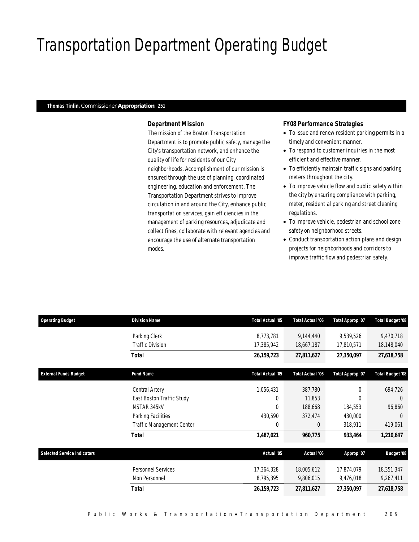# Transportation Department Operating Budget

## *Thomas Tinlin, Commissioner Appropriation: 251*

## *Department Mission*

The mission of the Boston Transportation Department is to promote public safety, manage the City's transportation network, and enhance the quality of life for residents of our City neighborhoods. Accomplishment of our mission is ensured through the use of planning, coordinated engineering, education and enforcement. The Transportation Department strives to improve circulation in and around the City, enhance public transportation services, gain efficiencies in the management of parking resources, adjudicate and collect fines, collaborate with relevant agencies and encourage the use of alternate transportation modes.

### *FY08 Performance Strategies*

- To issue and renew resident parking permits in a timely and convenient manner.
- To respond to customer inquiries in the most efficient and effective manner.
- To efficiently maintain traffic signs and parking meters throughout the city.
- To improve vehicle flow and public safety within the city by ensuring compliance with parking, meter, residential parking and street cleaning regulations.
- To improve vehicle, pedestrian and school zone safety on neighborhood streets.
- Conduct transportation action plans and design projects for neighborhoods and corridors to improve traffic flow and pedestrian safety.

| <b>Operating Budget</b>            | <b>Division Name</b>             | Total Actual '05        | <b>Total Actual '06</b> | Total Approp '07 | Total Budget '08  |
|------------------------------------|----------------------------------|-------------------------|-------------------------|------------------|-------------------|
|                                    | Parking Clerk                    | 8,773,781               | 9,144,440               | 9,539,526        | 9,470,718         |
|                                    | <b>Traffic Division</b>          | 17,385,942              | 18,667,187              | 17,810,571       | 18,148,040        |
|                                    | Total                            | 26, 159, 723            | 27,811,627              | 27,350,097       | 27,618,758        |
| <b>External Funds Budget</b>       | <b>Fund Name</b>                 | <b>Total Actual '05</b> | <b>Total Actual '06</b> | Total Approp '07 | Total Budget '08  |
|                                    | Central Artery                   | 1,056,431               | 387,780                 | $\theta$         | 694,726           |
|                                    | East Boston Traffic Study        | 0                       | 11,853                  | $\Omega$         | $\Omega$          |
|                                    | NSTAR 345kV                      | 0                       | 188,668                 | 184,553          | 96,860            |
|                                    | Parking Facilities               | 430,590                 | 372,474                 | 430,000          | $\Omega$          |
|                                    | <b>Traffic Management Center</b> | $\overline{0}$          | $\Omega$                | 318,911          | 419,061           |
|                                    | <b>Total</b>                     | 1,487,021               | 960,775                 | 933,464          | 1,210,647         |
| <b>Selected Service Indicators</b> |                                  | Actual '05              | Actual '06              | Approp '07       | <b>Budget '08</b> |
|                                    | Personnel Services               | 17,364,328              | 18,005,612              | 17,874,079       | 18,351,347        |
|                                    | Non Personnel                    | 8,795,395               | 9,806,015               | 9,476,018        | 9,267,411         |
|                                    | <b>Total</b>                     | 26, 159, 723            | 27,811,627              | 27,350,097       | 27,618,758        |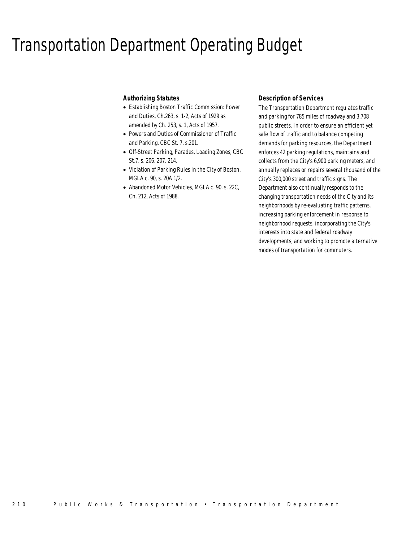## Transportation Department Operating Budget

## *Authorizing Statutes*

- Establishing Boston Traffic Commission: Power and Duties, Ch.263, s. 1-2, Acts of 1929 as amended by Ch. 253, s. 1, Acts of 1957.
- Powers and Duties of Commissioner of Traffic and Parking, CBC St. 7, s.201.
- Off-Street Parking, Parades, Loading Zones, CBC St.7, s. 206, 207, 214.
- Violation of Parking Rules in the City of Boston, MGLA c. 90, s. 20A 1/2.
- Abandoned Motor Vehicles, MGLA c. 90, s. 22C, Ch. 212, Acts of 1988.

## *Description of Services*

The Transportation Department regulates traffic and parking for 785 miles of roadway and 3,708 public streets. In order to ensure an efficient yet safe flow of traffic and to balance competing demands for parking resources, the Department enforces 42 parking regulations, maintains and collects from the City's 6,900 parking meters, and annually replaces or repairs several thousand of the City's 300,000 street and traffic signs. The Department also continually responds to the changing transportation needs of the City and its neighborhoods by re-evaluating traffic patterns, increasing parking enforcement in response to neighborhood requests, incorporating the City's interests into state and federal roadway developments, and working to promote alternative modes of transportation for commuters.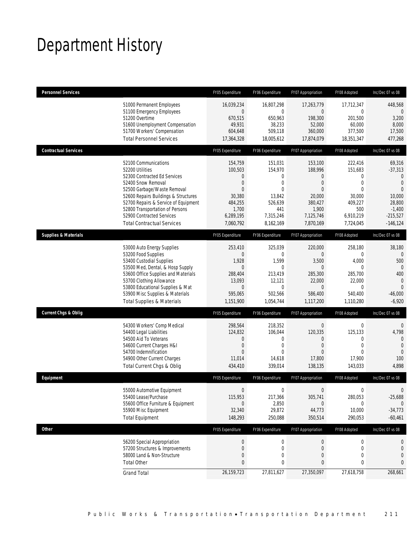# Department History

| <b>Personnel Services</b>       |                                                                                                                                                                                                                                                                                                                   | FY05 Expenditure                                                                                                             | FY06 Expenditure                                                                                                        | FY07 Appropriation                                                                                                         | FY08 Adopted                                                                                                                 | Inc/Dec 07 vs 08                                                                                                                     |
|---------------------------------|-------------------------------------------------------------------------------------------------------------------------------------------------------------------------------------------------------------------------------------------------------------------------------------------------------------------|------------------------------------------------------------------------------------------------------------------------------|-------------------------------------------------------------------------------------------------------------------------|----------------------------------------------------------------------------------------------------------------------------|------------------------------------------------------------------------------------------------------------------------------|--------------------------------------------------------------------------------------------------------------------------------------|
|                                 | 51000 Permanent Employees<br>51100 Emergency Employees<br>51200 Overtime<br>51600 Unemployment Compensation<br>51700 Workers' Compensation<br><b>Total Personnel Services</b>                                                                                                                                     | 16,039,234<br>$\boldsymbol{0}$<br>670,515<br>49,931<br>604.648<br>17,364,328                                                 | 16,807,298<br>$\mathbf 0$<br>650,963<br>38,233<br>509,118<br>18,005,612                                                 | 17,263,779<br>$\overline{0}$<br>198,300<br>52,000<br>360.000<br>17,874,079                                                 | 17,712,347<br>$\mathbf 0$<br>201,500<br>60,000<br>377,500<br>18,351,347                                                      | 448,568<br>$\Omega$<br>3,200<br>8,000<br>17,500<br>477,268                                                                           |
| <b>Contractual Services</b>     |                                                                                                                                                                                                                                                                                                                   | FY05 Expenditure                                                                                                             | FY06 Expenditure                                                                                                        | FY07 Appropriation                                                                                                         | FY08 Adopted                                                                                                                 | Inc/Dec 07 vs 08                                                                                                                     |
|                                 | 52100 Communications<br>52200 Utilities<br>52300 Contracted Ed Services<br>52400 Snow Removal<br>52500 Garbage/Waste Removal<br>52600 Repairs Buildings & Structures<br>52700 Repairs & Service of Equipment<br>52800 Transportation of Persons<br>52900 Contracted Services<br><b>Total Contractual Services</b> | 154,759<br>100,503<br>$\mathbf{0}$<br>$\overline{0}$<br>$\mathbf{0}$<br>30,380<br>484,255<br>1,700<br>6,289,195<br>7,060,792 | 151,031<br>154,970<br>$\boldsymbol{0}$<br>$\mathbf 0$<br>$\theta$<br>13,842<br>526,639<br>441<br>7,315,246<br>8,162,169 | 153,100<br>188,996<br>$\overline{0}$<br>$\overline{0}$<br>$\Omega$<br>20,000<br>380,427<br>1,900<br>7,125,746<br>7,870,169 | 222,416<br>151,683<br>$\boldsymbol{0}$<br>$\boldsymbol{0}$<br>$\theta$<br>30,000<br>409,227<br>500<br>6,910,219<br>7,724,045 | 69,316<br>$-37,313$<br>$\mathbf{0}$<br>$\overline{0}$<br>$\overline{0}$<br>10,000<br>28,800<br>$-1,400$<br>$-215,527$<br>$-146, 124$ |
| <b>Supplies &amp; Materials</b> |                                                                                                                                                                                                                                                                                                                   | FY05 Expenditure                                                                                                             | FY06 Expenditure                                                                                                        | FY07 Appropriation                                                                                                         | FY08 Adopted                                                                                                                 | Inc/Dec 07 vs 08                                                                                                                     |
|                                 | 53000 Auto Energy Supplies<br>53200 Food Supplies<br>53400 Custodial Supplies<br>53500 Med, Dental, & Hosp Supply<br>53600 Office Supplies and Materials<br>53700 Clothing Allowance<br>53800 Educational Supplies & Mat<br>53900 Misc Supplies & Materials<br><b>Total Supplies &amp; Materials</b>              | 253,410<br>$\Omega$<br>1,928<br>$\overline{0}$<br>288,404<br>13,093<br>$\theta$<br>595,065<br>1,151,900                      | 325,039<br>$\Omega$<br>1,599<br>0<br>213,419<br>12,121<br>$\mathbf 0$<br>502,566<br>1,054,744                           | 220,000<br>$\Omega$<br>3,500<br>$\overline{0}$<br>285,300<br>22,000<br>$\overline{0}$<br>586,400<br>1,117,200              | 258,180<br>$\Omega$<br>4,000<br>0<br>285.700<br>22,000<br>$\Omega$<br>540,400<br>1,110,280                                   | 38,180<br>500<br>$\mathbf{0}$<br>400<br>$\mathbf 0$<br>$\Omega$<br>$-46,000$<br>$-6,920$                                             |
| <b>Current Chgs &amp; Oblig</b> |                                                                                                                                                                                                                                                                                                                   | FY05 Expenditure                                                                                                             | FY06 Expenditure                                                                                                        | FY07 Appropriation                                                                                                         | FY08 Adopted                                                                                                                 | Inc/Dec 07 vs 08                                                                                                                     |
|                                 | 54300 Workers' Comp Medical<br>54400 Legal Liabilities<br>54500 Aid To Veterans<br>54600 Current Charges H&I<br>54700 Indemnification<br>54900 Other Current Charges<br>Total Current Chgs & Oblig                                                                                                                | 298,564<br>124,832<br>$\mathbf 0$<br>$\overline{0}$<br>$\mathbf{0}$<br>11,014<br>434,410                                     | 218,352<br>106,044<br>$\mathbf 0$<br>$\mathbf{0}$<br>$\theta$<br>14,618<br>339,014                                      | $\overline{0}$<br>120,335<br>$\overline{0}$<br>$\overline{0}$<br>$\Omega$<br>17,800<br>138,135                             | $\boldsymbol{0}$<br>125,133<br>0<br>$\mathbf 0$<br>$\Omega$<br>17,900<br>143,033                                             | $\mathbf 0$<br>4,798<br>$\mathbf{0}$<br>$\mathbf{0}$<br>$\mathbf{0}$<br>100<br>4,898                                                 |
| Equipment                       |                                                                                                                                                                                                                                                                                                                   | FY05 Expenditure                                                                                                             | FY06 Expenditure                                                                                                        | FY07 Appropriation                                                                                                         | FY08 Adopted                                                                                                                 | Inc/Dec 07 vs 08                                                                                                                     |
|                                 | 55000 Automotive Equipment<br>55400 Lease/Purchase<br>55600 Office Furniture & Equipment<br>55900 Misc Equipment<br><b>Total Equipment</b>                                                                                                                                                                        | $\Omega$<br>115,953<br>$\mathbf{0}$<br>32,340<br>148,293                                                                     | $\mathbf{0}$<br>217,366<br>2,850<br>29,872<br>250,088                                                                   | $\overline{0}$<br>305,741<br>$\mathbf{0}$<br>44,773<br>350,514                                                             | $\Omega$<br>280,053<br>$\Omega$<br>10,000<br>290,053                                                                         | $\Omega$<br>$-25,688$<br>$\theta$<br>$-34,773$<br>$-60,461$                                                                          |
| <b>Other</b>                    |                                                                                                                                                                                                                                                                                                                   | FY05 Expenditure                                                                                                             | FY06 Expenditure                                                                                                        | FY07 Appropriation                                                                                                         | FY08 Adopted                                                                                                                 | Inc/Dec 07 vs 08                                                                                                                     |
|                                 | 56200 Special Appropriation<br>57200 Structures & Improvements<br>58000 Land & Non-Structure<br><b>Total Other</b>                                                                                                                                                                                                | $\boldsymbol{0}$<br>$\mathbf 0$<br>$\mathbf{0}$<br>$\mathbf{0}$                                                              | $\boldsymbol{0}$<br>0<br>0<br>0                                                                                         | $\boldsymbol{0}$<br>0<br>0<br>0                                                                                            | 0<br>0<br>0<br>0                                                                                                             | 0<br>0<br>0<br>0                                                                                                                     |
|                                 | <b>Grand Total</b>                                                                                                                                                                                                                                                                                                | 26,159,723                                                                                                                   | 27,811,627                                                                                                              | 27,350,097                                                                                                                 | 27,618,758                                                                                                                   | 268,661                                                                                                                              |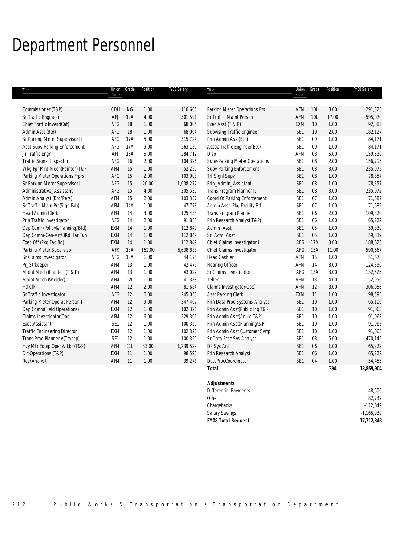# Department Personnel

| Title                               | Union<br>Code   | Grade     | Position | FY08 Salary | Title                             | Union<br>Code   | Grade      | Position | FY08 Salary |
|-------------------------------------|-----------------|-----------|----------|-------------|-----------------------------------|-----------------|------------|----------|-------------|
|                                     |                 |           |          |             |                                   |                 |            |          |             |
| Commissioner (T&P)                  | CDH             | <b>NG</b> | 1.00     | 110,605     | Parking Meter Operations Prs      | AFM             | <b>10L</b> | 8.00     | 291,323     |
| Sr Traffic Engineer                 | AFJ             | 19A       | 4.00     | 301,591     | Sr Traffic Maint Person           | AFM             | 10L        | 17.00    | 595,070     |
| Chief Traffic Invest(Cat)           | AFG             | 18        | 1.00     | 68,004      | Exec Asst (T & P)                 | EXM             | 10         | 1.00     | 92,885      |
| Admin Asst (Btd)                    | AFG             | 18        | 1.00     | 68,004      | <b>Supvising Traffic Engineer</b> | SE1             | 10         | 2.00     | 182,127     |
| Sr Parking Meter Supervisor II      | AFG             | 17A       | 5.00     | 315,724     | Prin Admin Asst(Btd)              | SE <sub>1</sub> | 09         | 1.00     | 84,171      |
| Asst Supv-Parking Enforcement       | AFG             | 17A       | 9.00     | 563,135     | Assoc Traffic Engineer(Btd)       | SE1             | 09         | 1.00     | 84,171      |
| Jr Traffic Engr                     | AFJ             | 16A       | 5.00     | 284,712     | Disp                              | AFM             | 08         | 5.00     | 159,530     |
| Traffic Signal Inspector            | AFG             | 16        | 2.00     | 104,326     | Supv-Parking Meter Operations     | SE <sub>1</sub> | 08         | 2.00     | 156,715     |
| Wkg Fpr Mnt Mech(Painter)(T&P       | AFM             | 15        | 1.00     | 52,225      | Supv-Parking Enforcement          | SE1             | 08         | 3.00     | 235,072     |
| Parking Meter Operations Frprs      | AFG             | 15        | 2.00     | 103,903     | <b>Trf SignI Supv</b>             | SE1             | 08         | 1.00     | 78,357      |
| Sr Parking Meter Supervisor I       | AFG             | 15        | 20.00    | 1,038,277   | Prin_Admin_Assistant              | SE <sub>1</sub> | $08\,$     | 1.00     | 78,357      |
| Administrative Assistant            | AFG             | 15        | 4.00     | 205,535     | Trans Program Planner Iv          | SE <sub>1</sub> | $08\,$     | 3.00     | 235,072     |
| Admin Analyst (Btd/Pers)            | AFM             | 15        | 2.00     | 103,357     | Coord Of Parking Enforcement      | SE <sub>1</sub> | 07         | 1.00     | 71,682      |
| Sr Traffic Main Prs(Sign Fab)       | <b>AFM</b>      | 14A       | 1.00     | 47,778      | Admin Asst (Pkg.Facility Bd)      | SE <sub>1</sub> | 07         | 1.00     | 71,682      |
| Head Admin Clerk                    | AFM             | 14        | 3.00     | 125,438     | Trans Program Planner III         | SE <sub>1</sub> | 06         | 2.00     | 109,820     |
| Prin Traffic Investigator           | AFG             | 14        | 2.00     | 91,883      | Prin Research Analyst(T&P)        | SE <sub>1</sub> | 06         | 1.00     | 65,222      |
| Dep Comr (Policy&Planning/Btd)      | EXM             | 14        | 1.00     | 112,849     | Admin_Asst                        | SE1             | 05         | 1.00     | 59,839      |
| Dep Comm-Cen-Art/3Rd Har Tun        | EXM             | 14        | 1.00     | 112,849     | Sr_Adm_Asst                       | SE1             | 05         | 1.00     | 59,839      |
| Exec Off (Pkg Fac Bd)               | EXM             | 14        | 1.00     | 112,849     | Chief Claims Investigator I       | AFG             | 17A        | 3.00     | 188,623     |
| Parking Meter Supervisor            | AFK             | 13A       | 162.00   | 6,638,838   | Chief Claims Investigator         | AFG             | 15A        | 11.00    | 590,667     |
| Sr Claims Investigator              | AFG             | 13A       | 1.00     | 44,175      | <b>Head Cashier</b>               | AFM             | 15         | 1.00     | 51,678      |
| Pr_Strkeeper                        | AFM             | 13        | 1.00     | 42,476      | <b>Hearing Officer</b>            | AFM             | 14         | 3.00     | 124,390     |
| Maint Mech (Painter) (T & P)        | AFM             | 13        | 1.00     | 43,022      | Sr Claims Investigator            | AFG             | 13A        | 3.00     | 132,525     |
| Maint Mech (Welder)                 | AFM             | 12L       | 1.00     | 41,388      | Teller                            | AFM             | 13         | 4.00     | 152,956     |
| Hd Clk                              | AFM             | 12        | 2.00     | 81,684      | Claims Investigator(Opc)          | AFM             | 12         | 8.00     | 306,056     |
| Sr Traffic Investigator             | AFG             | 12        | 6.00     | 245,053     | Asst Parking Clerk                | <b>EXM</b>      | 11         | 1.00     | 98,593      |
| Parking Meter Operat Person I       | AFM             | 12        | 9.00     | 347,407     | Prin Data Proc Systems Analyst    | SE1             | 10         | 1.00     | 65,106      |
| Dep Comm(Field Operations)          | EXM             | 12        | 1.00     | 102,326     | Prin Admin Asst(Public Inq T&P    | SE1             | 10         | 1.00     | 91,063      |
| Claims Investigator(Opc)            | AFM             | 12        | 6.00     | 229,306     | Prin Admin Asst(Adjud T&P)        | SE1             | 10         | 1.00     | 91,063      |
| Exec.Assistant                      | SE <sub>1</sub> | 12        | 1.00     | 100,320     | Prin Admin Asst(Planningt&P)      | SE <sub>1</sub> | 10         | 1.00     | 91,063      |
| <b>Traffic Engineering Director</b> | EXM             | 12        | 1.00     | 102,326     | Prin Admin Asst Customer Svrtp    | SE1             | 10         | 1.00     | 91,063      |
| Trans Prog Planner V(Transp)        | SE <sub>1</sub> | 12        | 1.00     | 100,320     | Sr Data Proc Sys Analyst          | SE1             | 08         | 6.00     | 470,145     |
| Hvy Mtr Equip Oper & Lbr (T&P)      | AFM             | 11L       | 33.00    | 1,239,529   | DP Sys Anl                        | SE <sub>1</sub> | 06         | 1.00     | 65,222      |
| Dir-Operations (T&P)                | EXM             | 11        | 1.00     | 98,593      | Prin Research Analyst             | SE1             | 06         | 1.00     | 65,222      |
| Res/Analyst                         | AFM             | 11        | 1.00     | 39,271      | DataProcCoordinator               | SE <sub>1</sub> | 04         | 1.00     | 54,455      |
|                                     |                 |           |          |             | <b>Total</b>                      |                 |            | 394      | 18,859,904  |
|                                     |                 |           |          |             |                                   |                 |            |          |             |
|                                     |                 |           |          |             | <b>Adjustments</b>                |                 |            |          |             |
|                                     |                 |           |          |             | <b>Differential Payments</b>      |                 |            |          | 48.500      |

| <b>FY08 Total Request</b>      | 17,712,348   |
|--------------------------------|--------------|
| <b>Salary Savings</b>          | $-1,165,939$ |
| Chargebacks                    | $-112,849$   |
| Other                          | 82,732       |
| <b>DITOLOGICAL LA GILLOITO</b> | 10,000       |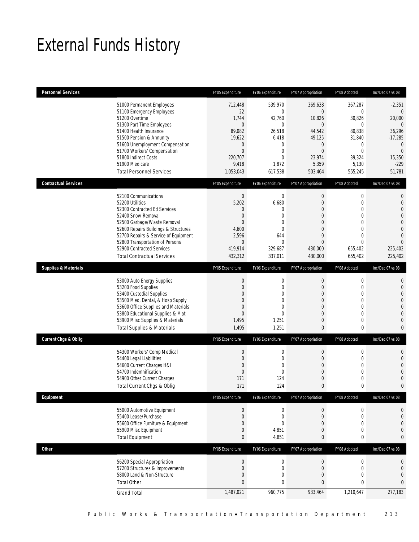# External Funds History

| 712,448<br>22<br>1,744<br>$\mathbf{0}$<br>89,082<br>19,622<br>$\theta$<br>$\theta$<br>220.707<br>9,418<br>1,053,043 | 539,970<br>$\mathbf{0}$<br>42,760<br>$\mathbf{0}$<br>26,518<br>6,418<br>$\mathbf{0}$<br>$\theta$<br>$\overline{0}$<br>1,872<br>617,538 | 369,638<br>$\overline{0}$<br>10,826<br>$\overline{0}$<br>44,542<br>49,125<br>$\overline{0}$<br>$\Omega$<br>23,974<br>5,359<br>503,464                 | 367,287<br>$\mathbf 0$<br>30,826<br>0<br>80,838<br>31,840<br>$\mathbf 0$<br>0<br>39,324<br>5,130<br>555,245 | $-2,351$<br>$\theta$<br>20,000<br>$\theta$<br>36,296<br>$-17,285$<br>$\mathbf{0}$<br>$\mathbf{0}$<br>15,350<br>$-229$<br>51,781                |
|---------------------------------------------------------------------------------------------------------------------|----------------------------------------------------------------------------------------------------------------------------------------|-------------------------------------------------------------------------------------------------------------------------------------------------------|-------------------------------------------------------------------------------------------------------------|------------------------------------------------------------------------------------------------------------------------------------------------|
| FY05 Expenditure                                                                                                    | FY06 Expenditure                                                                                                                       | FY07 Appropriation                                                                                                                                    | FY08 Adopted                                                                                                | Inc/Dec 07 vs 08                                                                                                                               |
| $\theta$<br>5,202<br>0<br>$\mathbf{0}$<br>$\Omega$<br>4,600<br>2,596<br>$\theta$<br>419,914<br>432,312              | $\mathbf 0$<br>6,680<br>$\theta$<br>$\mathbf{0}$<br>$\mathbf{0}$<br>$\theta$<br>644<br>$\mathbf{0}$<br>329,687<br>337,011              | $\mathbf 0$<br>$\boldsymbol{0}$<br>$\mathbf{0}$<br>$\boldsymbol{0}$<br>$\overline{0}$<br>$\Omega$<br>$\overline{0}$<br>$\Omega$<br>430,000<br>430,000 | 0<br>$\mathbf 0$<br>0<br>$\overline{0}$<br>$\overline{0}$<br>0<br>0<br>$\Omega$<br>655,402<br>655,402       | 0<br>$\mathbf{0}$<br>$\mathbf 0$<br>$\overline{0}$<br>$\mathbf{0}$<br>$\overline{0}$<br>$\overline{0}$<br>$\overline{0}$<br>225,402<br>225,402 |
| FY05 Expenditure                                                                                                    | FY06 Expenditure                                                                                                                       | FY07 Appropriation                                                                                                                                    | FY08 Adopted                                                                                                | Inc/Dec 07 vs 08                                                                                                                               |
| $\mathbf{0}$<br>$\theta$<br>$\theta$<br>$\Omega$<br>$\Omega$<br>$\Omega$<br>1,495<br>1,495                          | $\mathbf 0$<br>$\mathbf{0}$<br>$\mathbf{0}$<br>$\overline{0}$<br>$\Omega$<br>$\Omega$<br>1,251<br>1,251                                | $\boldsymbol{0}$<br>$\overline{0}$<br>$\mathbf{0}$<br>$\overline{0}$<br>$\Omega$<br>$\overline{0}$<br>$\overline{0}$<br>$\mathbf{0}$                  | $\mathbf 0$<br>$\mathbf 0$<br>0<br>$\overline{0}$<br>0<br>$\mathbf 0$<br>0<br>0                             | $\mathbf{0}$<br>$\mathbf 0$<br>$\mathbf{0}$<br>$\mathbf{0}$<br>$\overline{0}$<br>$\overline{0}$<br>$\mathbf 0$<br>$\mathbf{0}$                 |
| FY05 Expenditure                                                                                                    | FY06 Expenditure                                                                                                                       | FY07 Appropriation                                                                                                                                    | FY08 Adopted                                                                                                | Inc/Dec 07 vs 08                                                                                                                               |
| $\theta$<br>$\mathbf{0}$<br>$\theta$<br>$\mathbf 0$<br>171<br>171                                                   | $\mathbf 0$<br>$\mathbf 0$<br>$\mathbf{0}$<br>$\mathbf{0}$<br>124<br>124                                                               | $\boldsymbol{0}$<br>$\boldsymbol{0}$<br>$\overline{0}$<br>$\mathbf 0$<br>$\mathbf 0$<br>$\mathbf{0}$                                                  | 0<br>$\mathbf 0$<br>0<br>0<br>0<br>0                                                                        | 0<br>$\mathbf{0}$<br>$\mathbf 0$<br>$\mathbf{0}$<br>$\mathbf 0$<br>0                                                                           |
| FY05 Expenditure                                                                                                    | FY06 Expenditure                                                                                                                       | FY07 Appropriation                                                                                                                                    | FY08 Adopted                                                                                                | Inc/Dec 07 vs 08                                                                                                                               |
| $\theta$<br>$\mathbf 0$<br>$\mathbf{0}$<br>$\mathbf 0$<br>$\mathbf{0}$                                              | $\boldsymbol{0}$<br>$\mathbf 0$<br>$\mathbf{0}$<br>4,851<br>4,851                                                                      | $\boldsymbol{0}$<br>$\boldsymbol{0}$<br>$\mathbf 0$<br>0<br>$\mathbf{0}$                                                                              | 0<br>$\mathbf 0$<br>$\mathbf 0$<br>0<br>0                                                                   | 0<br>$\mathbf{0}$<br>$\mathbf{0}$<br>$\mathbf{0}$<br>0                                                                                         |
| FY05 Expenditure                                                                                                    | FY06 Expenditure                                                                                                                       | FY07 Appropriation                                                                                                                                    | FY08 Adopted                                                                                                | Inc/Dec 07 vs 08                                                                                                                               |
| $\boldsymbol{0}$<br>$\mathbf{0}$<br>$\mathbf{0}$<br>0<br>1,487,021                                                  | $\mathbf 0$<br>$\mathbf 0$<br>0<br>0<br>960,775                                                                                        | $\boldsymbol{0}$<br>$\boldsymbol{0}$<br>$\mathbf 0$<br>0<br>933,464                                                                                   | $\boldsymbol{0}$<br>$\mathbf 0$<br>$\mathbf 0$<br>0<br>1,210,647                                            | 0<br>$\mathbf 0$<br>$\overline{0}$<br>$\mathbf{0}$<br>277,183                                                                                  |
|                                                                                                                     |                                                                                                                                        |                                                                                                                                                       |                                                                                                             |                                                                                                                                                |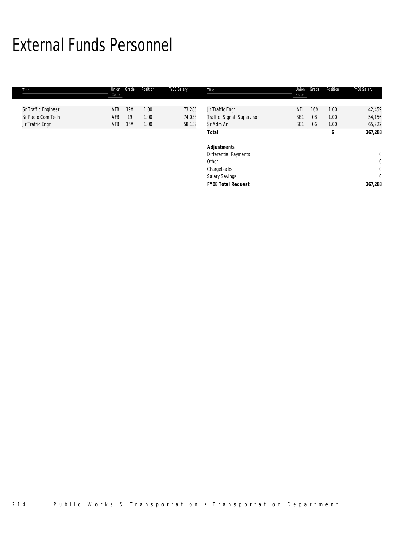# External Funds Personnel

| Title               | Union<br>Code | Grade | Position | FY08 Salary | Title                     | Union<br>Code   | Grade | Position | FY08 Salary  |
|---------------------|---------------|-------|----------|-------------|---------------------------|-----------------|-------|----------|--------------|
|                     |               |       |          |             |                           |                 |       |          |              |
| Sr Traffic Engineer | AFB           | 19A   | 1.00     | 73,286      | Jr Traffic Engr           | AFJ             | 16A   | 1.00     | 42,459       |
| Sr Radio Com Tech   | AFB           | 19    | 1.00     | 74,033      | Traffic_Signal_Supervisor | SE <sub>1</sub> | 08    | 1.00     | 54,156       |
| Jr Traffic Engr     | AFB           | 16A   | 1.00     | 58,132      | Sr Adm Anl                | SE <sub>1</sub> | 06    | 1.00     | 65,222       |
|                     |               |       |          |             | <b>Total</b>              |                 |       | 6        | 367,288      |
|                     |               |       |          |             | <b>Adjustments</b>        |                 |       |          |              |
|                     |               |       |          |             | Differential Payments     |                 |       |          | $\mathbf{0}$ |
|                     |               |       |          |             | Other                     |                 |       |          | 0            |
|                     |               |       |          |             | Chargebacks               |                 |       |          | $\mathbf 0$  |
|                     |               |       |          |             | Salary Savings            |                 |       |          | $\mathbf 0$  |
|                     |               |       |          |             | <b>FY08 Total Request</b> |                 |       |          | 367,288      |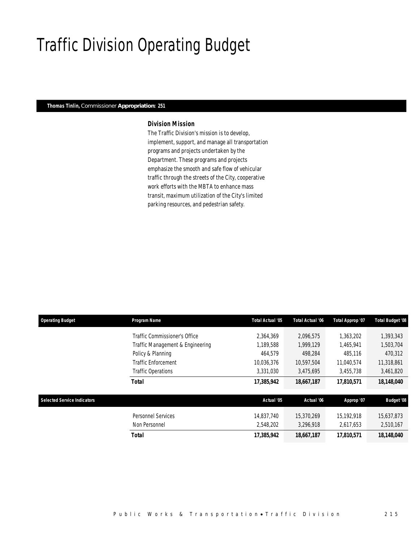# Traffic Division Operating Budget

## *Thomas Tinlin, Commissioner Appropriation: 251*

## *Division Mission*

The Traffic Division's mission is to develop, implement, support, and manage all transportation programs and projects undertaken by the Department. These programs and projects emphasize the smooth and safe flow of vehicular traffic through the streets of the City, cooperative work efforts with the MBTA to enhance mass transit, maximum utilization of the City's limited parking resources, and pedestrian safety.

| <b>Operating Budget</b>            | Program Name                     | Total Actual '05 | Total Actual '06 | Total Approp '07 | <b>Total Budget '08</b> |
|------------------------------------|----------------------------------|------------------|------------------|------------------|-------------------------|
|                                    | Traffic Commissioner's Office    | 2.364.369        | 2.096.575        | 1,363,202        | 1,393,343               |
|                                    | Traffic Management & Engineering | 1,189,588        | 1,999,129        | 1,465,941        | 1,503,704               |
|                                    | Policy & Planning                | 464,579          | 498.284          | 485,116          | 470,312                 |
|                                    | <b>Traffic Enforcement</b>       | 10,036,376       | 10,597,504       | 11.040.574       | 11,318,861              |
|                                    | Traffic Operations               | 3,331,030        | 3,475,695        | 3,455,738        | 3,461,820               |
|                                    | <b>Total</b>                     | 17,385,942       | 18,667,187       | 17,810,571       | 18,148,040              |
| <b>Selected Service Indicators</b> |                                  | Actual '05       | Actual '06       | Approp '07       | <b>Budget '08</b>       |
|                                    | <b>Personnel Services</b>        | 14.837.740       | 15,370,269       | 15.192.918       | 15,637,873              |
|                                    | Non Personnel                    | 2,548,202        | 3,296,918        | 2,617,653        | 2,510,167               |
|                                    | Total                            | 17,385,942       | 18,667,187       | 17,810,571       | 18,148,040              |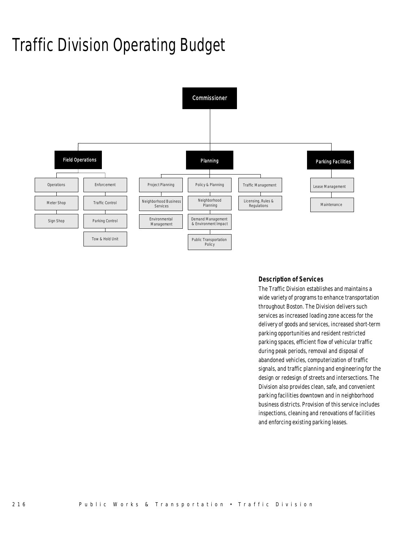# Traffic Division Operating Budget



## *Description of Services*

The Traffic Division establishes and maintains a wide variety of programs to enhance transportation throughout Boston. The Division delivers such services as increased loading zone access for the delivery of goods and services, increased short-term parking opportunities and resident restricted parking spaces, efficient flow of vehicular traffic during peak periods, removal and disposal of abandoned vehicles, computerization of traffic signals, and traffic planning and engineering for the design or redesign of streets and intersections. The Division also provides clean, safe, and convenient parking facilities downtown and in neighborhood business districts. Provision of this service includes inspections, cleaning and renovations of facilities and enforcing existing parking leases.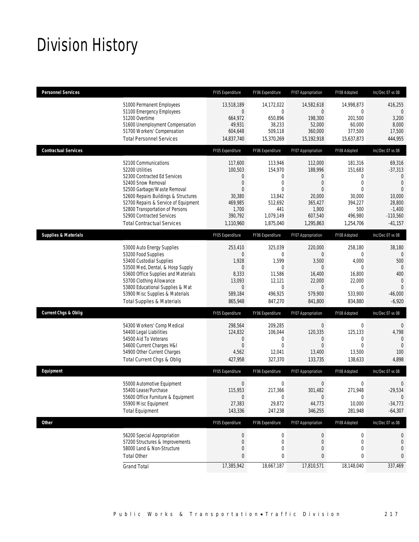# Division History

| <b>Personnel Services</b>       |                                                                                                                                                                                                                                                                                                                   | FY05 Expenditure                                                                                                 | FY06 Expenditure                                                                                            | FY07 Appropriation                                                                                                         | FY08 Adopted                                                                                       | Inc/Dec 07 vs 08                                                                                                                   |
|---------------------------------|-------------------------------------------------------------------------------------------------------------------------------------------------------------------------------------------------------------------------------------------------------------------------------------------------------------------|------------------------------------------------------------------------------------------------------------------|-------------------------------------------------------------------------------------------------------------|----------------------------------------------------------------------------------------------------------------------------|----------------------------------------------------------------------------------------------------|------------------------------------------------------------------------------------------------------------------------------------|
|                                 | 51000 Permanent Employees<br>51100 Emergency Employees<br>51200 Overtime<br>51600 Unemployment Compensation<br>51700 Workers' Compensation<br><b>Total Personnel Services</b>                                                                                                                                     | 13,518,189<br>$\theta$<br>664,972<br>49,931<br>604,648<br>14,837,740                                             | 14,172,022<br>$\mathbf{0}$<br>650,896<br>38,233<br>509,118<br>15,370,269                                    | 14,582,618<br>$\overline{0}$<br>198,300<br>52,000<br>360,000<br>15,192,918                                                 | 14,998,873<br>$\mathbf 0$<br>201,500<br>60,000<br>377,500<br>15,637,873                            | 416,255<br>$\theta$<br>3,200<br>8,000<br>17,500<br>444,955                                                                         |
| <b>Contractual Services</b>     |                                                                                                                                                                                                                                                                                                                   | FY05 Expenditure                                                                                                 | FY06 Expenditure                                                                                            | FY07 Appropriation                                                                                                         | FY08 Adopted                                                                                       | Inc/Dec 07 vs 08                                                                                                                   |
|                                 | 52100 Communications<br>52200 Utilities<br>52300 Contracted Ed Services<br>52400 Snow Removal<br>52500 Garbage/Waste Removal<br>52600 Repairs Buildings & Structures<br>52700 Repairs & Service of Equipment<br>52800 Transportation of Persons<br>52900 Contracted Services<br><b>Total Contractual Services</b> | 117,600<br>100,503<br>$\theta$<br>$\mathbf{0}$<br>$\Omega$<br>30,380<br>469,985<br>1,700<br>390,792<br>1,110,960 | 113,946<br>154,970<br>0<br>$\overline{0}$<br>$\theta$<br>13,842<br>512,692<br>441<br>1,079,149<br>1,875,040 | 112,000<br>188,996<br>$\overline{0}$<br>$\boldsymbol{0}$<br>$\Omega$<br>20,000<br>365,427<br>1,900<br>607,540<br>1,295,863 | 181,316<br>151,683<br>0<br>$\overline{0}$<br>0<br>30,000<br>394,227<br>500<br>496,980<br>1,254,706 | 69,316<br>$-37,313$<br>$\mathbf{0}$<br>$\overline{0}$<br>$\overline{0}$<br>10,000<br>28,800<br>$-1,400$<br>$-110,560$<br>$-41,157$ |
| <b>Supplies &amp; Materials</b> |                                                                                                                                                                                                                                                                                                                   | FY05 Expenditure                                                                                                 | FY06 Expenditure                                                                                            | FY07 Appropriation                                                                                                         | FY08 Adopted                                                                                       | Inc/Dec 07 vs 08                                                                                                                   |
|                                 | 53000 Auto Energy Supplies<br>53200 Food Supplies<br>53400 Custodial Supplies<br>53500 Med, Dental, & Hosp Supply<br>53600 Office Supplies and Materials<br>53700 Clothing Allowance<br>53800 Educational Supplies & Mat<br>53900 Misc Supplies & Materials<br><b>Total Supplies &amp; Materials</b>              | 253.410<br>$\Omega$<br>1,928<br>0<br>8,333<br>13,093<br>$\Omega$<br>589,184<br>865,948                           | 325.039<br>$\Omega$<br>1,599<br>$\mathbf{0}$<br>11,586<br>12,121<br>$\Omega$<br>496,925<br>847,270          | 220,000<br>$\Omega$<br>3,500<br>$\Omega$<br>16,400<br>22,000<br>$\Omega$<br>579,900<br>841,800                             | 258,180<br>0<br>4,000<br>$\Omega$<br>16,800<br>22,000<br>0<br>533,900<br>834,880                   | 38,180<br>500<br>$\mathbf{0}$<br>400<br>$\mathbf{0}$<br>$\Omega$<br>$-46,000$<br>$-6,920$                                          |
| <b>Current Chgs &amp; Oblig</b> |                                                                                                                                                                                                                                                                                                                   | FY05 Expenditure                                                                                                 | FY06 Expenditure                                                                                            | FY07 Appropriation                                                                                                         | FY08 Adopted                                                                                       | Inc/Dec 07 vs 08                                                                                                                   |
|                                 | 54300 Workers' Comp Medical<br>54400 Legal Liabilities<br>54500 Aid To Veterans<br>54600 Current Charges H&I<br>54900 Other Current Charges<br>Total Current Chgs & Oblig                                                                                                                                         | 298,564<br>124,832<br>$\mathbf 0$<br>$\theta$<br>4,562<br>427,958                                                | 209,285<br>106,044<br>$\mathbf{0}$<br>$\mathbf{0}$<br>12,041<br>327,370                                     | $\boldsymbol{0}$<br>120,335<br>$\mathbf 0$<br>$\Omega$<br>13,400<br>133,735                                                | $\mathbf 0$<br>125,133<br>$\mathbf 0$<br>$\Omega$<br>13,500<br>138,633                             | $\mathbf 0$<br>4,798<br>$\mathbf{0}$<br>$\mathbf{0}$<br>100<br>4,898                                                               |
| Equipment                       |                                                                                                                                                                                                                                                                                                                   | FY05 Expenditure                                                                                                 | FY06 Expenditure                                                                                            | FY07 Appropriation                                                                                                         | FY08 Adopted                                                                                       | Inc/Dec 07 vs 08                                                                                                                   |
|                                 | 55000 Automotive Equipment<br>55400 Lease/Purchase<br>55600 Office Furniture & Equipment<br>55900 Misc Equipment<br><b>Total Equipment</b>                                                                                                                                                                        | $\mathbf{0}$<br>115,953<br>$\theta$<br>27,383<br>143,336                                                         | $\mathbf{0}$<br>217,366<br>$\mathbf 0$<br>29,872<br>247,238                                                 | $\boldsymbol{0}$<br>301,482<br>$\mathbf 0$<br>44,773<br>346,255                                                            | $\mathbf 0$<br>271,948<br>0<br>10,000<br>281,948                                                   | $\mathbf 0$<br>$-29,534$<br>$\theta$<br>$-34,773$<br>$-64,307$                                                                     |
| <b>Other</b>                    |                                                                                                                                                                                                                                                                                                                   | FY05 Expenditure                                                                                                 | FY06 Expenditure                                                                                            | FY07 Appropriation                                                                                                         | FY08 Adopted                                                                                       | Inc/Dec 07 vs 08                                                                                                                   |
|                                 | 56200 Special Appropriation<br>57200 Structures & Improvements<br>58000 Land & Non-Structure<br><b>Total Other</b>                                                                                                                                                                                                | $\theta$<br>$\mathbf 0$<br>0<br>0                                                                                | $\boldsymbol{0}$<br>$\mathbf 0$<br>0<br>0                                                                   | 0<br>0<br>0<br>$\mathbf{0}$                                                                                                | $\boldsymbol{0}$<br>0<br>0<br>0                                                                    | 0<br>0<br>0<br>0                                                                                                                   |
|                                 | <b>Grand Total</b>                                                                                                                                                                                                                                                                                                | 17,385,942                                                                                                       | 18,667,187                                                                                                  | 17,810,571                                                                                                                 | 18,148,040                                                                                         | 337,469                                                                                                                            |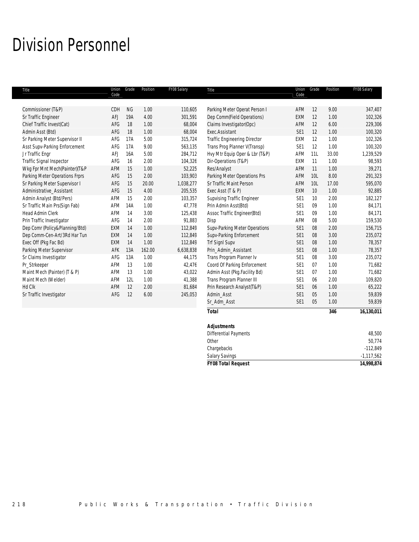# Division Personnel

| Title                          | Union<br>Code | Grade     | Position | FY08 Salary | Title                               | Union<br>Code   | Grade      | Position | FY08 Salary |
|--------------------------------|---------------|-----------|----------|-------------|-------------------------------------|-----------------|------------|----------|-------------|
|                                |               |           |          |             |                                     |                 |            |          |             |
| Commissioner (T&P)             | CDH           | <b>NG</b> | 1.00     | 110,605     | Parking Meter Operat Person I       | AFM             | 12         | 9.00     | 347,407     |
| Sr Traffic Engineer            | AFJ           | 19A       | 4.00     | 301,591     | Dep Comm(Field Operations)          | EXM             | 12         | 1.00     | 102,326     |
| Chief Traffic Invest(Cat)      | AFG           | 18        | 1.00     | 68,004      | Claims Investigator(Opc)            | AFM             | 12         | 6.00     | 229,306     |
| Admin Asst (Btd)               | AFG           | 18        | 1.00     | 68,004      | Exec.Assistant                      | SE <sub>1</sub> | 12         | 1.00     | 100,320     |
| Sr Parking Meter Supervisor II | AFG           | 17A       | 5.00     | 315,724     | <b>Traffic Engineering Director</b> | EXM             | 12         | 1.00     | 102,326     |
| Asst Supv-Parking Enforcement  | AFG           | 17A       | 9.00     | 563,135     | Trans Prog Planner V(Transp)        | SE1             | 12         | 1.00     | 100,320     |
| Jr Traffic Engr                | AFJ           | 16A       | 5.00     | 284,712     | Hvy Mtr Equip Oper & Lbr (T&P)      | AFM             | 11L        | 33.00    | 1,239,529   |
| Traffic Signal Inspector       | AFG           | 16        | 2.00     | 104,326     | Dir-Operations (T&P)                | EXM             | 11         | 1.00     | 98,593      |
| Wkg Fpr Mnt Mech(Painter)(T&P  | AFM           | 15        | 1.00     | 52,225      | Res/Analyst                         | AFM             | 11         | 1.00     | 39,271      |
| Parking Meter Operations Frprs | AFG           | 15        | 2.00     | 103,903     | Parking Meter Operations Prs        | <b>AFM</b>      | <b>10L</b> | 8.00     | 291,323     |
| Sr Parking Meter Supervisor I  | AFG           | 15        | 20.00    | 1,038,277   | Sr Traffic Maint Person             | <b>AFM</b>      | <b>10L</b> | 17.00    | 595,070     |
| Administrative Assistant       | AFG           | 15        | 4.00     | 205,535     | Exec Asst (T & P)                   | <b>EXM</b>      | 10         | 1.00     | 92,885      |
| Admin Analyst (Btd/Pers)       | <b>AFM</b>    | 15        | 2.00     | 103,357     | <b>Supvising Traffic Engineer</b>   | SE <sub>1</sub> | 10         | 2.00     | 182,127     |
| Sr Traffic Main Prs(Sign Fab)  | <b>AFM</b>    | 14A       | 1.00     | 47,778      | Prin Admin Asst(Btd)                | SE <sub>1</sub> | 09         | 1.00     | 84,171      |
| <b>Head Admin Clerk</b>        | AFM           | 14        | 3.00     | 125,438     | Assoc Traffic Engineer(Btd)         | SE <sub>1</sub> | 09         | 1.00     | 84,171      |
| Prin Traffic Investigator      | AFG           | 14        | 2.00     | 91,883      | Disp                                | <b>AFM</b>      | 08         | 5.00     | 159,530     |
| Dep Comr (Policy&Planning/Btd) | <b>EXM</b>    | 14        | 1.00     | 112,849     | Supv-Parking Meter Operations       | SE1             | 08         | 2.00     | 156,715     |
| Dep Comm-Cen-Art/3Rd Har Tun   | EXM           | 14        | 1.00     | 112,849     | Supv-Parking Enforcement            | SE1             | 08         | 3.00     | 235,072     |
| Exec Off (Pkg Fac Bd)          | EXM           | 14        | 1.00     | 112,849     | <b>Trf SignI Supv</b>               | SE1             | 08         | 1.00     | 78,357      |
| Parking Meter Supervisor       | AFK           | 13A       | 162.00   | 6,638,838   | Prin_Admin_Assistant                | SE <sub>1</sub> | 08         | 1.00     | 78,357      |
| Sr Claims Investigator         | AFG           | 13A       | 1.00     | 44,175      | Trans Program Planner Iv            | SE1             | 08         | 3.00     | 235,072     |
| Pr_Strkeeper                   | <b>AFM</b>    | 13        | 1.00     | 42.476      | Coord Of Parking Enforcement        | SE <sub>1</sub> | 07         | 1.00     | 71.682      |
| Maint Mech (Painter) (T & P)   | <b>AFM</b>    | 13        | 1.00     | 43,022      | Admin Asst (Pkg.Facility Bd)        | SE1             | 07         | 1.00     | 71,682      |
| Maint Mech (Welder)            | AFM           | 12L       | 1.00     | 41,388      | Trans Program Planner III           | SE <sub>1</sub> | 06         | 2.00     | 109,820     |
| Hd Clk                         | AFM           | 12        | 2.00     | 81,684      | Prin Research Analyst(T&P)          | SE <sub>1</sub> | 06         | 1.00     | 65,222      |
| Sr Traffic Investigator        | AFG           | 12        | 6.00     | 245,053     | Admin Asst                          | SE <sub>1</sub> | 05         | 1.00     | 59,839      |
|                                |               |           |          |             | Sr_Adm_Asst                         | SE1             | 05         | 1.00     | 59,839      |
|                                |               |           |          |             | <b>Total</b>                        |                 |            | 346      | 16,130,011  |

| $-1,117,562$ |
|--------------|
|              |
| $-112,849$   |
| 50,774       |
| 48,500       |
|              |
|              |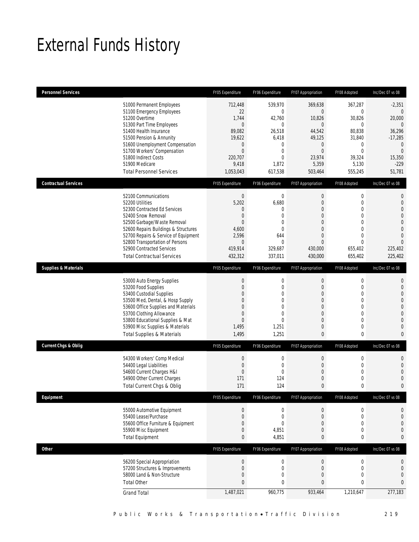# External Funds History

| <b>Personnel Services</b>       |                                                                                                                                                                                                                                                                                                                   | FY05 Expenditure                                                                                                         | FY06 Expenditure                                                                                                                           | FY07 Appropriation                                                                                                                                    | FY08 Adopted                                                                                                                        | Inc/Dec 07 vs 08                                                                                                                                  |
|---------------------------------|-------------------------------------------------------------------------------------------------------------------------------------------------------------------------------------------------------------------------------------------------------------------------------------------------------------------|--------------------------------------------------------------------------------------------------------------------------|--------------------------------------------------------------------------------------------------------------------------------------------|-------------------------------------------------------------------------------------------------------------------------------------------------------|-------------------------------------------------------------------------------------------------------------------------------------|---------------------------------------------------------------------------------------------------------------------------------------------------|
|                                 | 51000 Permanent Employees<br>51100 Emergency Employees<br>51200 Overtime<br>51300 Part Time Employees<br>51400 Health Insurance<br>51500 Pension & Annunity<br>51600 Unemployment Compensation<br>51700 Workers' Compensation<br>51800 Indirect Costs<br>51900 Medicare<br><b>Total Personnel Services</b>        | 712,448<br>22<br>1,744<br>$\mathbf{0}$<br>89,082<br>19,622<br>$\theta$<br>$\mathbf{0}$<br>220,707<br>9,418<br>1,053,043  | 539,970<br>$\mathbf{0}$<br>42,760<br>$\mathbf{0}$<br>26,518<br>6,418<br>$\mathbf{0}$<br>$\mathbf{0}$<br>$\overline{0}$<br>1,872<br>617,538 | 369,638<br>$\overline{0}$<br>10,826<br>$\overline{0}$<br>44,542<br>49,125<br>$\overline{0}$<br>$\Omega$<br>23,974<br>5,359<br>503,464                 | 367,287<br>$\mathbf 0$<br>30,826<br>$\mathbf{0}$<br>80.838<br>31,840<br>$\mathbf 0$<br>$\overline{0}$<br>39,324<br>5,130<br>555,245 | $-2,351$<br>$\theta$<br>20,000<br>$\theta$<br>36,296<br>$-17,285$<br>$\mathbf{0}$<br>$\mathbf{0}$<br>15,350<br>$-229$<br>51,781                   |
| <b>Contractual Services</b>     |                                                                                                                                                                                                                                                                                                                   | FY05 Expenditure                                                                                                         | FY06 Expenditure                                                                                                                           | FY07 Appropriation                                                                                                                                    | FY08 Adopted                                                                                                                        | Inc/Dec 07 vs 08                                                                                                                                  |
|                                 | 52100 Communications<br>52200 Utilities<br>52300 Contracted Ed Services<br>52400 Snow Removal<br>52500 Garbage/Waste Removal<br>52600 Repairs Buildings & Structures<br>52700 Repairs & Service of Equipment<br>52800 Transportation of Persons<br>52900 Contracted Services<br><b>Total Contractual Services</b> | $\mathbf 0$<br>5,202<br>$\theta$<br>$\mathbf{0}$<br>$\mathbf{0}$<br>4,600<br>2,596<br>$\theta$<br>419,914<br>432,312     | $\mathbf 0$<br>6,680<br>$\Omega$<br>$\mathbf{0}$<br>$\overline{0}$<br>$\Omega$<br>644<br>$\mathbf{0}$<br>329,687<br>337,011                | 0<br>$\boldsymbol{0}$<br>$\overline{0}$<br>$\boldsymbol{0}$<br>$\overline{0}$<br>$\Omega$<br>$\overline{0}$<br>$\Omega$<br>430,000<br>430,000         | 0<br>$\mathbf 0$<br>0<br>$\mathbf 0$<br>$\overline{0}$<br>$\Omega$<br>$\overline{0}$<br>$\Omega$<br>655,402<br>655,402              | 0<br>$\mathbf{0}$<br>$\mathbf 0$<br>$\overline{0}$<br>$\overline{0}$<br>$\overline{0}$<br>$\overline{0}$<br>$\overline{0}$<br>225,402<br>225,402  |
| <b>Supplies &amp; Materials</b> |                                                                                                                                                                                                                                                                                                                   | FY05 Expenditure                                                                                                         | FY06 Expenditure                                                                                                                           | FY07 Appropriation                                                                                                                                    | FY08 Adopted                                                                                                                        | Inc/Dec 07 vs 08                                                                                                                                  |
|                                 | 53000 Auto Energy Supplies<br>53200 Food Supplies<br>53400 Custodial Supplies<br>53500 Med, Dental, & Hosp Supply<br>53600 Office Supplies and Materials<br>53700 Clothing Allowance<br>53800 Educational Supplies & Mat<br>53900 Misc Supplies & Materials<br><b>Total Supplies &amp; Materials</b>              | $\mathbf{0}$<br>$\theta$<br>$\mathbf{0}$<br>$\overline{0}$<br>$\Omega$<br>$\mathbf{0}$<br>$\mathbf{0}$<br>1,495<br>1,495 | $\mathbf 0$<br>$\mathbf{0}$<br>$\mathbf{0}$<br>$\overline{0}$<br>$\Omega$<br>$\overline{0}$<br>$\Omega$<br>1,251<br>1,251                  | $\mathbf 0$<br>$\overline{0}$<br>$\mathbf 0$<br>$\overline{0}$<br>$\mathbf{0}$<br>$\overline{0}$<br>$\overline{0}$<br>$\boldsymbol{0}$<br>$\mathbf 0$ | $\mathbf 0$<br>0<br>0<br>$\overline{0}$<br>$\overline{0}$<br>$\overline{0}$<br>$\mathbf 0$<br>$\mathbf 0$<br>0                      | $\mathbf{0}$<br>$\mathbf 0$<br>$\mathbf{0}$<br>$\mathbf{0}$<br>$\overline{0}$<br>$\overline{0}$<br>$\overline{0}$<br>$\mathbf{0}$<br>$\mathbf{0}$ |
| Current Chgs & Oblig            |                                                                                                                                                                                                                                                                                                                   | FY05 Expenditure                                                                                                         | FY06 Expenditure                                                                                                                           | FY07 Appropriation                                                                                                                                    | FY08 Adopted                                                                                                                        | Inc/Dec 07 vs 08                                                                                                                                  |
|                                 | 54300 Workers' Comp Medical<br>54400 Legal Liabilities<br>54600 Current Charges H&I<br>54900 Other Current Charges<br>Total Current Chgs & Oblig                                                                                                                                                                  | $\mathbf{0}$<br>$\mathbf 0$<br>$\mathbf 0$<br>171<br>171                                                                 | $\mathbf 0$<br>$\mathbf{0}$<br>$\mathbf{0}$<br>124<br>124                                                                                  | $\mathbf 0$<br>$\mathbf 0$<br>$\mathbf 0$<br>$\mathbf 0$<br>$\mathbf{0}$                                                                              | $\mathbf 0$<br>0<br>0<br>$\mathbf 0$<br>0                                                                                           | $\mathbf{0}$<br>$\mathbf 0$<br>$\overline{0}$<br>$\mathbf 0$<br>0                                                                                 |
| Equipment                       |                                                                                                                                                                                                                                                                                                                   | FY05 Expenditure                                                                                                         | FY06 Expenditure                                                                                                                           | FY07 Appropriation                                                                                                                                    | FY08 Adopted                                                                                                                        | Inc/Dec 07 vs 08                                                                                                                                  |
|                                 | 55000 Automotive Equipment<br>55400 Lease/Purchase<br>55600 Office Furniture & Equipment<br>55900 Misc Equipment<br><b>Total Equipment</b>                                                                                                                                                                        | $\theta$<br>$\mathbf{0}$<br>$\mathbf 0$<br>$\mathbf 0$<br>$\mathbf{0}$                                                   | $\boldsymbol{0}$<br>$\mathbf 0$<br>$\overline{0}$<br>4,851<br>4,851                                                                        | 0<br>$\boldsymbol{0}$<br>$\mathbf 0$<br>$\mathbf 0$<br>$\mathbf{0}$                                                                                   | 0<br>$\mathbf 0$<br>$\mathbf 0$<br>0<br>0                                                                                           | 0<br>$\mathbf{0}$<br>$\mathbf{0}$<br>$\mathbf{0}$<br>0                                                                                            |
| Other                           |                                                                                                                                                                                                                                                                                                                   | FY05 Expenditure                                                                                                         | FY06 Expenditure                                                                                                                           | FY07 Appropriation                                                                                                                                    | FY08 Adopted                                                                                                                        | Inc/Dec 07 vs 08                                                                                                                                  |
|                                 | 56200 Special Appropriation<br>57200 Structures & Improvements<br>58000 Land & Non-Structure<br><b>Total Other</b><br><b>Grand Total</b>                                                                                                                                                                          | $\boldsymbol{0}$<br>$\mathbf{0}$<br>$\mathbf{0}$<br>$\mathbf{0}$<br>1,487,021                                            | $\mathbf 0$<br>$\mathbf 0$<br>$\overline{0}$<br>0<br>960,775                                                                               | $\boldsymbol{0}$<br>$\boldsymbol{0}$<br>$\mathbf 0$<br>$\mathbf{0}$<br>933,464                                                                        | $\boldsymbol{0}$<br>$\mathbf 0$<br>$\mathbf 0$<br>0<br>1,210,647                                                                    | 0<br>$\mathbf{0}$<br>$\overline{0}$<br>$\mathbf{0}$<br>277,183                                                                                    |
|                                 |                                                                                                                                                                                                                                                                                                                   |                                                                                                                          |                                                                                                                                            |                                                                                                                                                       |                                                                                                                                     |                                                                                                                                                   |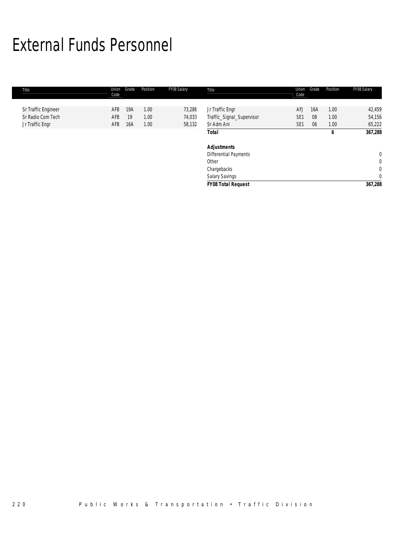# External Funds Personnel

| Title               | Union<br>Code | Grade | Position | FY08 Salary | Title                     | Union<br>Code   | Grade | Position | FY08 Salary  |
|---------------------|---------------|-------|----------|-------------|---------------------------|-----------------|-------|----------|--------------|
|                     |               |       |          |             |                           |                 |       |          |              |
| Sr Traffic Engineer | AFB           | 19A   | 1.00     | 73,286      | Jr Traffic Engr           | <b>AFJ</b>      | 16A   | 1.00     | 42,459       |
| Sr Radio Com Tech   | AFB           | 19    | 1.00     | 74,033      | Traffic_Signal_Supervisor | SE <sub>1</sub> | 08    | 1.00     | 54,156       |
| Jr Traffic Engr     | AFB           | 16A   | 1.00     | 58,132      | Sr Adm Anl                | SE <sub>1</sub> | 06    | 1.00     | 65,222       |
|                     |               |       |          |             | <b>Total</b>              |                 |       | 6        | 367,288      |
|                     |               |       |          |             | <b>Adjustments</b>        |                 |       |          |              |
|                     |               |       |          |             | Differential Payments     |                 |       |          | $\mathbf{0}$ |
|                     |               |       |          |             | Other                     |                 |       |          | 0            |
|                     |               |       |          |             | Chargebacks               |                 |       |          | $\mathbf 0$  |
|                     |               |       |          |             | Salary Savings            |                 |       |          | $\mathbf 0$  |
|                     |               |       |          |             | <b>FY08 Total Request</b> |                 |       |          | 367,288      |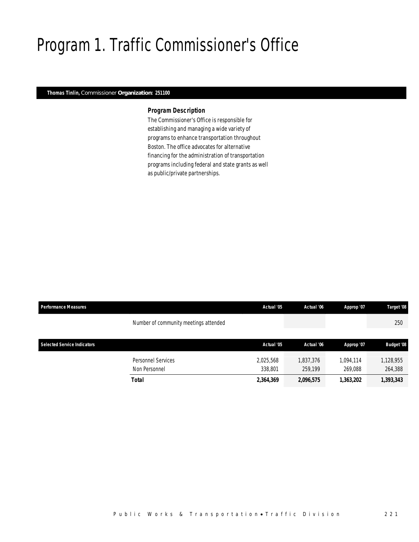# Program 1. Traffic Commissioner's Office

## *Thomas Tinlin, Commissioner Organization: 251100*

### *Program Description*

The Commissioner's Office is responsible for establishing and managing a wide variety of programs to enhance transportation throughout Boston. The office advocates for alternative financing for the administration of transportation programs including federal and state grants as well as public/private partnerships.

| <b>Performance Measures</b>        |                                       | Actual '05 | Actual '06 | Approp '07 | Target '08        |
|------------------------------------|---------------------------------------|------------|------------|------------|-------------------|
|                                    | Number of community meetings attended |            |            |            | 250               |
|                                    |                                       |            |            |            |                   |
| <b>Selected Service Indicators</b> |                                       | Actual '05 | Actual '06 | Approp '07 | <b>Budget '08</b> |
|                                    | Personnel Services                    | 2,025,568  | 1,837,376  | 1.094.114  | 1,128,955         |
|                                    | Non Personnel                         | 338,801    | 259.199    | 269.088    | 264,388           |
|                                    | Total                                 | 2,364,369  | 2,096,575  | 1,363,202  | 1,393,343         |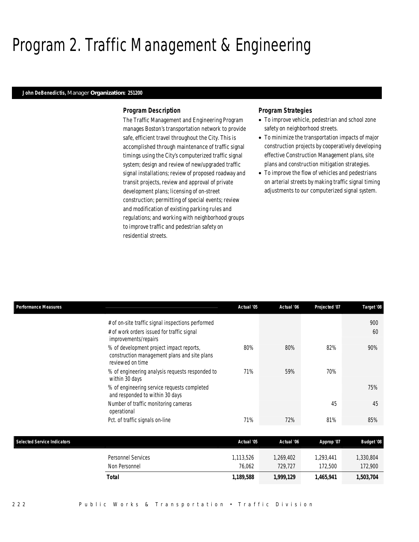# Program 2. Traffic Management & Engineering

### *John DeBenedictis, Manager Organization: 251200*

### *Program Description*

The Traffic Management and Engineering Program manages Boston's transportation network to provide safe, efficient travel throughout the City. This is accomplished through maintenance of traffic signal timings using the City's computerized traffic signal system; design and review of new/upgraded traffic signal installations; review of proposed roadway and transit projects, review and approval of private development plans; licensing of on-street construction; permitting of special events; review and modification of existing parking rules and regulations; and working with neighborhood groups to improve traffic and pedestrian safety on residential streets.

## *Program Strategies*

- To improve vehicle, pedestrian and school zone safety on neighborhood streets.
- To minimize the transportation impacts of major construction projects by cooperatively developing effective Construction Management plans, site plans and construction mitigation strategies.
- To improve the flow of vehicles and pedestrians on arterial streets by making traffic signal timing adjustments to our computerized signal system.

| <b>Performance Measures</b>        |                                                                                                                         | Actual '05 | Actual '06 | Projected '07 | Target '08        |
|------------------------------------|-------------------------------------------------------------------------------------------------------------------------|------------|------------|---------------|-------------------|
|                                    | # of on-site traffic signal inspections performed<br># of work orders issued for traffic signal<br>improvements/repairs |            |            |               | 900<br>60         |
|                                    | % of development project impact reports,<br>construction management plans and site plans<br>reviewed on time            | 80%        | 80%        | 82%           | 90%               |
|                                    | % of engineering analysis requests responded to<br>within 30 days                                                       | 71%        | 59%        | 70%           |                   |
|                                    | % of engineering service requests completed<br>and responded to within 30 days                                          |            |            |               | 75%               |
|                                    | Number of traffic monitoring cameras<br>operational                                                                     |            |            | 45            | 45                |
|                                    | Pct. of traffic signals on-line                                                                                         | 71%        | 72%        | 81%           | 85%               |
| <b>Selected Service Indicators</b> |                                                                                                                         | Actual '05 | Actual '06 | Approp '07    | <b>Budget '08</b> |

| 1,189,588<br>1,999,129<br>1,465,941<br>Total          | 1,503,704 |
|-------------------------------------------------------|-----------|
| 76,062<br>729.727<br>172,500<br>Non Personnel         | 172,900   |
| .269,402<br>.293.441<br>113,526<br>Personnel Services | ,330,804  |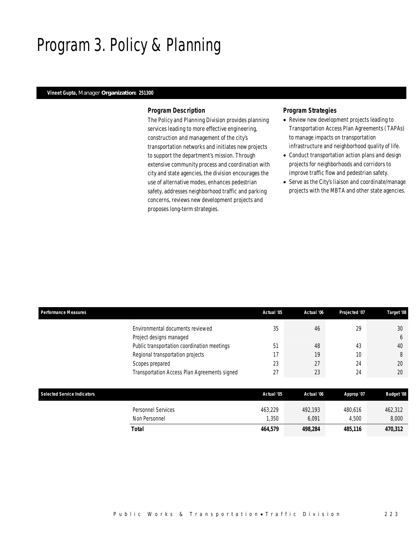# Program 3. Policy & Planning

## *Vineet Gupta, Manager Organization: 251300*

### *Program Description*

The Policy and Planning Division provides planning services leading to more effective engineering, construction and management of the city's transportation networks and initiates new projects to support the department's mission. Through extensive community process and coordination with city and state agencies, the division encourages the use of alternative modes, enhances pedestrian safety, addresses neighborhood traffic and parking concerns, reviews new development projects and proposes long-term strategies.

## *Program Strategies*

- Review new development projects leading to Transportation Access Plan Agreements (TAPAs) to manage impacts on transportation infrastructure and neighborhood quality of life.
- Conduct transportation action plans and design projects for neighborhoods and corridors to improve traffic flow and pedestrian safety.
- Serve as the City's liaison and coordinate/manage projects with the MBTA and other state agencies.

| <b>Performance Measures</b>        |                                              | Actual '05 | Actual '06 | Projected '07 | Target '08        |
|------------------------------------|----------------------------------------------|------------|------------|---------------|-------------------|
|                                    | Environmental documents reviewed             | 35         | 46         | 29            | 30                |
|                                    | Project designs managed                      |            |            |               | 6                 |
|                                    | Public transportation coordination meetings  | 51         | 48         | 43            | 40                |
|                                    | Regional transportation projects             | 17         | 19         | 10            | 8                 |
|                                    | Scopes prepared                              | 23         | 27         | 24            | 20                |
|                                    | Transportation Access Plan Agreements signed | 27         | 23         | 24            | 20                |
|                                    |                                              |            |            |               |                   |
| <b>Selected Service Indicators</b> |                                              | Actual '05 | Actual '06 | Approp '07    | <b>Budget '08</b> |
|                                    | <b>Personnel Services</b>                    | 463.229    | 492.193    | 480.616       | 462,312           |
|                                    | Non Personnel                                | 1,350      | 6,091      | 4,500         | 8,000             |

*Total 464,579 498,284 485,116 470,312*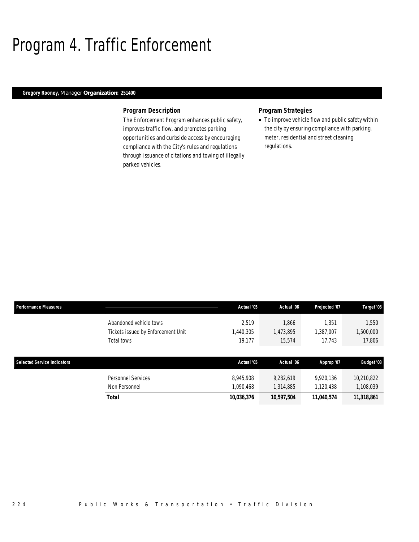# Program 4. Traffic Enforcement

## *Gregory Rooney, Manager Organization: 251400*

### *Program Description*

The Enforcement Program enhances public safety, improves traffic flow, and promotes parking opportunities and curbside access by encouraging compliance with the City's rules and regulations through issuance of citations and towing of illegally parked vehicles.

## *Program Strategies*

• To improve vehicle flow and public safety within the city by ensuring compliance with parking, meter, residential and street cleaning regulations.

| <b>Performance Measures</b>        |                                    | Actual '05 | Actual '06 | Projected '07 | Target '08        |
|------------------------------------|------------------------------------|------------|------------|---------------|-------------------|
|                                    | Abandoned vehicle tows             | 2.519      | 1,866      | 1.351         | 1,550             |
|                                    | Tickets issued by Enforcement Unit | 1,440,305  | 1,473,895  | 1,387,007     | 1,500,000         |
|                                    | Total tows                         | 19,177     | 15,574     | 17,743        | 17,806            |
|                                    |                                    |            |            |               |                   |
|                                    |                                    |            |            |               |                   |
| <b>Selected Service Indicators</b> |                                    | Actual '05 | Actual '06 | Approp '07    | <b>Budget '08</b> |
|                                    | Personnel Services                 | 8.945.908  | 9.282.619  | 9,920,136     | 10,210,822        |
|                                    | Non Personnel                      | 1,090,468  | 1,314,885  | 1,120,438     | 1,108,039         |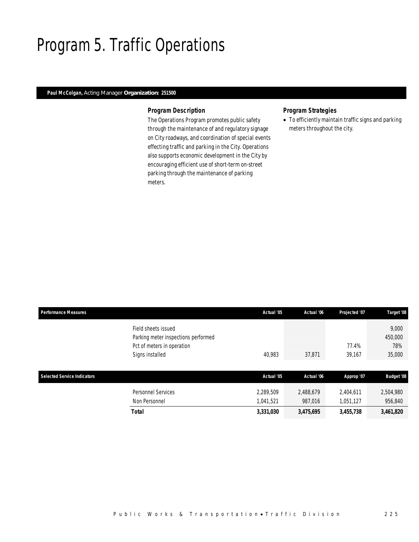# Program 5. Traffic Operations

## *Paul McColgan, Acting Manager Organization: 251500*

### *Program Description*

The Operations Program promotes public safety through the maintenance of and regulatory signage on City roadways, and coordination of special events effecting traffic and parking in the City. Operations also supports economic development in the City by encouraging efficient use of short-term on-street parking through the maintenance of parking meters.

## *Program Strategies*

• To efficiently maintain traffic signs and parking meters throughout the city.

| <b>Performance Measures</b> |                                     | Actual '05 | Actual '06 | Projected '07 | Target '08        |
|-----------------------------|-------------------------------------|------------|------------|---------------|-------------------|
|                             | Field sheets issued                 |            |            |               | 9,000             |
|                             | Parking meter inspections performed |            |            |               | 450,000           |
|                             | Pct of meters in operation          |            |            | 77.4%         | 78%               |
|                             | Signs installed                     | 40,983     | 37,871     | 39,167        | 35,000            |
|                             |                                     |            |            |               |                   |
| Selected Service Indicators |                                     | Actual '05 | Actual '06 | Approp '07    | <b>Budget '08</b> |
|                             | <b>Personnel Services</b>           | 2,289,509  | 2,488,679  | 2,404,611     | 2,504,980         |
|                             | Non Personnel                       | 1,041,521  | 987,016    | 1,051,127     | 956,840           |
|                             | <b>Total</b>                        | 3,331,030  | 3,475,695  | 3,455,738     | 3,461,820         |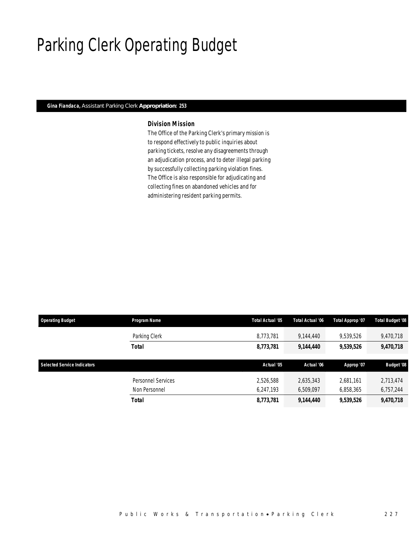# Parking Clerk Operating Budget

## *Gina Fiandaca, Assistant Parking Clerk Appropriation: 253*

## *Division Mission*

The Office of the Parking Clerk's primary mission is to respond effectively to public inquiries about parking tickets, resolve any disagreements through an adjudication process, and to deter illegal parking by successfully collecting parking violation fines. The Office is also responsible for adjudicating and collecting fines on abandoned vehicles and for administering resident parking permits.

| <b>Operating Budget</b>            | Program Name              | Total Actual '05 | <b>Total Actual '06</b> | Total Approp '07 | Total Budget '08  |
|------------------------------------|---------------------------|------------------|-------------------------|------------------|-------------------|
|                                    | Parking Clerk             | 8,773,781        | 9.144.440               | 9,539,526        | 9,470,718         |
|                                    | Total                     | 8,773,781        | 9,144,440               | 9,539,526        | 9,470,718         |
|                                    |                           |                  |                         |                  |                   |
| <b>Selected Service Indicators</b> |                           | Actual '05       | Actual '06              | Approp '07       | <b>Budget '08</b> |
|                                    | <b>Personnel Services</b> | 2,526,588        | 2,635,343               | 2.681.161        | 2,713,474         |
|                                    | Non Personnel             | 6,247,193        | 6,509,097               | 6,858,365        | 6,757,244         |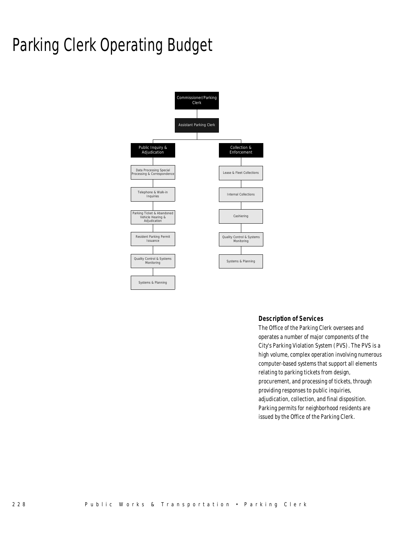# Parking Clerk Operating Budget



## *Description of Services*

The Office of the Parking Clerk oversees and operates a number of major components of the City's Parking Violation System (PVS). The PVS is a high volume, complex operation involving numerous computer-based systems that support all elements relating to parking tickets from design, procurement, and processing of tickets, through providing responses to public inquiries, adjudication, collection, and final disposition. Parking permits for neighborhood residents are issued by the Office of the Parking Clerk.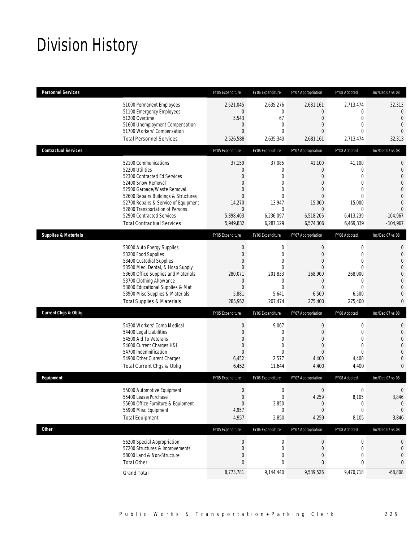# Division History

| <b>Personnel Services</b>       |                                                                                                                                                                                                                                                                                                                   | FY05 Expenditure                                                                                                           | FY06 Expenditure                                                                                           | FY07 Appropriation                                                                                                       | FY08 Adopted                                                                                                               | Inc/Dec 07 vs 08                                                                                                               |
|---------------------------------|-------------------------------------------------------------------------------------------------------------------------------------------------------------------------------------------------------------------------------------------------------------------------------------------------------------------|----------------------------------------------------------------------------------------------------------------------------|------------------------------------------------------------------------------------------------------------|--------------------------------------------------------------------------------------------------------------------------|----------------------------------------------------------------------------------------------------------------------------|--------------------------------------------------------------------------------------------------------------------------------|
|                                 | 51000 Permanent Employees<br>51100 Emergency Employees<br>51200 Overtime<br>51600 Unemployment Compensation<br>51700 Workers' Compensation<br><b>Total Personnel Services</b>                                                                                                                                     | 2,521,045<br>$\mathbf{0}$<br>5,543<br>$\theta$<br>$\Omega$<br>2,526,588                                                    | 2,635,276<br>$\mathbf{0}$<br>67<br>$\mathbf{0}$<br>$\Omega$<br>2,635,343                                   | 2,681,161<br>0<br>$\boldsymbol{0}$<br>0<br>$\Omega$<br>2,681,161                                                         | 2,713,474<br>0<br>$\overline{0}$<br>$\overline{0}$<br>$\Omega$<br>2,713,474                                                | 32,313<br>$\mathbf{0}$<br>$\Omega$<br>$\mathbf{0}$<br>$\Omega$<br>32,313                                                       |
| <b>Contractual Services</b>     |                                                                                                                                                                                                                                                                                                                   | FY05 Expenditure                                                                                                           | FY06 Expenditure                                                                                           | FY07 Appropriation                                                                                                       | FY08 Adopted                                                                                                               | Inc/Dec 07 vs 08                                                                                                               |
|                                 | 52100 Communications<br>52200 Utilities<br>52300 Contracted Ed Services<br>52400 Snow Removal<br>52500 Garbage/Waste Removal<br>52600 Repairs Buildings & Structures<br>52700 Repairs & Service of Equipment<br>52800 Transportation of Persons<br>52900 Contracted Services<br><b>Total Contractual Services</b> | 37,159<br>$\mathbf{0}$<br>$\Omega$<br>$\Omega$<br>$\Omega$<br>$\Omega$<br>14,270<br>$\mathbf{0}$<br>5,898,403<br>5,949,832 | 37,085<br>0<br>$\Omega$<br>$\overline{0}$<br>$\theta$<br>$\theta$<br>13,947<br>0<br>6,236,097<br>6,287,129 | 41,100<br>$\mathbf 0$<br>$\Omega$<br>$\overline{0}$<br>0<br>$\mathbf{0}$<br>15,000<br>$\Omega$<br>6,518,206<br>6,574,306 | 41,100<br>$\mathbf 0$<br>$\Omega$<br>$\overline{0}$<br>0<br>$\overline{0}$<br>15,000<br>$\Omega$<br>6,413,239<br>6,469,339 | $\mathbf{0}$<br>$\mathbf{0}$<br>$\overline{0}$<br>$\Omega$<br>$\mathbf{0}$<br>$\Omega$<br>$\Omega$<br>$-104,967$<br>$-104,967$ |
| <b>Supplies &amp; Materials</b> |                                                                                                                                                                                                                                                                                                                   | FY05 Expenditure                                                                                                           | FY06 Expenditure                                                                                           | FY07 Appropriation                                                                                                       | FY08 Adopted                                                                                                               | Inc/Dec 07 vs 08                                                                                                               |
|                                 | 53000 Auto Energy Supplies<br>53200 Food Supplies<br>53400 Custodial Supplies<br>53500 Med, Dental, & Hosp Supply<br>53600 Office Supplies and Materials<br>53700 Clothing Allowance<br>53800 Educational Supplies & Mat<br>53900 Misc Supplies & Materials<br><b>Total Supplies &amp; Materials</b>              | $\mathbf{0}$<br>$\theta$<br>0<br>$\Omega$<br>280,071<br>$\mathbf{0}$<br>$\mathbf{0}$<br>5,881<br>285,952                   | $\mathbf{0}$<br>$\mathbf{0}$<br>$\overline{0}$<br>$\Omega$<br>201,833<br>0<br>$\Omega$<br>5,641<br>207,474 | $\boldsymbol{0}$<br>$\theta$<br>$\overline{0}$<br>$\Omega$<br>268,900<br>$\overline{0}$<br>$\Omega$<br>6,500<br>275,400  | $\mathbf 0$<br>0<br>$\overline{0}$<br>$\Omega$<br>268,900<br>$\overline{0}$<br>$\Omega$<br>6,500<br>275,400                | 0<br>$\overline{0}$<br>$\overline{0}$<br>$\overline{0}$<br>$\Omega$<br>$\overline{0}$<br>$\Omega$<br>$\Omega$<br>$\mathbf{0}$  |
| <b>Current Chgs &amp; Oblig</b> |                                                                                                                                                                                                                                                                                                                   | FY05 Expenditure                                                                                                           | FY06 Expenditure                                                                                           | FY07 Appropriation                                                                                                       | FY08 Adopted                                                                                                               | Inc/Dec 07 vs 08                                                                                                               |
|                                 | 54300 Workers' Comp Medical<br>54400 Legal Liabilities<br>54500 Aid To Veterans<br>54600 Current Charges H&I<br>54700 Indemnification<br>54900 Other Current Charges<br>Total Current Chgs & Oblig                                                                                                                | $\mathbf{0}$<br>$\overline{0}$<br>$\overline{0}$<br>$\overline{0}$<br>$\overline{0}$<br>6,452<br>6,452                     | 9,067<br>$\Omega$<br>$\overline{0}$<br>0<br>$\Omega$<br>2,577<br>11,644                                    | $\boldsymbol{0}$<br>0<br>$\mathbf 0$<br>$\overline{0}$<br>$\overline{0}$<br>4,400<br>4,400                               | $\mathbf 0$<br>0<br>$\overline{0}$<br>$\overline{0}$<br>0<br>4,400<br>4,400                                                | $\mathbf{0}$<br>$\overline{0}$<br>$\Omega$<br>$\overline{0}$<br>$\Omega$<br>$\overline{0}$<br>$\mathbf{0}$                     |
| Equipment                       |                                                                                                                                                                                                                                                                                                                   | FY05 Expenditure                                                                                                           | FY06 Expenditure                                                                                           | FY07 Appropriation                                                                                                       | FY08 Adopted                                                                                                               | Inc/Dec 07 vs 08                                                                                                               |
|                                 | 55000 Automotive Equipment<br>55400 Lease/Purchase<br>55600 Office Furniture & Equipment<br>55900 Misc Equipment<br><b>Total Equipment</b>                                                                                                                                                                        | $\mathbf{0}$<br>$\boldsymbol{0}$<br>$\mathbf{0}$<br>4,957<br>4,957                                                         | $\mathbf{0}$<br>$\mathbf 0$<br>2,850<br>0<br>2,850                                                         | $\mathbf{0}$<br>4,259<br>0<br>$\overline{0}$<br>4,259                                                                    | $\mathbf{0}$<br>8,105<br>0<br>$\mathbf 0$<br>8,105                                                                         | $\Omega$<br>3,846<br>$\mathbf{0}$<br>$\mathbf{0}$<br>3,846                                                                     |
| <b>Other</b>                    |                                                                                                                                                                                                                                                                                                                   | FY05 Expenditure                                                                                                           | FY06 Expenditure                                                                                           | FY07 Appropriation                                                                                                       | FY08 Adopted                                                                                                               | Inc/Dec 07 vs 08                                                                                                               |
|                                 | 56200 Special Appropriation<br>57200 Structures & Improvements<br>58000 Land & Non-Structure<br><b>Total Other</b>                                                                                                                                                                                                | $\mathbf 0$<br>$\overline{0}$<br>$\mathbf{0}$<br>0                                                                         | $\boldsymbol{0}$<br>$\mathbf 0$<br>0<br>0                                                                  | $\boldsymbol{0}$<br>$\mathbf 0$<br>0<br>0                                                                                | 0<br>$\mathbf 0$<br>0<br>0                                                                                                 | 0<br>0<br>0<br>0                                                                                                               |
|                                 | <b>Grand Total</b>                                                                                                                                                                                                                                                                                                | 8,773,781                                                                                                                  | 9,144,440                                                                                                  | 9,539,526                                                                                                                | 9,470,718                                                                                                                  | $-68,808$                                                                                                                      |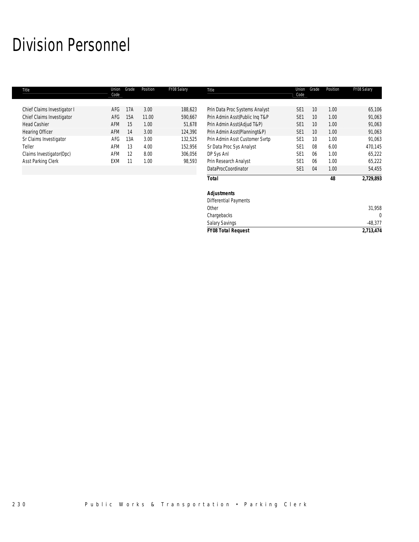# Division Personnel

| Title                       | Union<br>Code | Grade | Position | FY08 Salary | Title                          | Union<br>Code   | Grade | Position | FY08 Salary |
|-----------------------------|---------------|-------|----------|-------------|--------------------------------|-----------------|-------|----------|-------------|
| Chief Claims Investigator I | AFG           | 17A   | 3.00     | 188,623     | Prin Data Proc Systems Analyst | SE <sub>1</sub> | 10    | 1.00     | 65,106      |
| Chief Claims Investigator   | AFG           | 15A   | 11.00    | 590,667     | Prin Admin Asst(Public Ing T&P | SE <sub>1</sub> | 10    | 1.00     | 91,063      |
| <b>Head Cashier</b>         | <b>AFM</b>    | 15    | 1.00     | 51,678      | Prin Admin Asst(Adjud T&P)     | SE <sub>1</sub> | 10    | 1.00     | 91,063      |
| <b>Hearing Officer</b>      | <b>AFM</b>    | 14    | 3.00     | 124,390     | Prin Admin Asst(Planningt&P)   | SE <sub>1</sub> | 10    | 1.00     | 91,063      |
| Sr Claims Investigator      | AFG           | 13A   | 3.00     | 132,525     | Prin Admin Asst Customer Svrtp | SE <sub>1</sub> | 10    | 1.00     | 91,063      |
| Teller                      | AFM           | 13    | 4.00     | 152,956     | Sr Data Proc Sys Analyst       | SE <sub>1</sub> | 08    | 6.00     | 470,145     |
| Claims Investigator (Opc)   | AFM           | 12    | 8.00     | 306,056     | DP Sys Anl                     | SE <sub>1</sub> | 06    | 1.00     | 65,222      |
| Asst Parking Clerk          | EXM           | 11    | 1.00     | 98,593      | Prin Research Analyst          | SE <sub>1</sub> | 06    | 1.00     | 65,222      |
|                             |               |       |          |             | DataProcCoordinator            | SE <sub>1</sub> | 04    | 1.00     | 54,455      |
|                             |               |       |          |             | <b>Total</b>                   |                 |       | 48       | 2,729,893   |
|                             |               |       |          |             | <b>Adjustments</b>             |                 |       |          |             |
|                             |               |       |          |             | <b>Differential Payments</b>   |                 |       |          |             |
|                             |               |       |          |             | Other                          |                 |       |          | 31,958      |
|                             |               |       |          |             | Chargebacks                    |                 |       |          | $\Omega$    |

*FY08 Total Request 2,713,474*

Salary Savings 48,377<br>
FY08 Total Request 2,713,474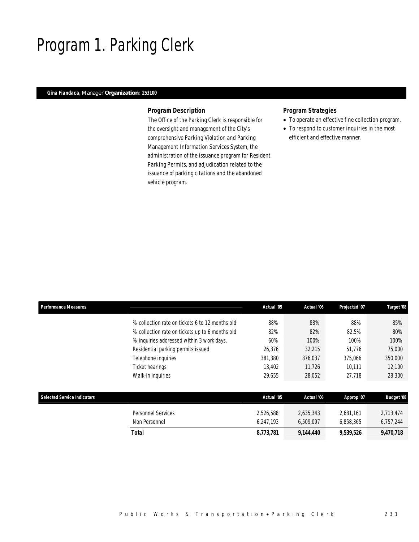# Program 1. Parking Clerk

## *Gina Fiandaca, Manager Organization: 253100*

### *Program Description*

The Office of the Parking Clerk is responsible for the oversight and management of the City's comprehensive Parking Violation and Parking Management Information Services System, the administration of the issuance program for Resident Parking Permits, and adjudication related to the issuance of parking citations and the abandoned vehicle program.

## *Program Strategies*

- To operate an effective fine collection program.
- To respond to customer inquiries in the most efficient and effective manner.

| <b>Performance Measures</b>        |                                                 | Actual '05 | Actual '06 | Projected '07 | Target '08        |
|------------------------------------|-------------------------------------------------|------------|------------|---------------|-------------------|
|                                    | % collection rate on tickets 6 to 12 months old | 88%        | 88%        | 88%           | 85%               |
|                                    | % collection rate on tickets up to 6 months old | 82%        | 82%        | 82.5%         | 80%               |
|                                    | % inquiries addressed within 3 work days.       | 60%        | 100%       | 100%          | 100%              |
|                                    | Residential parking permits issued              | 26,376     | 32,215     | 51.776        | 75,000            |
|                                    | Telephone inquiries                             | 381,380    | 376,037    | 375,066       | 350,000           |
|                                    | Ticket hearings                                 | 13,402     | 11.726     | 10,111        | 12,100            |
|                                    | Walk-in inquiries                               | 29,655     | 28,052     | 27.718        | 28,300            |
|                                    |                                                 |            |            |               |                   |
| <b>Selected Service Indicators</b> |                                                 | Actual '05 | Actual '06 | Approp '07    | <b>Budget '08</b> |
|                                    | <b>Personnel Services</b>                       | 2,526,588  | 2,635,343  | 2,681,161     | 2,713,474         |
|                                    | Non Personnel                                   | 6.247.193  | 6,509,097  | 6,858,365     | 6,757,244         |
|                                    | <b>Total</b>                                    | 8,773,781  | 9,144,440  | 9,539,526     | 9,470,718         |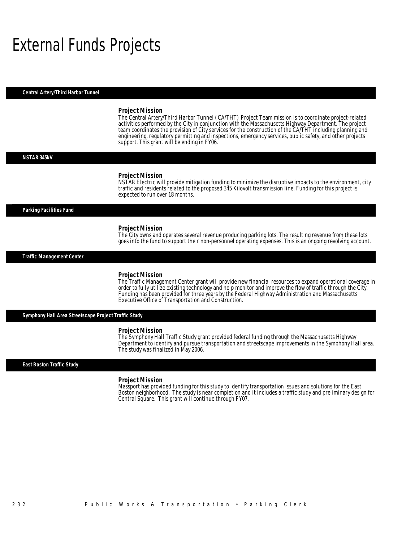# External Funds Projects

*Central Artery/Third Harbor Tunnel* 

### *Project Mission*

The Central Artery/Third Harbor Tunnel (CA/THT) Project Team mission is to coordinate project-related activities performed by the City in conjunction with the Massachusetts Highway Department. The project team coordinates the provision of City services for the construction of the CA/THT including planning and engineering, regulatory permitting and inspections, emergency services, public safety, and other projects support. This grant will be ending in FY06.

### *NSTAR 345kV*

### *Project Mission*

NSTAR Electric will provide mitigation funding to minimize the disruptive impacts to the environment, city traffic and residents related to the proposed 345 Kilovolt transmission line. Funding for this project is expected to run over 18 months.

### *Parking Facilities Fund*

### *Project Mission*

Ì

The City owns and operates several revenue producing parking lots. The resulting revenue from these lots goes into the fund to support their non-personnel operating expenses. This is an ongoing revolving account.

*Traffic Management Center* 

### *Project Mission*

The Traffic Management Center grant will provide new financial resources to expand operational coverage in order to fully utilize existing technology and help monitor and improve the flow of traffic through the City. Funding has been provided for three years by the Federal Highway Administration and Massachusetts Executive Office of Transportation and Construction.

*Symphony Hall Area Streetscape Project Traffic Study* 

### *Project Mission*

The Symphony Hall Traffic Study grant provided federal funding through the Massachusetts Highway Department to identify and pursue transportation and streetscape improvements in the Symphony Hall area. The study was finalized in May 2006.

### *East Boston Traffic Study*

### *Project Mission*

Massport has provided funding for this study to identify transportation issues and solutions for the East Boston neighborhood. The study is near completion and it includes a traffic study and preliminary design for Central Square. This grant will continue through FY07.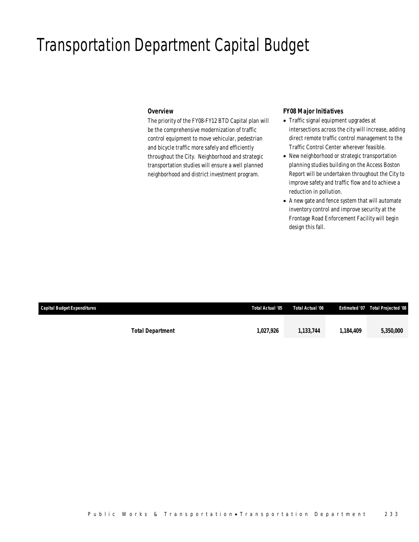# Transportation Department Capital Budget

### *Overview*

The priority of the FY08-FY12 BTD Capital plan will be the comprehensive modernization of traffic control equipment to move vehicular, pedestrian and bicycle traffic more safely and efficiently throughout the City. Neighborhood and strategic transportation studies will ensure a well planned neighborhood and district investment program.

### *FY08 Major Initiatives*

- Traffic signal equipment upgrades at intersections across the city will increase, adding direct remote traffic control management to the Traffic Control Center wherever feasible.
- New neighborhood or strategic transportation planning studies building on the Access Boston Report will be undertaken throughout the City to improve safety and traffic flow and to achieve a reduction in pollution.
- A new gate and fence system that will automate inventory control and improve security at the Frontage Road Enforcement Facility will begin design this fall.

| Capital Budget Expenditures |                         | Total Actual '05 | Total Actual '06 |           | Estimated '07  Total Projected '08 |
|-----------------------------|-------------------------|------------------|------------------|-----------|------------------------------------|
|                             |                         | 1,027,926        | 1,133,744        | 1.184.409 | 5,350,000                          |
|                             | <b>Total Department</b> |                  |                  |           |                                    |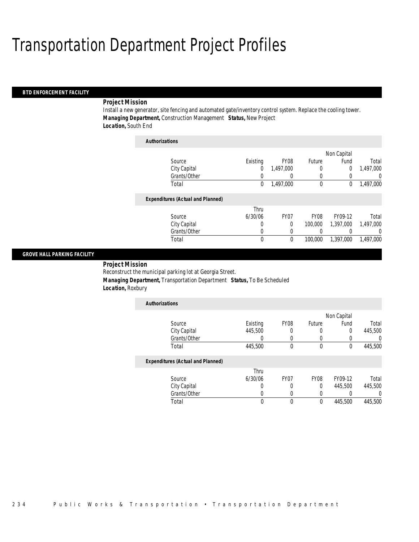### *BTD ENFORCEMENT FACILITY*

### *Project Mission*

Install a new generator, site fencing and automated gate/inventory control system. Replace the cooling tower. *Managing Department,* Construction Management *Status,* New Project *Location,* South End

| <b>Authorizations</b> |                                          |          |           |                  |             |           |
|-----------------------|------------------------------------------|----------|-----------|------------------|-------------|-----------|
|                       |                                          |          |           |                  | Non Capital |           |
| Source                |                                          | Existing | FY08      | Future           | Fund        | Total     |
|                       | City Capital                             | 0        | 1,497,000 | 0                | 0           | 1,497,000 |
|                       | Grants/Other                             | 0        |           | 0                |             | 0         |
| Total                 |                                          | 0        | 1,497,000 | $\mathbf{0}$     | 0           | 1,497,000 |
|                       | <b>Expenditures (Actual and Planned)</b> |          |           |                  |             |           |
|                       |                                          | Thru     |           |                  |             |           |
| Source                |                                          | 6/30/06  | FY07      | FY <sub>08</sub> | FY09-12     | Total     |
|                       | City Capital                             | 0        | 0         | 100,000          | 1.397.000   | 1.497.000 |
|                       | Grants/Other                             | 0        | 0         | 0                |             | 0         |
| Total                 |                                          | 0        | 0         | 100,000          | 1.397.000   | 1,497,000 |

### *GROVE HALL PARKING FACILITY*

*Project Mission* 

Reconstruct the municipal parking lot at Georgia Street.

*Authorizations*

*Managing Department,* Transportation Department *Status,* To Be Scheduled

*Location,* Roxbury

| <b>Authorizations</b> |          |                  |        |             |         |
|-----------------------|----------|------------------|--------|-------------|---------|
|                       |          |                  |        | Non Capital |         |
| Source                | Existing | FY <sub>08</sub> | Future | Fund        | Total   |
| City Capital          | 445,500  |                  |        |             | 445,500 |
| Grants/Other          |          |                  |        |             |         |
| Total                 | 445,500  |                  |        |             | 445,500 |

### *Expenditures (Actual and Planned)*

|              | Thru    |      |                  |         |         |
|--------------|---------|------|------------------|---------|---------|
| Source       | 6/30/06 | FY07 | FY <sub>08</sub> | FY09-12 | Total   |
| City Capital |         |      |                  | 445,500 | 445,500 |
| Grants/Other |         |      |                  |         |         |
| Total        |         |      |                  | 445,500 | 445,500 |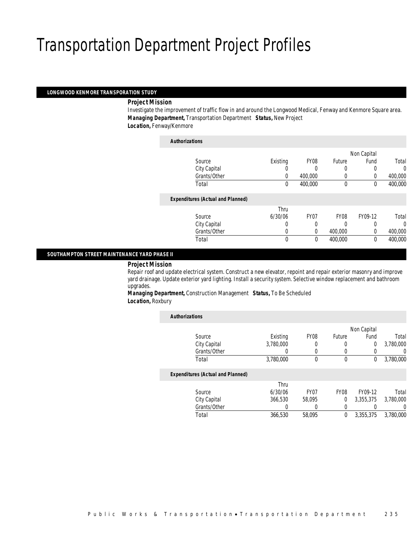### *LONGWOOD KENMORE TRANSPORATION STUDY*

### *Project Mission*

Investigate the improvement of traffic flow in and around the Longwood Medical, Fenway and Kenmore Square area. *Managing Department,* Transportation Department *Status,* New Project *Location,* Fenway/Kenmore

| <b>Authorizations</b>                    |          |                  |              |             |          |
|------------------------------------------|----------|------------------|--------------|-------------|----------|
|                                          |          |                  |              | Non Capital |          |
| Source                                   | Existing | FY08             | Future       | Fund        | Total    |
| City Capital                             |          |                  | 0            | 0           | $\Omega$ |
| Grants/Other                             | 0        | 400,000          | $\left($     | 0           | 400,000  |
| Total                                    | 0        | 400,000          | $\mathbf{0}$ | 0           | 400,000  |
| <b>Expenditures (Actual and Planned)</b> |          |                  |              |             |          |
|                                          | Thru     |                  |              |             |          |
| Source                                   | 6/30/06  | FY <sub>07</sub> | <b>FY08</b>  | FY09-12     | Total    |
| City Capital                             |          | 0                | 0            | 0           | $\Omega$ |
| Grants/Other                             | 0        | 0                | 400,000      | $\Omega$    | 400,000  |
| Total                                    | $\theta$ | $\Omega$         | 400,000      | $\theta$    | 400,000  |

### *SOUTHAMPTON STREET MAINTENANCE YARD PHASE II*

### *Project Mission*

Repair roof and update electrical system. Construct a new elevator, repoint and repair exterior masonry and improve yard drainage. Update exterior yard lighting. Install a security system. Selective window replacement and bathroom upgrades.

*Managing Department,* Construction Management *Status,* To Be Scheduled *Location,* Roxbury

| <b>Authorizations</b>                    |           |                  |             |                |           |
|------------------------------------------|-----------|------------------|-------------|----------------|-----------|
|                                          |           |                  |             | Non Capital    |           |
| Source                                   | Existing  | FY08             | Future      | Fund           | Total     |
| City Capital                             | 3.780.000 | 0                | 0           | $\overline{0}$ | 3.780.000 |
| Grants/Other                             | O         | $\left( \right)$ | 0           |                | $\Omega$  |
| Total                                    | 3,780,000 | 0                | $\mathbf 0$ | $\Omega$       | 3,780,000 |
| <b>Expenditures (Actual and Planned)</b> |           |                  |             |                |           |
|                                          | Thru      |                  |             |                |           |
| Source                                   | 6/30/06   | FY <sub>07</sub> | <b>FY08</b> | FY09-12        | Total     |
| City Capital                             | 366,530   | 58,095           | 0           | 3,355,375      | 3,780,000 |
| Grants/Other                             | 0         | 0                | 0           |                | $\Omega$  |
| Total                                    | 366,530   | 58.095           | $\theta$    | 3,355,375      | 3.780.000 |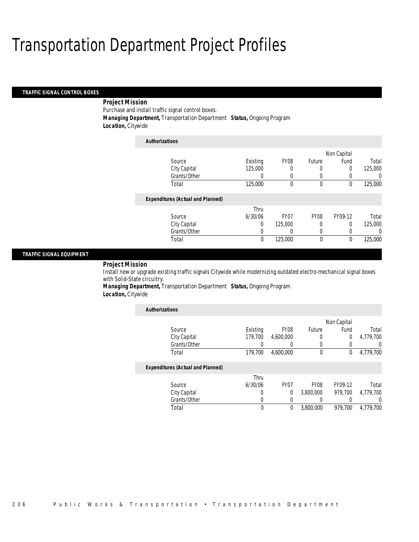### *TRAFFIC SIGNAL CONTROL BOXES*

## *Project Mission*

Purchase and install traffic signal control boxes.

*Managing Department,* Transportation Department *Status,* Ongoing Program

*Location,* Citywide

| <b>Authorizations</b>                    |          |                  |             |             |         |
|------------------------------------------|----------|------------------|-------------|-------------|---------|
|                                          |          |                  |             | Non Capital |         |
| Source                                   | Existing | FY <sub>08</sub> | Future      | Fund        | Total   |
| City Capital                             | 125,000  | 0                | 0           | 0           | 125,000 |
| Grants/Other                             | 0        | 0                | 0           | 0           | 0       |
| Total                                    | 125,000  | 0                | $\mathbf 0$ | 0           | 125,000 |
| <b>Expenditures (Actual and Planned)</b> |          |                  |             |             |         |
|                                          | Thru     |                  |             |             |         |
| Source                                   | 6/30/06  | FY <sub>07</sub> | <b>FY08</b> | FY09-12     | Total   |
| City Capital                             | 0        | 125,000          | 0           | $\Omega$    | 125,000 |
| Grants/Other                             | 0        | 0                | 0           | 0           | 0       |
| Total                                    | 0        | 125,000          | $\mathbf 0$ | 0           | 125,000 |

### *TRAFFIC SIGNAL EQUIPMENT*

## *Project Mission*

Install new or upgrade existing traffic signals Citywide while modernizing outdated electro-mechanical signal boxes with Solid-State circuitry.

*Managing Department,* Transportation Department *Status,* Ongoing Program *Location,* Citywide

| <b>Authorizations</b>                    |          |                  |                  |              |                  |  |
|------------------------------------------|----------|------------------|------------------|--------------|------------------|--|
|                                          |          |                  | Non Capital      |              |                  |  |
| Source                                   | Existing | FY <sub>08</sub> | Future           | Fund         | Total            |  |
| City Capital                             | 179,700  | 4,600,000        | 0                | $\theta$     | 4,779,700        |  |
| Grants/Other                             |          |                  | 0                |              |                  |  |
| Total                                    | 179.700  | 4.600.000        | $\mathbf 0$      | $\mathbf{0}$ | 4,779,700        |  |
| <b>Expenditures (Actual and Planned)</b> |          |                  |                  |              |                  |  |
|                                          | Thru     |                  |                  |              |                  |  |
| Source                                   | 6/30/06  | FY <sub>07</sub> | FY08             | FY09-12      | Total            |  |
| City Capital                             | 0        | 0                | 3.800.000        | 979.700      | 4.779.700        |  |
| Grants/Other                             | 0        |                  | $\left( \right)$ |              | $\left( \right)$ |  |
| Total                                    | 0        | 0                | 3,800,000        | 979.700      | 4.779.700        |  |